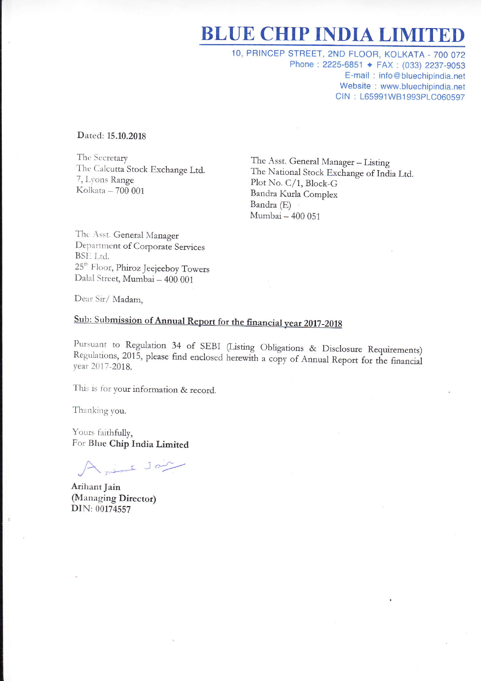# **BLUE CHIP INDIA LIMITEI**

10, PBINCEP STREET, 2ND FLOOR, KOLKATA - 7OO 072 Phone: 2225-6851 + FAX: (033) 2237-9053 E-mail : info@bluechipindia.net Website : www.bluechipindia.net CIN : L65991W8199SPLC060S97

Dated: 15.10.2018

Thc Secretary The Calcutta Stock Exchange Ltd. 7, Lrons Range Kolkata - 700 001

The Asst. General Manager - Listing The National Stock Exchange of India Ltd. Plot No. C/1, Block-G Bandra Kurla Complex Bandra (E) Mumbai - 400 051

The Asst. General Manager Department of Corporate Services BSE Ltd. 25<sup>th</sup> Floor, Phiroz Jeejeeboy Towers Dalal Street, Mumbai - 400 001

Dear Sir/ Madam,

## Sub: Submission of Annual Report for the financial year 2017-2018

Pursuant to Regulation 34 of SEBI (Listing Obligations & Disclosure Requirements) Regulations, 2015, please find enclosed herewith a copy of Annual Report for the financial year 2017-2018.

This is for your information & record.

Thanking you.

Yours faithfully, For Blue Chip India Limited

 $A$  in  $I$  J and

Atihant Jain (Managing Director) DIN: 00174557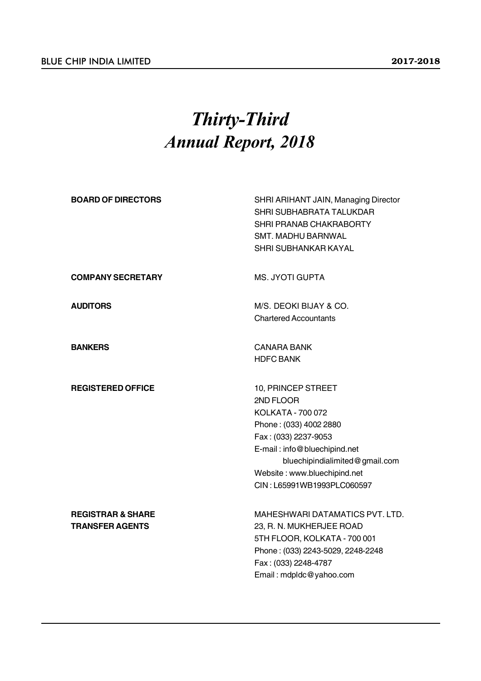# *Thirty-Third Annual Report, 2018*

| <b>BOARD OF DIRECTORS</b>                              | SHRI ARIHANT JAIN, Managing Director<br>SHRI SUBHABRATA TALUKDAR<br>SHRI PRANAB CHAKRABORTY<br><b>SMT. MADHU BARNWAL</b><br><b>SHRI SUBHANKAR KAYAL</b>                                                                                |
|--------------------------------------------------------|----------------------------------------------------------------------------------------------------------------------------------------------------------------------------------------------------------------------------------------|
| <b>COMPANY SECRETARY</b>                               | <b>MS. JYOTI GUPTA</b>                                                                                                                                                                                                                 |
| <b>AUDITORS</b>                                        | M/S. DEOKI BIJAY & CO.<br><b>Chartered Accountants</b>                                                                                                                                                                                 |
| <b>BANKERS</b>                                         | <b>CANARA BANK</b><br><b>HDFC BANK</b>                                                                                                                                                                                                 |
| <b>REGISTERED OFFICE</b>                               | 10, PRINCEP STREET<br>2ND FLOOR<br>KOLKATA - 700 072<br>Phone: (033) 4002 2880<br>Fax: (033) 2237-9053<br>E-mail: info@bluechipind.net<br>bluechipindialimited@gmail.com<br>Website: www.bluechipind.net<br>CIN: L65991WB1993PLC060597 |
| <b>REGISTRAR &amp; SHARE</b><br><b>TRANSFER AGENTS</b> | <b>MAHESHWARI DATAMATICS PVT. LTD.</b><br>23, R. N. MUKHERJEE ROAD<br>5TH FLOOR, KOLKATA - 700 001<br>Phone: (033) 2243-5029, 2248-2248<br>Fax: (033) 2248-4787<br>Email: mdpldc@yahoo.com                                             |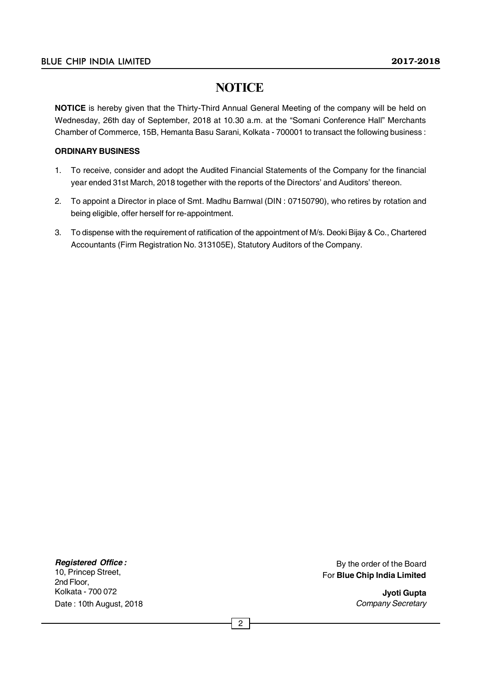### **NOTICE**

**NOTICE** is hereby given that the Thirty-Third Annual General Meeting of the company will be held on Wednesday, 26th day of September, 2018 at 10.30 a.m. at the "Somani Conference Hall" Merchants Chamber of Commerce, 15B, Hemanta Basu Sarani, Kolkata - 700001 to transact the following business :

#### **ORDINARY BUSINESS**

- 1. To receive, consider and adopt the Audited Financial Statements of the Company for the financial year ended 31st March, 2018 together with the reports of the Directors' and Auditors' thereon.
- 2. To appoint a Director in place of Smt. Madhu Barnwal (DIN : 07150790), who retires by rotation and being eligible, offer herself for re-appointment.
- 3. To dispense with the requirement of ratification of the appointment of M/s. Deoki Bijay & Co., Chartered Accountants (Firm Registration No. 313105E), Statutory Auditors of the Company.

*Registered Office :* 10, Princep Street, 2nd Floor, Kolkata - 700 072 Date : 10th August, 2018

By the order of the Board For **Blue Chip India Limited**

> **Jyoti Gupta** *Company Secretary*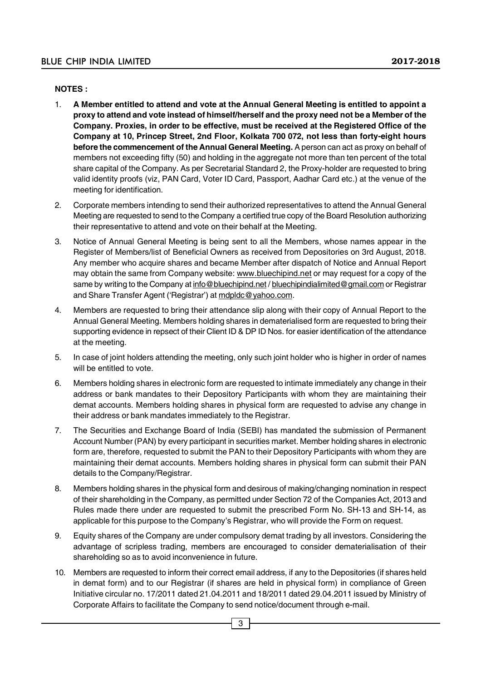#### **NOTES :**

- 1. **A Member entitled to attend and vote at the Annual General Meeting is entitled to appoint a proxy to attend and vote instead of himself/herself and the proxy need not be a Member of the Company. Proxies, in order to be effective, must be received at the Registered Office of the Company at 10, Princep Street, 2nd Floor, Kolkata 700 072, not less than forty-eight hours before the commencement of the Annual General Meeting.** A person can act as proxy on behalf of members not exceeding fifty (50) and holding in the aggregate not more than ten percent of the total share capital of the Company. As per Secretarial Standard 2, the Proxy-holder are requested to bring valid identity proofs (viz, PAN Card, Voter ID Card, Passport, Aadhar Card etc.) at the venue of the meeting for identification.
- 2. Corporate members intending to send their authorized representatives to attend the Annual General Meeting are requested to send to the Company a certified true copy of the Board Resolution authorizing their representative to attend and vote on their behalf at the Meeting.
- 3. Notice of Annual General Meeting is being sent to all the Members, whose names appear in the Register of Members/list of Beneficial Owners as received from Depositories on 3rd August, 2018. Any member who acquire shares and became Member after dispatch of Notice and Annual Report may obtain the same from Company website: www.bluechipind.net or may request for a copy of the same by writing to the Company at info@bluechipind.net / bluechipindialimited@gmail.com or Registrar and Share Transfer Agent ('Registrar') at mdpldc@yahoo.com.
- 4. Members are requested to bring their attendance slip along with their copy of Annual Report to the Annual General Meeting. Members holding shares in dematerialised form are requested to bring their supporting evidence in repsect of their Client ID & DP ID Nos. for easier identification of the attendance at the meeting.
- 5. In case of joint holders attending the meeting, only such joint holder who is higher in order of names will be entitled to vote.
- 6. Members holding shares in electronic form are requested to intimate immediately any change in their address or bank mandates to their Depository Participants with whom they are maintaining their demat accounts. Members holding shares in physical form are requested to advise any change in their address or bank mandates immediately to the Registrar.
- 7. The Securities and Exchange Board of India (SEBI) has mandated the submission of Permanent Account Number (PAN) by every participant in securities market. Member holding shares in electronic form are, therefore, requested to submit the PAN to their Depository Participants with whom they are maintaining their demat accounts. Members holding shares in physical form can submit their PAN details to the Company/Registrar.
- 8. Members holding shares in the physical form and desirous of making/changing nomination in respect of their shareholding in the Company, as permitted under Section 72 of the Companies Act, 2013 and Rules made there under are requested to submit the prescribed Form No. SH-13 and SH-14, as applicable for this purpose to the Company's Registrar, who will provide the Form on request.
- 9. Equity shares of the Company are under compulsory demat trading by all investors. Considering the advantage of scripless trading, members are encouraged to consider dematerialisation of their shareholding so as to avoid inconvenience in future.
- 10. Members are requested to inform their correct email address, if any to the Depositories (if shares held in demat form) and to our Registrar (if shares are held in physical form) in compliance of Green Initiative circular no. 17/2011 dated 21.04.2011 and 18/2011 dated 29.04.2011 issued by Ministry of Corporate Affairs to facilitate the Company to send notice/document through e-mail.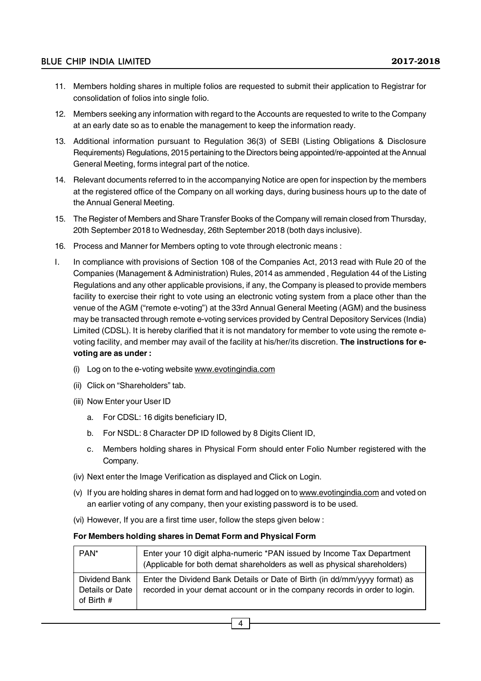- 11. Members holding shares in multiple folios are requested to submit their application to Registrar for consolidation of folios into single folio.
- 12. Members seeking any information with regard to the Accounts are requested to write to the Company at an early date so as to enable the management to keep the information ready.
- 13. Additional information pursuant to Regulation 36(3) of SEBI (Listing Obligations & Disclosure Requirements) Regulations, 2015 pertaining to the Directors being appointed/re-appointed at the Annual General Meeting, forms integral part of the notice.
- 14. Relevant documents referred to in the accompanying Notice are open for inspection by the members at the registered office of the Company on all working days, during business hours up to the date of the Annual General Meeting.
- 15. The Register of Members and Share Transfer Books of the Company will remain closed from Thursday, 20th September 2018 to Wednesday, 26th September 2018 (both days inclusive).
- 16. Process and Manner for Members opting to vote through electronic means :
- I. In compliance with provisions of Section 108 of the Companies Act, 2013 read with Rule 20 of the Companies (Management & Administration) Rules, 2014 as ammended , Regulation 44 of the Listing Regulations and any other applicable provisions, if any, the Company is pleased to provide members facility to exercise their right to vote using an electronic voting system from a place other than the venue of the AGM ("remote e-voting") at the 33rd Annual General Meeting (AGM) and the business may be transacted through remote e-voting services provided by Central Depository Services (India) Limited (CDSL). It is hereby clarified that it is not mandatory for member to vote using the remote evoting facility, and member may avail of the facility at his/her/its discretion. **The instructions for evoting are as under :**
	- (i) Log on to the e-voting website www.evotingindia.com
	- (ii) Click on "Shareholders" tab.
	- (iii) Now Enter your User ID
		- a. For CDSL: 16 digits beneficiary ID,
		- b. For NSDL: 8 Character DP ID followed by 8 Digits Client ID,
		- c. Members holding shares in Physical Form should enter Folio Number registered with the Company.
	- (iv) Next enter the Image Verification as displayed and Click on Login.
	- (v) If you are holding shares in demat form and had logged on to www.evotingindia.com and voted on an earlier voting of any company, then your existing password is to be used.
	- (vi) However, If you are a first time user, follow the steps given below :

#### **For Members holding shares in Demat Form and Physical Form**

| PAN <sup>*</sup>                               | Enter your 10 digit alpha-numeric *PAN issued by Income Tax Department<br>(Applicable for both demat shareholders as well as physical shareholders)       |
|------------------------------------------------|-----------------------------------------------------------------------------------------------------------------------------------------------------------|
| Dividend Bank<br>Details or Date<br>of Birth # | Enter the Dividend Bank Details or Date of Birth (in dd/mm/yyyy format) as<br>recorded in your demat account or in the company records in order to login. |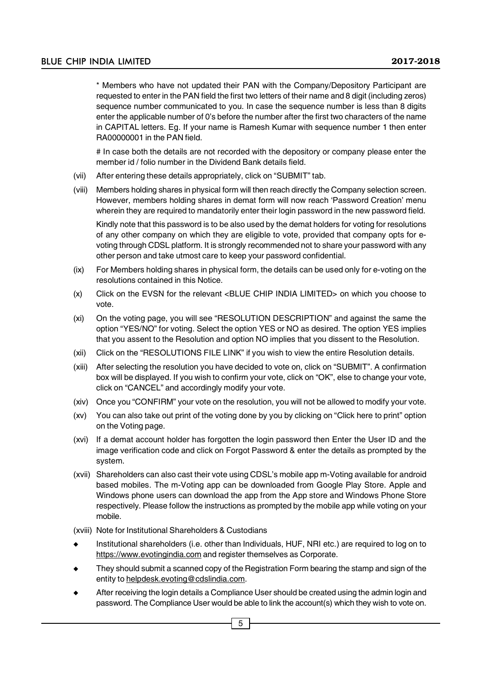\* Members who have not updated their PAN with the Company/Depository Participant are requested to enter in the PAN field the first two letters of their name and 8 digit (including zeros) sequence number communicated to you. In case the sequence number is less than 8 digits enter the applicable number of 0's before the number after the first two characters of the name in CAPITAL letters. Eg. If your name is Ramesh Kumar with sequence number 1 then enter RA00000001 in the PAN field.

# In case both the details are not recorded with the depository or company please enter the member id / folio number in the Dividend Bank details field.

- (vii) After entering these details appropriately, click on "SUBMIT" tab.
- (viii) Members holding shares in physical form will then reach directly the Company selection screen. However, members holding shares in demat form will now reach 'Password Creation' menu wherein they are required to mandatorily enter their login password in the new password field.

Kindly note that this password is to be also used by the demat holders for voting for resolutions of any other company on which they are eligible to vote, provided that company opts for evoting through CDSL platform. It is strongly recommended not to share your password with any other person and take utmost care to keep your password confidential.

- (ix) For Members holding shares in physical form, the details can be used only for e-voting on the resolutions contained in this Notice.
- (x) Click on the EVSN for the relevant <BLUE CHIP INDIA LIMITED> on which you choose to vote.
- (xi) On the voting page, you will see "RESOLUTION DESCRIPTION" and against the same the option "YES/NO" for voting. Select the option YES or NO as desired. The option YES implies that you assent to the Resolution and option NO implies that you dissent to the Resolution.
- (xii) Click on the "RESOLUTIONS FILE LINK" if you wish to view the entire Resolution details.
- (xiii) After selecting the resolution you have decided to vote on, click on "SUBMIT". A confirmation box will be displayed. If you wish to confirm your vote, click on "OK", else to change your vote, click on "CANCEL" and accordingly modify your vote.
- (xiv) Once you "CONFIRM" your vote on the resolution, you will not be allowed to modify your vote.
- (xv) You can also take out print of the voting done by you by clicking on "Click here to print" option on the Voting page.
- (xvi) If a demat account holder has forgotten the login password then Enter the User ID and the image verification code and click on Forgot Password & enter the details as prompted by the system.
- (xvii) Shareholders can also cast their vote using CDSL's mobile app m-Voting available for android based mobiles. The m-Voting app can be downloaded from Google Play Store. Apple and Windows phone users can download the app from the App store and Windows Phone Store respectively. Please follow the instructions as prompted by the mobile app while voting on your mobile.
- (xviii) Note for Institutional Shareholders & Custodians
- Institutional shareholders (i.e. other than Individuals, HUF, NRI etc.) are required to log on to https://www.evotingindia.com and register themselves as Corporate.
- They should submit a scanned copy of the Registration Form bearing the stamp and sign of the entity to helpdesk.evoting@cdslindia.com.
- After receiving the login details a Compliance User should be created using the admin login and password. The Compliance User would be able to link the account(s) which they wish to vote on.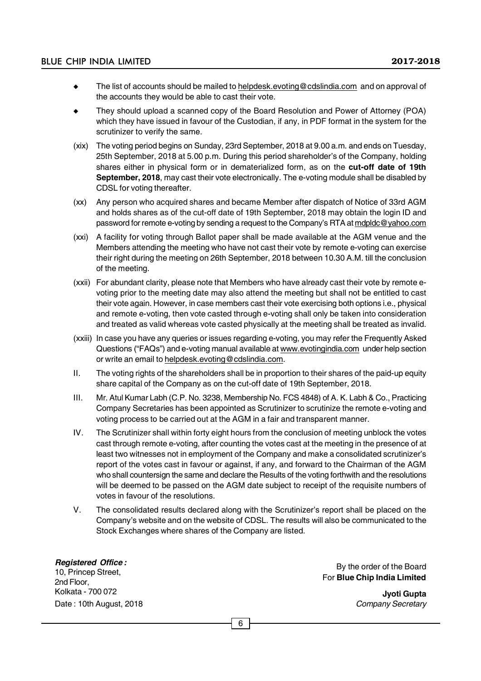- The list of accounts should be mailed to helpdesk.evoting@cdslindia.com and on approval of the accounts they would be able to cast their vote.
- They should upload a scanned copy of the Board Resolution and Power of Attorney (POA) which they have issued in favour of the Custodian, if any, in PDF format in the system for the scrutinizer to verify the same.
- (xix) The voting period begins on Sunday, 23rd September, 2018 at 9.00 a.m. and ends on Tuesday, 25th September, 2018 at 5.00 p.m. During this period shareholder's of the Company, holding shares either in physical form or in dematerialized form, as on the **cut-off date of 19th September, 2018**, may cast their vote electronically. The e-voting module shall be disabled by CDSL for voting thereafter.
- (xx) Any person who acquired shares and became Member after dispatch of Notice of 33rd AGM and holds shares as of the cut-off date of 19th September, 2018 may obtain the login ID and password for remote e-voting by sending a request to the Company's RTA at mdpldc@yahoo.com
- (xxi) A facility for voting through Ballot paper shall be made available at the AGM venue and the Members attending the meeting who have not cast their vote by remote e-voting can exercise their right during the meeting on 26th September, 2018 between 10.30 A.M. till the conclusion of the meeting.
- (xxii) For abundant clarity, please note that Members who have already cast their vote by remote evoting prior to the meeting date may also attend the meeting but shall not be entitled to cast their vote again. However, in case members cast their vote exercising both options i.e., physical and remote e-voting, then vote casted through e-voting shall only be taken into consideration and treated as valid whereas vote casted physically at the meeting shall be treated as invalid.
- (xxiii) In case you have any queries or issues regarding e-voting, you may refer the Frequently Asked Questions ("FAQs") and e-voting manual available at www.evotingindia.com under help section or write an email to helpdesk.evoting@cdslindia.com.
- II. The voting rights of the shareholders shall be in proportion to their shares of the paid-up equity share capital of the Company as on the cut-off date of 19th September, 2018.
- III. Mr. Atul Kumar Labh (C.P. No. 3238, Membership No. FCS 4848) of A. K. Labh & Co., Practicing Company Secretaries has been appointed as Scrutinizer to scrutinize the remote e-voting and voting process to be carried out at the AGM in a fair and transparent manner.
- IV. The Scrutinizer shall within forty eight hours from the conclusion of meeting unblock the votes cast through remote e-voting, after counting the votes cast at the meeting in the presence of at least two witnesses not in employment of the Company and make a consolidated scrutinizer's report of the votes cast in favour or against, if any, and forward to the Chairman of the AGM who shall countersign the same and declare the Results of the voting forthwith and the resolutions will be deemed to be passed on the AGM date subject to receipt of the requisite numbers of votes in favour of the resolutions.
- V. The consolidated results declared along with the Scrutinizer's report shall be placed on the Company's website and on the website of CDSL. The results will also be communicated to the Stock Exchanges where shares of the Company are listed.

*Registered Office :* 10, Princep Street, 2nd Floor, Kolkata - 700 072 Date : 10th August, 2018

By the order of the Board For **Blue Chip India Limited**

> **Jyoti Gupta** *Company Secretary*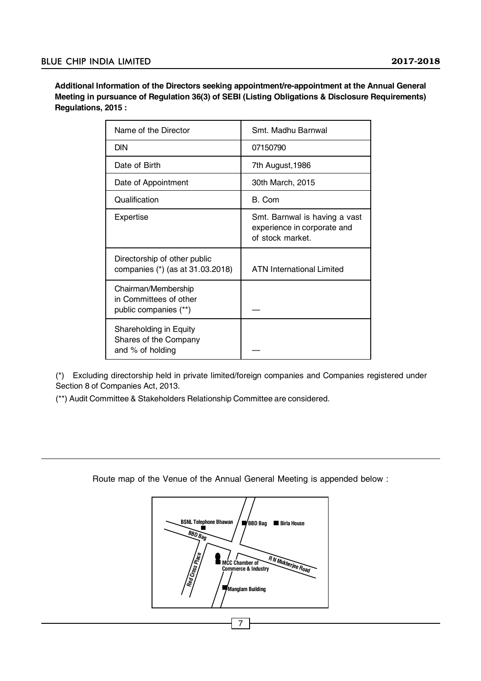**Additional Information of the Directors seeking appointment/re-appointment at the Annual General Meeting in pursuance of Regulation 36(3) of SEBI (Listing Obligations & Disclosure Requirements) Regulations, 2015 :**

| Name of the Director                                                   | Smt. Madhu Barnwal                                                               |
|------------------------------------------------------------------------|----------------------------------------------------------------------------------|
| <b>DIN</b>                                                             | 07150790                                                                         |
| Date of Birth                                                          | 7th August, 1986                                                                 |
| Date of Appointment                                                    | 30th March, 2015                                                                 |
| Qualification                                                          | B. Com                                                                           |
| Expertise                                                              | Smt. Barnwal is having a vast<br>experience in corporate and<br>of stock market. |
| Directorship of other public<br>companies (*) (as at 31.03.2018)       | <b>ATN International Limited</b>                                                 |
| Chairman/Membership<br>in Committees of other<br>public companies (**) |                                                                                  |
| Shareholding in Equity<br>Shares of the Company<br>and $%$ of holding  |                                                                                  |

(\*) Excluding directorship held in private limited/foreign companies and Companies registered under Section 8 of Companies Act, 2013.

(\*\*) Audit Committee & Stakeholders Relationship Committee are considered.

Route map of the Venue of the Annual General Meeting is appended below :

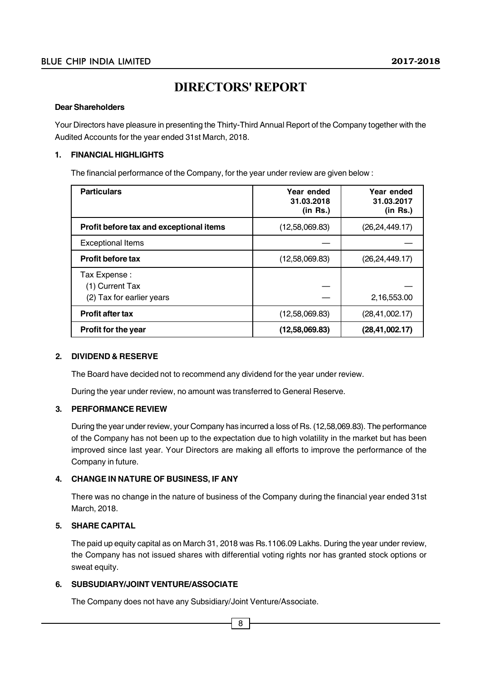## **DIRECTORS' REPORT**

#### **Dear Shareholders**

Your Directors have pleasure in presenting the Thirty-Third Annual Report of the Company together with the Audited Accounts for the year ended 31st March, 2018.

#### **1. FINANCIAL HIGHLIGHTS**

The financial performance of the Company, for the year under review are given below :

| <b>Particulars</b>                                           | Year ended<br>31.03.2018<br>$(in$ Rs. $)$ | Year ended<br>31.03.2017<br>$(in$ Rs. $)$ |
|--------------------------------------------------------------|-------------------------------------------|-------------------------------------------|
| Profit before tax and exceptional items                      | (12,58,069.83)                            | (26, 24, 449.17)                          |
| <b>Exceptional Items</b>                                     |                                           |                                           |
| <b>Profit before tax</b>                                     | (12,58,069.83)                            | (26, 24, 449.17)                          |
| Tax Expense:<br>(1) Current Tax<br>(2) Tax for earlier years |                                           | 2,16,553.00                               |
| <b>Profit after tax</b>                                      | (12,58,069.83)                            | (28, 41, 002.17)                          |
| <b>Profit for the year</b>                                   | (12,58,069.83)                            | (28, 41, 002.17)                          |

#### **2. DIVIDEND & RESERVE**

The Board have decided not to recommend any dividend for the year under review.

During the year under review, no amount was transferred to General Reserve.

#### **3. PERFORMANCE REVIEW**

During the year under review, your Company has incurred a loss of Rs. (12,58,069.83). The performance of the Company has not been up to the expectation due to high volatility in the market but has been improved since last year. Your Directors are making all efforts to improve the performance of the Company in future.

#### **4. CHANGE IN NATURE OF BUSINESS, IF ANY**

There was no change in the nature of business of the Company during the financial year ended 31st March, 2018.

#### **5. SHARE CAPITAL**

The paid up equity capital as on March 31, 2018 was Rs.1106.09 Lakhs. During the year under review, the Company has not issued shares with differential voting rights nor has granted stock options or sweat equity.

#### **6. SUBSUDIARY/JOINT VENTURE/ASSOCIATE**

The Company does not have any Subsidiary/Joint Venture/Associate.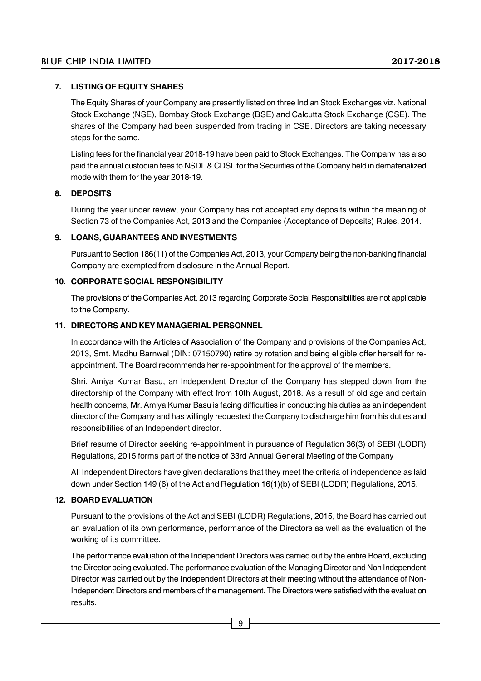#### **7. LISTING OF EQUITY SHARES**

The Equity Shares of your Company are presently listed on three Indian Stock Exchanges viz. National Stock Exchange (NSE), Bombay Stock Exchange (BSE) and Calcutta Stock Exchange (CSE). The shares of the Company had been suspended from trading in CSE. Directors are taking necessary steps for the same.

Listing fees for the financial year 2018-19 have been paid to Stock Exchanges. The Company has also paid the annual custodian fees to NSDL & CDSL for the Securities of the Company held in dematerialized mode with them for the year 2018-19.

#### **8. DEPOSITS**

During the year under review, your Company has not accepted any deposits within the meaning of Section 73 of the Companies Act, 2013 and the Companies (Acceptance of Deposits) Rules, 2014.

#### **9. LOANS, GUARANTEES AND INVESTMENTS**

Pursuant to Section 186(11) of the Companies Act, 2013, your Company being the non-banking financial Company are exempted from disclosure in the Annual Report.

#### **10. CORPORATE SOCIAL RESPONSIBILITY**

The provisions of the Companies Act, 2013 regarding Corporate Social Responsibilities are not applicable to the Company.

#### **11. DIRECTORS AND KEY MANAGERIAL PERSONNEL**

In accordance with the Articles of Association of the Company and provisions of the Companies Act, 2013, Smt. Madhu Barnwal (DIN: 07150790) retire by rotation and being eligible offer herself for reappointment. The Board recommends her re-appointment for the approval of the members.

Shri. Amiya Kumar Basu, an Independent Director of the Company has stepped down from the directorship of the Company with effect from 10th August, 2018. As a result of old age and certain health concerns, Mr. Amiya Kumar Basu is facing difficulties in conducting his duties as an independent director of the Company and has willingly requested the Company to discharge him from his duties and responsibilities of an Independent director.

Brief resume of Director seeking re-appointment in pursuance of Regulation 36(3) of SEBI (LODR) Regulations, 2015 forms part of the notice of 33rd Annual General Meeting of the Company

All Independent Directors have given declarations that they meet the criteria of independence as laid down under Section 149 (6) of the Act and Regulation 16(1)(b) of SEBI (LODR) Regulations, 2015.

#### **12. BOARD EVALUATION**

Pursuant to the provisions of the Act and SEBI (LODR) Regulations, 2015, the Board has carried out an evaluation of its own performance, performance of the Directors as well as the evaluation of the working of its committee.

The performance evaluation of the Independent Directors was carried out by the entire Board, excluding the Director being evaluated. The performance evaluation of the Managing Director and Non Independent Director was carried out by the Independent Directors at their meeting without the attendance of Non-Independent Directors and members of the management. The Directors were satisfied with the evaluation results.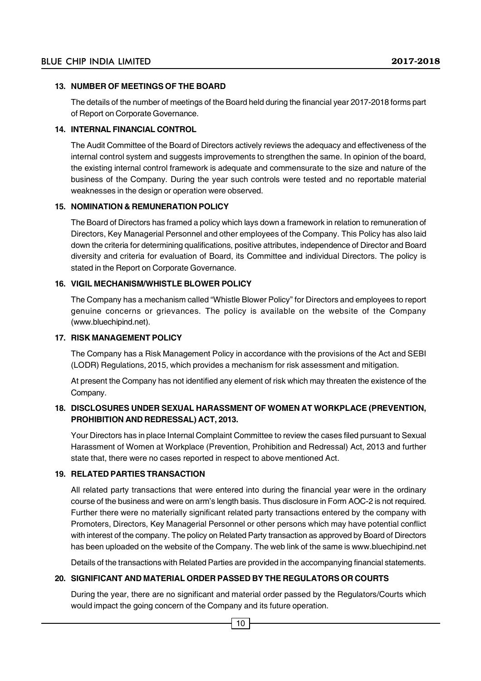#### **13. NUMBER OF MEETINGS OF THE BOARD**

The details of the number of meetings of the Board held during the financial year 2017-2018 forms part of Report on Corporate Governance.

#### **14. INTERNAL FINANCIAL CONTROL**

The Audit Committee of the Board of Directors actively reviews the adequacy and effectiveness of the internal control system and suggests improvements to strengthen the same. In opinion of the board, the existing internal control framework is adequate and commensurate to the size and nature of the business of the Company. During the year such controls were tested and no reportable material weaknesses in the design or operation were observed.

#### **15. NOMINATION & REMUNERATION POLICY**

The Board of Directors has framed a policy which lays down a framework in relation to remuneration of Directors, Key Managerial Personnel and other employees of the Company. This Policy has also laid down the criteria for determining qualifications, positive attributes, independence of Director and Board diversity and criteria for evaluation of Board, its Committee and individual Directors. The policy is stated in the Report on Corporate Governance.

#### **16. VIGIL MECHANISM/WHISTLE BLOWER POLICY**

The Company has a mechanism called "Whistle Blower Policy" for Directors and employees to report genuine concerns or grievances. The policy is available on the website of the Company (www.bluechipind.net).

#### **17. RISK MANAGEMENT POLICY**

The Company has a Risk Management Policy in accordance with the provisions of the Act and SEBI (LODR) Regulations, 2015, which provides a mechanism for risk assessment and mitigation.

At present the Company has not identified any element of risk which may threaten the existence of the Company.

#### **18. DISCLOSURES UNDER SEXUAL HARASSMENT OF WOMEN AT WORKPLACE (PREVENTION, PROHIBITION AND REDRESSAL) ACT, 2013.**

Your Directors has in place Internal Complaint Committee to review the cases filed pursuant to Sexual Harassment of Women at Workplace (Prevention, Prohibition and Redressal) Act, 2013 and further state that, there were no cases reported in respect to above mentioned Act.

#### **19. RELATED PARTIES TRANSACTION**

All related party transactions that were entered into during the financial year were in the ordinary course of the business and were on arm's length basis. Thus disclosure in Form AOC-2 is not required. Further there were no materially significant related party transactions entered by the company with Promoters, Directors, Key Managerial Personnel or other persons which may have potential conflict with interest of the company. The policy on Related Party transaction as approved by Board of Directors has been uploaded on the website of the Company. The web link of the same is www.bluechipind.net

Details of the transactions with Related Parties are provided in the accompanying financial statements.

#### **20. SIGNIFICANT AND MATERIAL ORDER PASSED BY THE REGULATORS OR COURTS**

During the year, there are no significant and material order passed by the Regulators/Courts which would impact the going concern of the Company and its future operation.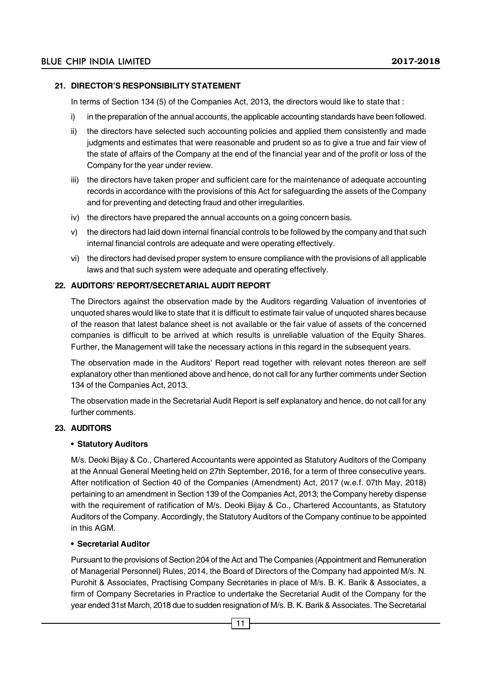#### **21. DIRECTOR'S RESPONSIBILITY STATEMENT**

In terms of Section 134 (5) of the Companies Act, 2013, the directors would like to state that :

- i) in the preparation of the annual accounts, the applicable accounting standards have been followed.
- ii) the directors have selected such accounting policies and applied them consistently and made judgments and estimates that were reasonable and prudent so as to give a true and fair view of the state of affairs of the Company at the end of the financial year and of the profit or loss of the Company for the year under review.
- iii) the directors have taken proper and sufficient care for the maintenance of adequate accounting records in accordance with the provisions of this Act for safeguarding the assets of the Company and for preventing and detecting fraud and other irregularities.
- iv) the directors have prepared the annual accounts on a going concern basis.
- v) the directors had laid down internal financial controls to be followed by the company and that such internal financial controls are adequate and were operating effectively.
- vi) the directors had devised proper system to ensure compliance with the provisions of all applicable laws and that such system were adequate and operating effectively.

#### **22. AUDITORS' REPORT/SECRETARIAL AUDIT REPORT**

The Directors against the observation made by the Auditors regarding Valuation of inventories of unquoted shares would like to state that it is difficult to estimate fair value of unquoted shares because of the reason that latest balance sheet is not available or the fair value of assets of the concerned companies is difficult to be arrived at which results is unreliable valuation of the Equity Shares. Further, the Management will take the necessary actions in this regard in the subsequent years.

The observation made in the Auditors' Report read together with relevant notes thereon are self explanatory other than mentioned above and hence, do not call for any further comments under Section 134 of the Companies Act, 2013.

The observation made in the Secretarial Audit Report is self explanatory and hence, do not call for any further comments.

#### **23. AUDITORS**

#### **• Statutory Auditors**

M/s. Deoki Bijay & Co., Chartered Accountants were appointed as Statutory Auditors of the Company at the Annual General Meeting held on 27th September, 2016, for a term of three consecutive years. After notification of Section 40 of the Companies (Amendment) Act, 2017 (w.e.f. 07th May, 2018) pertaining to an amendment in Section 139 of the Companies Act, 2013; the Company hereby dispense with the requirement of ratification of M/s. Deoki Bijay & Co., Chartered Accountants, as Statutory Auditors of the Company. Accordingly, the Statutory Auditors of the Company continue to be appointed in this AGM.

#### **• Secretarial Auditor**

Pursuant to the provisions of Section 204 of the Act and The Companies (Appointment and Remuneration of Managerial Personnel) Rules, 2014, the Board of Directors of the Company had appointed M/s. N. Purohit & Associates, Practising Company Secretaries in place of M/s. B. K. Barik & Associates, a firm of Company Secretaries in Practice to undertake the Secretarial Audit of the Company for the year ended 31st March, 2018 due to sudden resignation of M/s. B. K. Barik & Associates. The Secretarial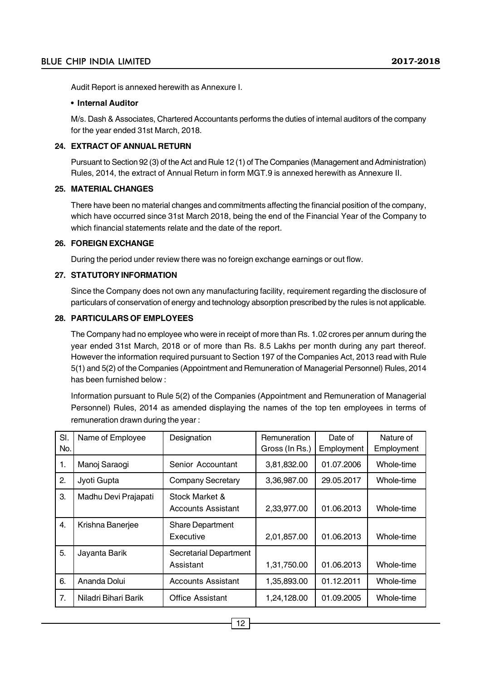Audit Report is annexed herewith as Annexure I.

#### **• Internal Auditor**

M/s. Dash & Associates, Chartered Accountants performs the duties of internal auditors of the company for the year ended 31st March, 2018.

#### **24. EXTRACT OF ANNUAL RETURN**

Pursuant to Section 92 (3) of the Act and Rule 12 (1) of The Companies (Management and Administration) Rules, 2014, the extract of Annual Return in form MGT.9 is annexed herewith as Annexure II.

#### **25. MATERIAL CHANGES**

There have been no material changes and commitments affecting the financial position of the company, which have occurred since 31st March 2018, being the end of the Financial Year of the Company to which financial statements relate and the date of the report.

#### **26. FOREIGN EXCHANGE**

During the period under review there was no foreign exchange earnings or out flow.

#### **27. STATUTORY INFORMATION**

Since the Company does not own any manufacturing facility, requirement regarding the disclosure of particulars of conservation of energy and technology absorption prescribed by the rules is not applicable.

#### **28. PARTICULARS OF EMPLOYEES**

The Company had no employee who were in receipt of more than Rs. 1.02 crores per annum during the year ended 31st March, 2018 or of more than Rs. 8.5 Lakhs per month during any part thereof. However the information required pursuant to Section 197 of the Companies Act, 2013 read with Rule 5(1) and 5(2) of the Companies (Appointment and Remuneration of Managerial Personnel) Rules, 2014 has been furnished below :

Information pursuant to Rule 5(2) of the Companies (Appointment and Remuneration of Managerial Personnel) Rules, 2014 as amended displaying the names of the top ten employees in terms of remuneration drawn during the year :

| SI.<br>No. | Name of Employee     | Designation                                | Remuneration<br>Gross (In Rs.) | Date of<br>Employment | Nature of<br>Employment |
|------------|----------------------|--------------------------------------------|--------------------------------|-----------------------|-------------------------|
| 1.         | Manoj Saraogi        | Senior Accountant                          | 3,81,832.00                    | 01.07.2006            | Whole-time              |
| 2.         | Jyoti Gupta          | <b>Company Secretary</b>                   | 3,36,987.00                    | 29.05.2017            | Whole-time              |
| 3.         | Madhu Devi Prajapati | Stock Market &<br>Accounts Assistant       | 2,33,977.00                    | 01.06.2013            | Whole-time              |
| 4.         | Krishna Banerjee     | <b>Share Department</b><br>Executive       | 2,01,857.00                    | 01.06.2013            | Whole-time              |
| 5.         | Jayanta Barik        | <b>Secretarial Department</b><br>Assistant | 1,31,750.00                    | 01.06.2013            | Whole-time              |
| 6.         | Ananda Dolui         | Accounts Assistant                         | 1,35,893.00                    | 01.12.2011            | Whole-time              |
| 7.         | Niladri Bihari Barik | <b>Office Assistant</b>                    | 1,24,128.00                    | 01.09.2005            | Whole-time              |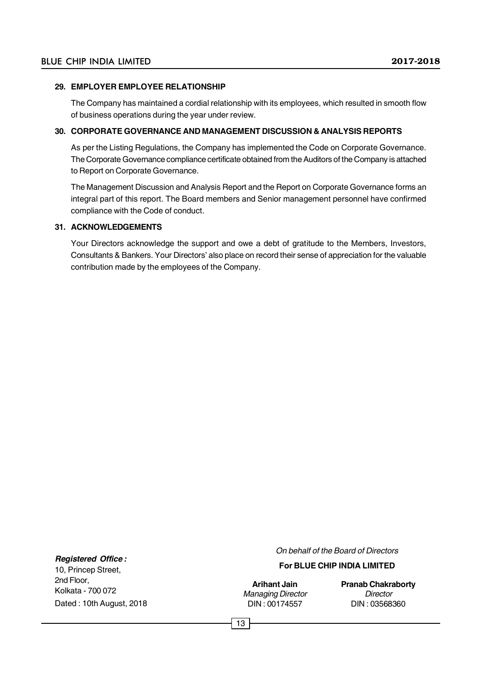#### **29. EMPLOYER EMPLOYEE RELATIONSHIP**

The Company has maintained a cordial relationship with its employees, which resulted in smooth flow of business operations during the year under review.

#### **30. CORPORATE GOVERNANCE AND MANAGEMENT DISCUSSION & ANALYSIS REPORTS**

As per the Listing Regulations, the Company has implemented the Code on Corporate Governance. The Corporate Governance compliance certificate obtained from the Auditors of the Company is attached to Report on Corporate Governance.

The Management Discussion and Analysis Report and the Report on Corporate Governance forms an integral part of this report. The Board members and Senior management personnel have confirmed compliance with the Code of conduct.

#### **31. ACKNOWLEDGEMENTS**

Your Directors acknowledge the support and owe a debt of gratitude to the Members, Investors, Consultants & Bankers. Your Directors' also place on record their sense of appreciation for the valuable contribution made by the employees of the Company.

#### *Registered Office :*

10, Princep Street, 2nd Floor, Kolkata - 700 072 Dated : 10th August, 2018 *On behalf of the Board of Directors*

**For BLUE CHIP INDIA LIMITED**

**Arihant Jain** *Managing Director* DIN : 00174557

**Pranab Chakraborty** *Director* DIN : 03568360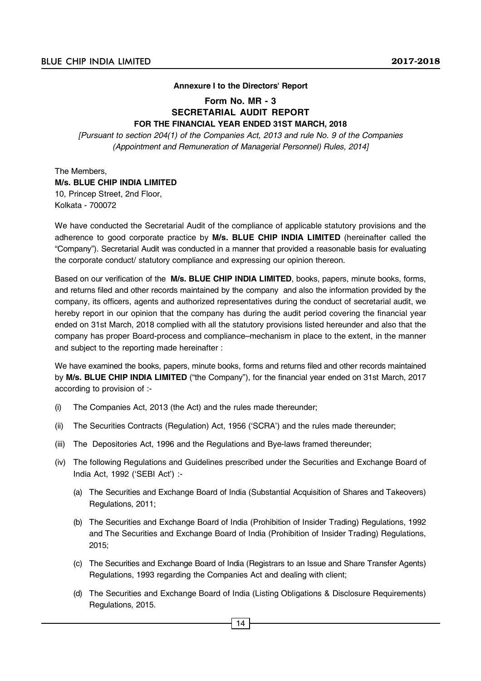#### **Annexure I to the Directors' Report**

#### **Form No. MR - 3 SECRETARIAL AUDIT REPORT FOR THE FINANCIAL YEAR ENDED 31ST MARCH, 2018**

*[Pursuant to section 204(1) of the Companies Act, 2013 and rule No. 9 of the Companies (Appointment and Remuneration of Managerial Personnel) Rules, 2014]*

#### The Members, **M/s. BLUE CHIP INDIA LIMITED** 10, Princep Street, 2nd Floor, Kolkata - 700072

We have conducted the Secretarial Audit of the compliance of applicable statutory provisions and the adherence to good corporate practice by **M/s. BLUE CHIP INDIA LIMITED** (hereinafter called the "Company"). Secretarial Audit was conducted in a manner that provided a reasonable basis for evaluating the corporate conduct/ statutory compliance and expressing our opinion thereon.

Based on our verification of the **M/s. BLUE CHIP INDIA LIMITED**, books, papers, minute books, forms, and returns filed and other records maintained by the company and also the information provided by the company, its officers, agents and authorized representatives during the conduct of secretarial audit, we hereby report in our opinion that the company has during the audit period covering the financial year ended on 31st March, 2018 complied with all the statutory provisions listed hereunder and also that the company has proper Board-process and compliance–mechanism in place to the extent, in the manner and subject to the reporting made hereinafter :

We have examined the books, papers, minute books, forms and returns filed and other records maintained by **M/s. BLUE CHIP INDIA LIMITED** ("the Company"), for the financial year ended on 31st March, 2017 according to provision of :-

- (i) The Companies Act, 2013 (the Act) and the rules made thereunder;
- (ii) The Securities Contracts (Regulation) Act, 1956 ('SCRA') and the rules made thereunder;
- (iii) The Depositories Act, 1996 and the Regulations and Bye-laws framed thereunder;
- (iv) The following Regulations and Guidelines prescribed under the Securities and Exchange Board of India Act, 1992 ('SEBI Act') :-
	- (a) The Securities and Exchange Board of India (Substantial Acquisition of Shares and Takeovers) Regulations, 2011;
	- (b) The Securities and Exchange Board of India (Prohibition of Insider Trading) Regulations, 1992 and The Securities and Exchange Board of India (Prohibition of Insider Trading) Regulations, 2015;
	- (c) The Securities and Exchange Board of India (Registrars to an Issue and Share Transfer Agents) Regulations, 1993 regarding the Companies Act and dealing with client;
	- (d) The Securities and Exchange Board of India (Listing Obligations & Disclosure Requirements) Regulations, 2015.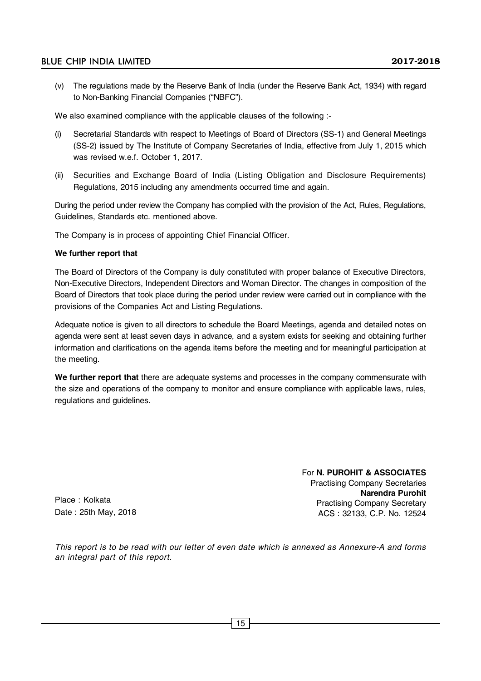(v) The regulations made by the Reserve Bank of India (under the Reserve Bank Act, 1934) with regard to Non-Banking Financial Companies ("NBFC").

We also examined compliance with the applicable clauses of the following :-

- (i) Secretarial Standards with respect to Meetings of Board of Directors (SS-1) and General Meetings (SS-2) issued by The Institute of Company Secretaries of India, effective from July 1, 2015 which was revised w.e.f. October 1, 2017.
- (ii) Securities and Exchange Board of India (Listing Obligation and Disclosure Requirements) Regulations, 2015 including any amendments occurred time and again.

During the period under review the Company has complied with the provision of the Act, Rules, Regulations, Guidelines, Standards etc. mentioned above.

The Company is in process of appointing Chief Financial Officer.

#### **We further report that**

The Board of Directors of the Company is duly constituted with proper balance of Executive Directors, Non-Executive Directors, Independent Directors and Woman Director. The changes in composition of the Board of Directors that took place during the period under review were carried out in compliance with the provisions of the Companies Act and Listing Regulations.

Adequate notice is given to all directors to schedule the Board Meetings, agenda and detailed notes on agenda were sent at least seven days in advance, and a system exists for seeking and obtaining further information and clarifications on the agenda items before the meeting and for meaningful participation at the meeting.

**We further report that** there are adequate systems and processes in the company commensurate with the size and operations of the company to monitor and ensure compliance with applicable laws, rules, regulations and guidelines.

Place : Kolkata Date : 25th May, 2018 For **N. PUROHIT & ASSOCIATES** Practising Company Secretaries **Narendra Purohit** Practising Company Secretary ACS : 32133, C.P. No. 12524

*This report is to be read with our letter of even date which is annexed as Annexure-A and forms an integral part of this report.*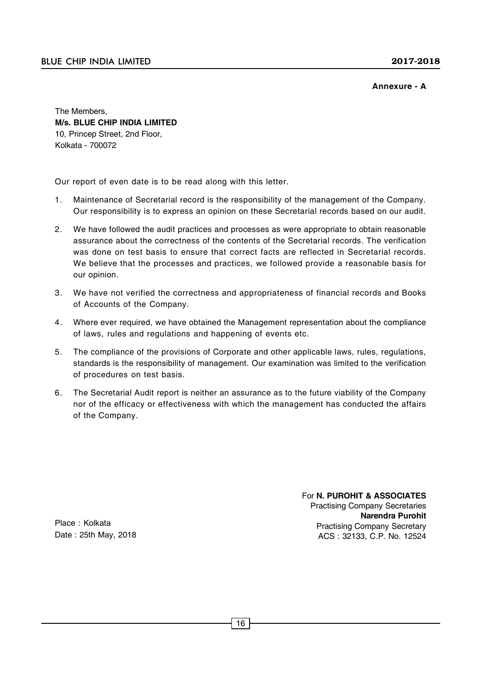**Annexure - A**

The Members, **M/s. BLUE CHIP INDIA LIMITED** 10, Princep Street, 2nd Floor, Kolkata - 700072

Our report of even date is to be read along with this letter.

- 1. Maintenance of Secretarial record is the responsibility of the management of the Company. Our responsibility is to express an opinion on these Secretarial records based on our audit.
- 2. We have followed the audit practices and processes as were appropriate to obtain reasonable assurance about the correctness of the contents of the Secretarial records. The verification was done on test basis to ensure that correct facts are reflected in Secretarial records. We believe that the processes and practices, we followed provide a reasonable basis for our opinion.
- 3. We have not verified the correctness and appropriateness of financial records and Books of Accounts of the Company.
- 4. Where ever required, we have obtained the Management representation about the compliance of laws, rules and regulations and happening of events etc.
- 5. The compliance of the provisions of Corporate and other applicable laws, rules, regulations, standards is the responsibility of management. Our examination was limited to the verification of procedures on test basis.
- 6. The Secretarial Audit report is neither an assurance as to the future viability of the Company nor of the efficacy or effectiveness with which the management has conducted the affairs of the Company.

Place : Kolkata Date : 25th May, 2018 For **N. PUROHIT & ASSOCIATES** Practising Company Secretaries **Narendra Purohit** Practising Company Secretary ACS : 32133, C.P. No. 12524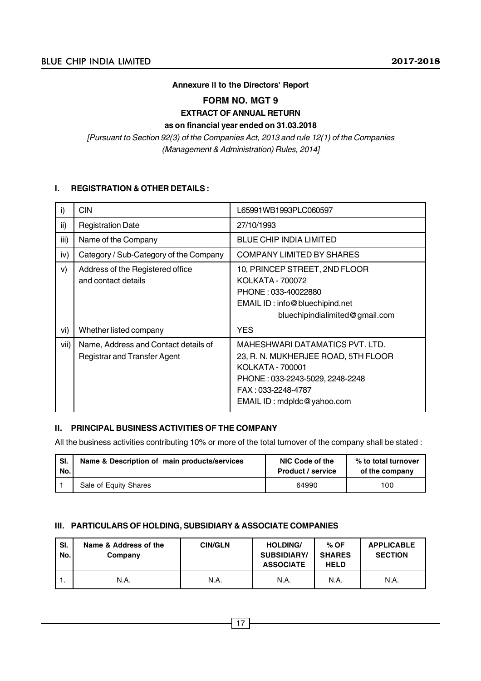#### **Annexure II to the Directors' Report**

#### **FORM NO. MGT 9 EXTRACT OF ANNUAL RETURN**

#### **as on financial year ended on 31.03.2018**

*[Pursuant to Section 92(3) of the Companies Act, 2013 and rule 12(1) of the Companies (Management & Administration) Rules, 2014]*

#### **I. REGISTRATION & OTHER DETAILS :**

| i)   | <b>CIN</b>                                                                  | L65991WB1993PLC060597                                                                                                                                                                    |
|------|-----------------------------------------------------------------------------|------------------------------------------------------------------------------------------------------------------------------------------------------------------------------------------|
| ii)  | <b>Registration Date</b>                                                    | 27/10/1993                                                                                                                                                                               |
| iii) | Name of the Company                                                         | <b>BLUE CHIP INDIA LIMITED</b>                                                                                                                                                           |
| iv)  | Category / Sub-Category of the Company                                      | <b>COMPANY LIMITED BY SHARES</b>                                                                                                                                                         |
| V)   | Address of the Registered office<br>and contact details                     | 10, PRINCEP STREET, 2ND FLOOR<br>KOLKATA - 700072<br>PHONE: 033-40022880<br>EMAIL ID: info@bluechipind.net<br>bluechipindialimited@gmail.com                                             |
| vi)  | Whether listed company                                                      | <b>YES</b>                                                                                                                                                                               |
| vii) | Name, Address and Contact details of<br><b>Registrar and Transfer Agent</b> | <b>MAHESHWARI DATAMATICS PVT. LTD.</b><br>23, R. N. MUKHERJEE ROAD, 5TH FLOOR<br>KOLKATA - 700001<br>PHONE: 033-2243-5029, 2248-2248<br>FAX: 033-2248-4787<br>EMAIL ID: mdpldc@yahoo.com |

#### **II. PRINCIPAL BUSINESS ACTIVITIES OF THE COMPANY**

All the business activities contributing 10% or more of the total turnover of the company shall be stated :

| SI. | Name & Description of main products/services | NIC Code of the          | % to total turnover |  |
|-----|----------------------------------------------|--------------------------|---------------------|--|
| No. |                                              | <b>Product / service</b> | of the company      |  |
|     | Sale of Equity Shares                        | 64990                    | 100                 |  |

#### **III. PARTICULARS OF HOLDING, SUBSIDIARY & ASSOCIATE COMPANIES**

| SI.<br>No. | Name & Address of the<br>Company | <b>CIN/GLN</b> | <b>HOLDING/</b><br><b>SUBSIDIARY/</b><br><b>ASSOCIATE</b> | $%$ OF<br><b>SHARES</b><br><b>HELD</b> | <b>APPLICABLE</b><br><b>SECTION</b> |
|------------|----------------------------------|----------------|-----------------------------------------------------------|----------------------------------------|-------------------------------------|
|            | N.A.                             | N.A.           | N.A.                                                      | N.A.                                   | N.A.                                |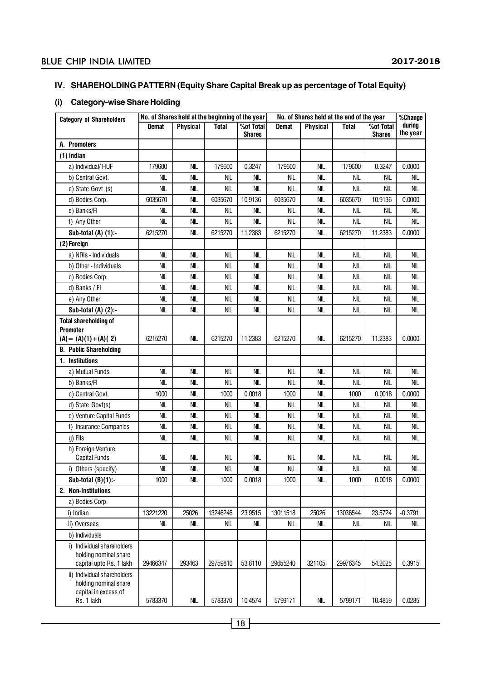#### **IV. SHAREHOLDING PATTERN (Equity Share Capital Break up as percentage of Total Equity)**

#### **(i) Category-wise Share Holding**

| <b>Category of Shareholders</b>                      | No. of Shares held at the beginning of the year |                 |              |                            |              | No. of Shares held at the end of the year |              |                                           | $%$ Change         |
|------------------------------------------------------|-------------------------------------------------|-----------------|--------------|----------------------------|--------------|-------------------------------------------|--------------|-------------------------------------------|--------------------|
|                                                      | <b>Demat</b>                                    | <b>Physical</b> | <b>Total</b> | %of Total<br><b>Shares</b> | <b>Demat</b> | <b>Physical</b>                           | <b>Total</b> | $\overline{\%}$ of Total<br><b>Shares</b> | during<br>the year |
| A. Promoters                                         |                                                 |                 |              |                            |              |                                           |              |                                           |                    |
| $(1)$ Indian                                         |                                                 |                 |              |                            |              |                                           |              |                                           |                    |
| a) Individual/HUF                                    | 179600                                          | NIL             | 179600       | 0.3247                     | 179600       | <b>NIL</b>                                | 179600       | 0.3247                                    | 0.0000             |
| b) Central Govt.                                     | <b>NIL</b>                                      | <b>NIL</b>      | <b>NIL</b>   | <b>NIL</b>                 | <b>NIL</b>   | <b>NIL</b>                                | <b>NIL</b>   | <b>NIL</b>                                | <b>NIL</b>         |
| c) State Govt (s)                                    | <b>NIL</b>                                      | <b>NIL</b>      | <b>NIL</b>   | NIL                        | <b>NIL</b>   | <b>NIL</b>                                | <b>NIL</b>   | <b>NIL</b>                                | NIL                |
| d) Bodies Corp.                                      | 6035670                                         | <b>NIL</b>      | 6035670      | 10.9136                    | 6035670      | <b>NIL</b>                                | 6035670      | 10.9136                                   | 0.0000             |
| e) Banks/Fl                                          | <b>NIL</b>                                      | <b>NIL</b>      | <b>NIL</b>   | <b>NIL</b>                 | NIL          | <b>NIL</b>                                | <b>NIL</b>   | <b>NIL</b>                                | NIL                |
| f) Any Other                                         | <b>NIL</b>                                      | <b>NIL</b>      | NIL          | <b>NIL</b>                 | <b>NIL</b>   | <b>NIL</b>                                | <b>NIL</b>   | <b>NIL</b>                                | <b>NIL</b>         |
| Sub-total (A) $(1)$ :-                               | 6215270                                         | <b>NIL</b>      | 6215270      | 11.2383                    | 6215270      | <b>NIL</b>                                | 6215270      | 11.2383                                   | 0.0000             |
| (2) Foreign                                          |                                                 |                 |              |                            |              |                                           |              |                                           |                    |
| a) NRIs - Individuals                                | <b>NIL</b>                                      | <b>NIL</b>      | <b>NIL</b>   | <b>NIL</b>                 | <b>NIL</b>   | <b>NIL</b>                                | <b>NIL</b>   | <b>NIL</b>                                | <b>NIL</b>         |
| b) Other - Individuals                               | <b>NIL</b>                                      | <b>NIL</b>      | <b>NIL</b>   | <b>NIL</b>                 | <b>NIL</b>   | <b>NIL</b>                                | <b>NIL</b>   | <b>NIL</b>                                | <b>NIL</b>         |
| c) Bodies Corp.                                      | <b>NIL</b>                                      | <b>NIL</b>      | NIL          | <b>NIL</b>                 | <b>NIL</b>   | <b>NIL</b>                                | <b>NIL</b>   | <b>NIL</b>                                | <b>NIL</b>         |
| d) Banks / Fl                                        | <b>NIL</b>                                      | <b>NIL</b>      | <b>NIL</b>   | <b>NIL</b>                 | <b>NIL</b>   | NIL                                       | <b>NIL</b>   | <b>NIL</b>                                | <b>NIL</b>         |
| e) Any Other                                         | <b>NIL</b>                                      | <b>NIL</b>      | <b>NIL</b>   | NIL                        | <b>NIL</b>   | <b>NIL</b>                                | <b>NIL</b>   | <b>NIL</b>                                | <b>NIL</b>         |
| Sub-total $(A)$ $(2)$ :-                             | <b>NIL</b>                                      | <b>NIL</b>      | <b>NIL</b>   | NIL                        | <b>NIL</b>   | <b>NIL</b>                                | <b>NIL</b>   | <b>NIL</b>                                | <b>NIL</b>         |
| <b>Total shareholding of</b>                         |                                                 |                 |              |                            |              |                                           |              |                                           |                    |
| <b>Promoter</b>                                      | 6215270                                         |                 | 6215270      | 11.2383                    |              |                                           |              | 11.2383                                   | 0.0000             |
| $(A) = (A)(1) + (A)(2)$                              |                                                 | <b>NIL</b>      |              |                            | 6215270      | <b>NIL</b>                                | 6215270      |                                           |                    |
| <b>B. Public Shareholding</b><br>1. Institutions     |                                                 |                 |              |                            |              |                                           |              |                                           |                    |
| a) Mutual Funds                                      | <b>NIL</b>                                      | <b>NIL</b>      | <b>NIL</b>   | <b>NIL</b>                 | <b>NIL</b>   | <b>NIL</b>                                | <b>NIL</b>   | <b>NIL</b>                                | <b>NIL</b>         |
| b) Banks/Fl                                          | <b>NIL</b>                                      | <b>NIL</b>      | <b>NIL</b>   | <b>NIL</b>                 | <b>NIL</b>   | <b>NIL</b>                                | <b>NIL</b>   | <b>NIL</b>                                | NIL                |
| c) Central Govt.                                     | 1000                                            | <b>NIL</b>      | 1000         | 0.0018                     | 1000         | <b>NIL</b>                                | 1000         | 0.0018                                    | 0.0000             |
| d) State Govt(s)                                     | NIL                                             | <b>NIL</b>      | <b>NIL</b>   | NIL                        | <b>NIL</b>   | <b>NIL</b>                                | <b>NIL</b>   | NIL                                       | <b>NIL</b>         |
| e) Venture Capital Funds                             | <b>NIL</b>                                      | <b>NIL</b>      | NIL          | NIL                        | <b>NIL</b>   | <b>NIL</b>                                | <b>NIL</b>   | <b>NIL</b>                                | <b>NIL</b>         |
| f) Insurance Companies                               | <b>NIL</b>                                      | <b>NIL</b>      | <b>NIL</b>   | <b>NIL</b>                 | <b>NIL</b>   | <b>NIL</b>                                | <b>NIL</b>   | NIL                                       | NIL                |
| g) Flls                                              | <b>NIL</b>                                      | <b>NIL</b>      | <b>NIL</b>   | <b>NIL</b>                 | <b>NIL</b>   | NIL                                       | <b>NIL</b>   | <b>NIL</b>                                | <b>NIL</b>         |
| h) Foreign Venture                                   |                                                 |                 |              |                            |              |                                           |              |                                           |                    |
| <b>Capital Funds</b>                                 | NIL                                             | <b>NIL</b>      | NIL          | NIL                        | NIL          | NIL                                       | <b>NIL</b>   | NIL                                       | NIL                |
| i) Others (specify)                                  | <b>NIL</b>                                      | <b>NIL</b>      | <b>NIL</b>   | NIL                        | <b>NIL</b>   | <b>NIL</b>                                | <b>NIL</b>   | <b>NIL</b>                                | <b>NIL</b>         |
| Sub-total $(B)(1)$ :-                                | 1000                                            | <b>NIL</b>      | 1000         | 0.0018                     | 1000         | <b>NIL</b>                                | 1000         | 0.0018                                    | 0.0000             |
| 2. Non-Institutions                                  |                                                 |                 |              |                            |              |                                           |              |                                           |                    |
| a) Bodies Corp.                                      |                                                 |                 |              |                            |              |                                           |              |                                           |                    |
| i) Indian                                            | 13221220                                        | 25026           | 13246246     | 23.9515                    | 13011518     | 25026                                     | 13036544     | 23.5724                                   | $-0.3791$          |
| ii) Overseas                                         | NIL                                             | <b>NIL</b>      | NIL          | NIL                        | <b>NIL</b>   | NIL                                       | NIL          | NIL                                       | NIL                |
| b) Individuals                                       |                                                 |                 |              |                            |              |                                           |              |                                           |                    |
| i) Individual shareholders                           |                                                 |                 |              |                            |              |                                           |              |                                           |                    |
| holding nominal share                                |                                                 |                 |              |                            |              |                                           |              |                                           |                    |
| capital upto Rs. 1 lakh                              | 29466347                                        | 293463          | 29759810     | 53.8110                    | 29655240     | 321105                                    | 29976345     | 54.2025                                   | 0.3915             |
| ii) Individual shareholders<br>holding nominal share |                                                 |                 |              |                            |              |                                           |              |                                           |                    |
| capital in excess of                                 |                                                 |                 |              |                            |              |                                           |              |                                           |                    |
| Rs. 1 lakh                                           | 5783370                                         | <b>NIL</b>      | 5783370      | 10.4574                    | 5799171      | <b>NIL</b>                                | 5799171      | 10.4859                                   | 0.0285             |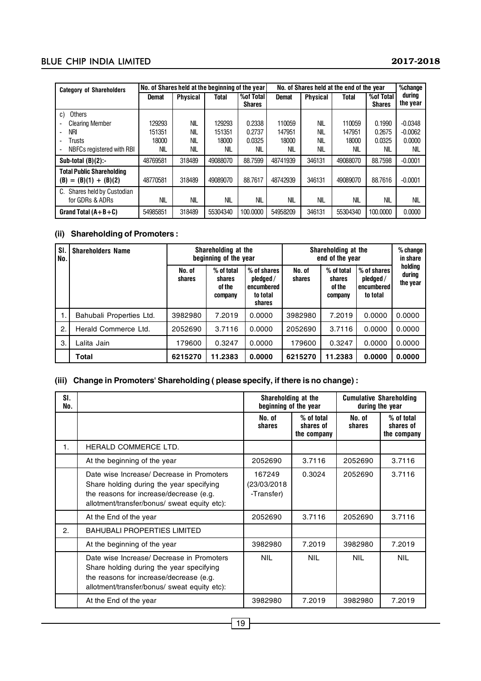| <b>Category of Shareholders</b>                             | No. of Shares held at the beginning of the year |                 |              | No. of Shares held at the end of the year |              |                 |              | %change                    |                    |
|-------------------------------------------------------------|-------------------------------------------------|-----------------|--------------|-------------------------------------------|--------------|-----------------|--------------|----------------------------|--------------------|
|                                                             | <b>Demat</b>                                    | <b>Physical</b> | <b>Total</b> | %of Total<br><b>Shares</b>                | <b>Demat</b> | <b>Physical</b> | <b>Total</b> | %of Total<br><b>Shares</b> | during<br>the year |
| <b>Others</b><br>C)                                         |                                                 |                 |              |                                           |              |                 |              |                            |                    |
| <b>Clearing Member</b>                                      | 129293                                          | <b>NIL</b>      | 129293       | 0.2338                                    | 110059       | <b>NIL</b>      | 110059       | 0.1990                     | $-0.0348$          |
| NRI                                                         | 151351                                          | <b>NIL</b>      | 151351       | 0.2737                                    | 147951       | NIL             | 147951       | 0.2675                     | $-0.0062$          |
| Trusts                                                      | 18000                                           | <b>NIL</b>      | 18000        | 0.0325                                    | 18000        | <b>NIL</b>      | 18000        | 0.0325                     | 0.0000             |
| NBFCs registered with RBI                                   | NIL                                             | NIL             | NIL          | nil                                       | <b>NIL</b>   | NIL             | NIL          | NIL                        | <b>NIL</b>         |
| Sub-total $(B)(2)$ :-                                       | 48769581                                        | 318489          | 49088070     | 88.7599                                   | 48741939     | 346131          | 49088070     | 88.7598                    | $-0.0001$          |
| <b>Total Public Shareholding</b><br>$(B) = (B)(1) + (B)(2)$ | 48770581                                        | 318489          | 49089070     | 88.7617                                   | 48742939     | 346131          | 49089070     | 88.7616                    | $-0.0001$          |
| Shares held by Custodian<br>C.                              |                                                 |                 |              |                                           |              |                 |              |                            |                    |
| for GDRs & ADRs                                             | NIL                                             | <b>NIL</b>      | NIL          | <b>NIL</b>                                | <b>NIL</b>   | <b>NIL</b>      | <b>NIL</b>   | NIL                        | <b>NIL</b>         |
| Grand Total $(A+B+C)$                                       | 54985851                                        | 318489          | 55304340     | 100.0000                                  | 54958209     | 346131          | 55304340     | 100,0000                   | 0.0000             |

#### **(ii) Shareholding of Promoters :**

| <b>SI</b><br>No. | <b>Shareholders Name</b> | Shareholding at the<br>beginning of the year |                                           |                                                               | Shareholding at the<br>end of the year | $%$ change<br>in share                    |                                                   |                               |
|------------------|--------------------------|----------------------------------------------|-------------------------------------------|---------------------------------------------------------------|----------------------------------------|-------------------------------------------|---------------------------------------------------|-------------------------------|
|                  |                          | No. of<br>shares                             | % of total<br>shares<br>of the<br>company | $%$ of shares<br>pleded /<br>encumbered<br>to total<br>shares | No. of<br>shares                       | % of total<br>shares<br>of the<br>company | % of shares<br>pledged/<br>encumbered<br>to total | holding<br>during<br>the year |
|                  | Bahubali Properties Ltd. | 3982980                                      | 7.2019                                    | 0.0000                                                        | 3982980                                | 7.2019                                    | 0.0000                                            | 0.0000                        |
| 2.               | Herald Commerce Ltd.     | 2052690                                      | 3.7116                                    | 0.0000                                                        | 2052690                                | 3.7116                                    | 0.0000                                            | 0.0000                        |
| 3.               | Lalita Jain              | 179600                                       | 0.3247                                    | 0.0000                                                        | 179600                                 | 0.3247                                    | 0.0000                                            | 0.0000                        |
|                  | Total                    | 6215270                                      | 11.2383                                   | 0.0000                                                        | 6215270                                | 11.2383                                   | 0.0000                                            | 0.0000                        |

#### **(iii) Change in Promoters' Shareholding ( please specify, if there is no change) :**

| SI.<br>No. |                                                                                                                                                                                  | Shareholding at the<br>beginning of the year |                                        | <b>Cumulative Shareholding</b><br>during the year |                                        |  |
|------------|----------------------------------------------------------------------------------------------------------------------------------------------------------------------------------|----------------------------------------------|----------------------------------------|---------------------------------------------------|----------------------------------------|--|
|            |                                                                                                                                                                                  | No. of<br>shares                             | % of total<br>shares of<br>the company | No. of<br>shares                                  | % of total<br>shares of<br>the company |  |
| 1.         | HERALD COMMERCE LTD.                                                                                                                                                             |                                              |                                        |                                                   |                                        |  |
|            | At the beginning of the year                                                                                                                                                     | 2052690                                      | 3.7116                                 | 2052690                                           | 3.7116                                 |  |
|            | Date wise Increase/ Decrease in Promoters<br>Share holding during the year specifying<br>the reasons for increase/decrease (e.g.<br>allotment/transfer/bonus/ sweat equity etc): | 167249<br>(23/03/2018)<br>-Transfer)         | 0.3024                                 | 2052690                                           | 3.7116                                 |  |
|            | At the End of the year                                                                                                                                                           | 2052690                                      | 3.7116                                 | 2052690                                           | 3.7116                                 |  |
| 2.         | <b>BAHUBALI PROPERTIES LIMITED</b>                                                                                                                                               |                                              |                                        |                                                   |                                        |  |
|            | At the beginning of the year                                                                                                                                                     | 3982980                                      | 7.2019                                 | 3982980                                           | 7.2019                                 |  |
|            | Date wise Increase/ Decrease in Promoters<br>Share holding during the year specifying<br>the reasons for increase/decrease (e.g.<br>allotment/transfer/bonus/ sweat equity etc): | <b>NIL</b>                                   | <b>NIL</b>                             | <b>NIL</b>                                        | <b>NIL</b>                             |  |
|            | At the End of the year                                                                                                                                                           | 3982980                                      | 7.2019                                 | 3982980                                           | 7.2019                                 |  |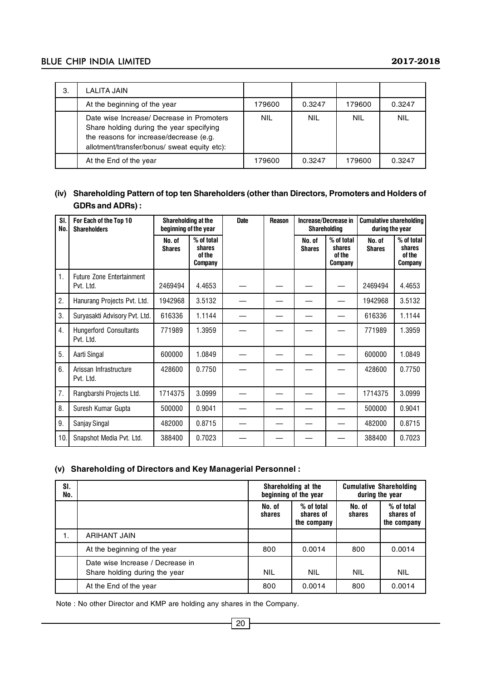| З. | LALITA JAIN                                                                                                                                                                      |            |            |            |            |
|----|----------------------------------------------------------------------------------------------------------------------------------------------------------------------------------|------------|------------|------------|------------|
|    | At the beginning of the year                                                                                                                                                     | 179600     | 0.3247     | 179600     | 0.3247     |
|    | Date wise Increase/ Decrease in Promoters<br>Share holding during the year specifying<br>the reasons for increase/decrease (e.g.<br>allotment/transfer/bonus/ sweat equity etc): | <b>NIL</b> | <b>NIL</b> | <b>NIL</b> | <b>NIL</b> |
|    | At the End of the year                                                                                                                                                           | 179600     | 0.3247     | 179600     | 0.3247     |

#### **(iv) Shareholding Pattern of top ten Shareholders (other than Directors, Promoters and Holders of GDRs and ADRs) :**

| SI.<br>No.       | For Each of the Top 10<br><b>Shareholders</b> | Shareholding at the<br>beginning of the year |                                           | <b>Date</b> | Reason | Increase/Decrease in<br><b>Shareholding</b> |                                           | <b>Cumulative shareholding</b><br>during the year |                                                  |
|------------------|-----------------------------------------------|----------------------------------------------|-------------------------------------------|-------------|--------|---------------------------------------------|-------------------------------------------|---------------------------------------------------|--------------------------------------------------|
|                  |                                               | No. of<br><b>Shares</b>                      | % of total<br>shares<br>of the<br>Company |             |        | No. of<br><b>Shares</b>                     | % of total<br>shares<br>of the<br>Company | No. of<br><b>Shares</b>                           | % of total<br>shares<br>of the<br><b>Company</b> |
| $\mathbf{1}$     | <b>Future Zone Entertainment</b><br>Pvt. Ltd. | 2469494                                      | 4.4653                                    |             |        |                                             |                                           | 2469494                                           | 4.4653                                           |
| 2.               | Hanurang Projects Pvt. Ltd.                   | 1942968                                      | 3.5132                                    |             |        |                                             |                                           | 1942968                                           | 3.5132                                           |
| 3.               | Suryasakti Advisory Pvt. Ltd.                 | 616336                                       | 1.1144                                    |             |        |                                             |                                           | 616336                                            | 1.1144                                           |
| $\overline{4}$ . | <b>Hungerford Consultants</b><br>Pvt. Ltd.    | 771989                                       | 1.3959                                    |             |        |                                             |                                           | 771989                                            | 1.3959                                           |
| 5.               | Aarti Singal                                  | 600000                                       | 1.0849                                    |             |        |                                             |                                           | 600000                                            | 1.0849                                           |
| 6.               | Arissan Infrastructure<br>Pvt. Ltd.           | 428600                                       | 0.7750                                    |             |        |                                             |                                           | 428600                                            | 0.7750                                           |
| 7.               | Rangbarshi Projects Ltd.                      | 1714375                                      | 3.0999                                    |             |        |                                             |                                           | 1714375                                           | 3.0999                                           |
| 8.               | Suresh Kumar Gupta                            | 500000                                       | 0.9041                                    |             |        |                                             |                                           | 500000                                            | 0.9041                                           |
| 9.               | Sanjay Singal                                 | 482000                                       | 0.8715                                    |             |        |                                             |                                           | 482000                                            | 0.8715                                           |
| 10.              | Snapshot Media Pvt. Ltd.                      | 388400                                       | 0.7023                                    |             |        |                                             |                                           | 388400                                            | 0.7023                                           |

#### **(v) Shareholding of Directors and Key Managerial Personnel :**

| SI.<br>No. |                                                                   | Shareholding at the<br>beginning of the year |                                        | <b>Cumulative Shareholding</b><br>during the year |                                        |
|------------|-------------------------------------------------------------------|----------------------------------------------|----------------------------------------|---------------------------------------------------|----------------------------------------|
|            |                                                                   | No. of<br>shares                             | % of total<br>shares of<br>the company | No. of<br>shares                                  | % of total<br>shares of<br>the company |
| 1.         | <b>ARIHANT JAIN</b>                                               |                                              |                                        |                                                   |                                        |
|            | At the beginning of the year                                      | 800                                          | 0.0014                                 | 800                                               | 0.0014                                 |
|            | Date wise Increase / Decrease in<br>Share holding during the year | <b>NIL</b>                                   | <b>NIL</b>                             | <b>NIL</b>                                        | <b>NIL</b>                             |
|            | At the End of the year                                            | 800                                          | 0.0014                                 | 800                                               | 0.0014                                 |

Note : No other Director and KMP are holding any shares in the Company.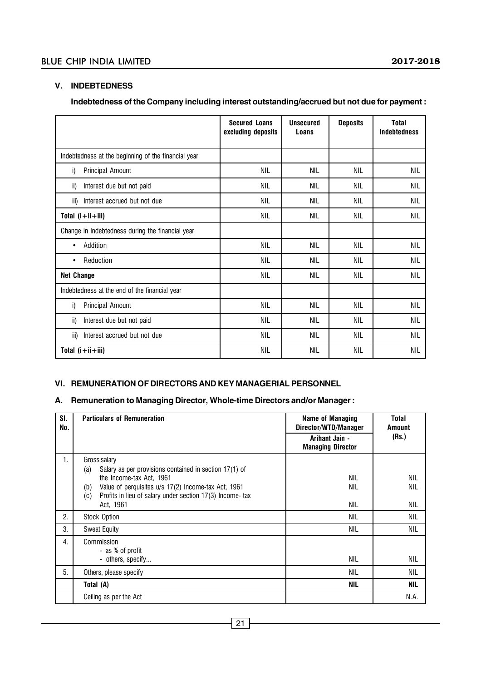#### **V. INDEBTEDNESS**

#### **Indebtedness of the Company including interest outstanding/accrued but not due for payment :**

|                                                     | <b>Secured Loans</b><br>excluding deposits | <b>Unsecured</b><br>Loans | <b>Deposits</b> | <b>Total</b><br><b>Indebtedness</b> |
|-----------------------------------------------------|--------------------------------------------|---------------------------|-----------------|-------------------------------------|
| Indebtedness at the beginning of the financial year |                                            |                           |                 |                                     |
| Principal Amount<br>i)                              | NIL                                        | <b>NIL</b>                | <b>NIL</b>      | <b>NIL</b>                          |
| Interest due but not paid<br>ii)                    | <b>NIL</b>                                 | <b>NIL</b>                | <b>NIL</b>      | <b>NIL</b>                          |
| Interest accrued but not due<br>iii)                | <b>NIL</b>                                 | <b>NIL</b>                | <b>NIL</b>      | <b>NIL</b>                          |
| Total $(i+ii+iii)$                                  | <b>NIL</b>                                 | <b>NIL</b>                | <b>NIL</b>      | <b>NIL</b>                          |
| Change in Indebtedness during the financial year    |                                            |                           |                 |                                     |
| Addition<br>$\bullet$                               | <b>NIL</b>                                 | <b>NIL</b>                | <b>NIL</b>      | <b>NIL</b>                          |
| Reduction<br>$\bullet$                              | <b>NIL</b>                                 | <b>NIL</b>                | <b>NIL</b>      | <b>NIL</b>                          |
| <b>Net Change</b>                                   | <b>NIL</b>                                 | <b>NIL</b>                | <b>NIL</b>      | <b>NIL</b>                          |
| Indebtedness at the end of the financial year       |                                            |                           |                 |                                     |
| Principal Amount<br>i)                              | <b>NIL</b>                                 | <b>NIL</b>                | <b>NIL</b>      | <b>NIL</b>                          |
| Interest due but not paid<br>ii)                    | <b>NIL</b>                                 | <b>NIL</b>                | <b>NIL</b>      | <b>NIL</b>                          |
| Interest accrued but not due<br>iii)                | <b>NIL</b>                                 | <b>NIL</b>                | <b>NIL</b>      | <b>NIL</b>                          |
| Total $(i+ii+iii)$                                  | <b>NIL</b>                                 | <b>NIL</b>                | <b>NIL</b>      | <b>NIL</b>                          |

#### **VI. REMUNERATION OF DIRECTORS AND KEY MANAGERIAL PERSONNEL**

#### **A. Remuneration to Managing Director, Whole-time Directors and/or Manager :**

| SI.<br>No. | <b>Particulars of Remuneration</b>                                                                                                                                                                                                                       | <b>Name of Managing</b><br>Director/WTD/Manager | <b>Total</b><br>Amount          |  |
|------------|----------------------------------------------------------------------------------------------------------------------------------------------------------------------------------------------------------------------------------------------------------|-------------------------------------------------|---------------------------------|--|
|            |                                                                                                                                                                                                                                                          | Arihant Jain -<br><b>Managing Director</b>      | (Rs.)                           |  |
| 1.         | Gross salary<br>Salary as per provisions contained in section 17(1) of<br>(a)<br>the Income-tax Act, 1961<br>Value of perquisites u/s 17(2) Income-tax Act, 1961<br>(b)<br>Profits in lieu of salary under section 17(3) Income- tax<br>(c)<br>Act, 1961 | NIL<br><b>NIL</b><br><b>NIL</b>                 | NIL<br><b>NIL</b><br><b>NIL</b> |  |
| 2.         | Stock Option                                                                                                                                                                                                                                             | <b>NIL</b>                                      | <b>NIL</b>                      |  |
| 3.         | <b>Sweat Equity</b>                                                                                                                                                                                                                                      | NIL                                             | <b>NIL</b>                      |  |
| 4.         | Commission<br>- as % of profit<br>- others, specify                                                                                                                                                                                                      | NIL                                             | <b>NIL</b>                      |  |
| 5.         | Others, please specify                                                                                                                                                                                                                                   | NIL                                             | <b>NIL</b>                      |  |
|            | Total (A)                                                                                                                                                                                                                                                | <b>NIL</b>                                      | <b>NIL</b>                      |  |
|            | Ceiling as per the Act                                                                                                                                                                                                                                   |                                                 | N.A.                            |  |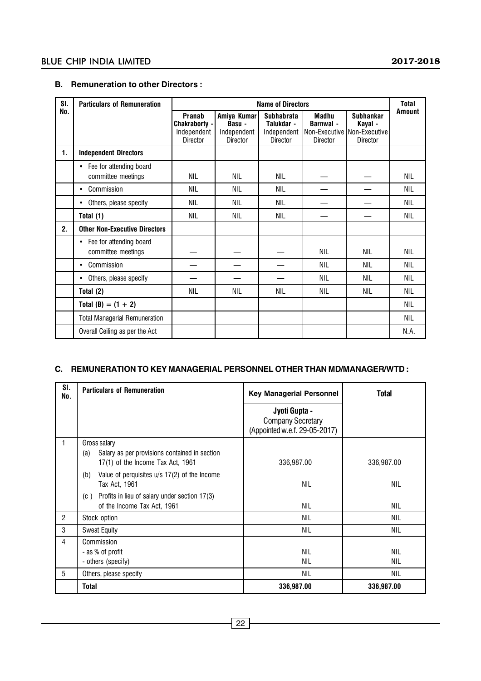#### **B. Remuneration to other Directors :**

| SI. | <b>Particulars of Remuneration</b>                         | <b>Name of Directors</b>                                  |                                                  |                                                            |                                       |                                                                        | <b>Total</b> |
|-----|------------------------------------------------------------|-----------------------------------------------------------|--------------------------------------------------|------------------------------------------------------------|---------------------------------------|------------------------------------------------------------------------|--------------|
| No. |                                                            | Pranab<br>Chakraborty -<br>Independent<br><b>Director</b> | Amiya Kumar<br>Basu -<br>Independent<br>Director | <b>Subhabrata</b><br>Talukdar -<br>Independent<br>Director | Madhu<br>Barnwal -<br><b>Director</b> | <b>Subhankar</b><br>Kayal -<br>Non-Executive Non-Executive<br>Director | Amount       |
| 1.  | <b>Independent Directors</b>                               |                                                           |                                                  |                                                            |                                       |                                                                        |              |
|     | Fee for attending board<br>$\bullet$<br>committee meetings | <b>NIL</b>                                                | <b>NIL</b>                                       | <b>NIL</b>                                                 |                                       |                                                                        | <b>NIL</b>   |
|     | Commission<br>$\bullet$                                    | <b>NIL</b>                                                | <b>NIL</b>                                       | <b>NIL</b>                                                 |                                       |                                                                        | <b>NIL</b>   |
|     | Others, please specify<br>٠                                | <b>NIL</b>                                                | <b>NIL</b>                                       | <b>NIL</b>                                                 |                                       |                                                                        | <b>NIL</b>   |
|     | Total (1)                                                  | <b>NIL</b>                                                | <b>NIL</b>                                       | <b>NIL</b>                                                 |                                       |                                                                        | <b>NIL</b>   |
| 2.  | <b>Other Non-Executive Directors</b>                       |                                                           |                                                  |                                                            |                                       |                                                                        |              |
|     | Fee for attending board<br>٠<br>committee meetings         |                                                           |                                                  |                                                            | <b>NIL</b>                            | <b>NIL</b>                                                             | NIL          |
|     | Commission<br>٠                                            |                                                           |                                                  |                                                            | <b>NIL</b>                            | <b>NIL</b>                                                             | NIL          |
|     | Others, please specify<br>٠                                |                                                           |                                                  |                                                            | <b>NIL</b>                            | <b>NIL</b>                                                             | NIL          |
|     | Total (2)                                                  | <b>NIL</b>                                                | <b>NIL</b>                                       | <b>NIL</b>                                                 | <b>NIL</b>                            | <b>NIL</b>                                                             | NIL          |
|     | Total $(B) = (1 + 2)$                                      |                                                           |                                                  |                                                            |                                       |                                                                        | NIL          |
|     | <b>Total Managerial Remuneration</b>                       |                                                           |                                                  |                                                            |                                       |                                                                        | NIL          |
|     | Overall Ceiling as per the Act                             |                                                           |                                                  |                                                            |                                       |                                                                        | N.A.         |

#### **C. REMUNERATION TO KEY MANAGERIAL PERSONNEL OTHER THAN MD/MANAGER/WTD :**

| SI.<br>No.     | <b>Particulars of Remuneration</b>                                                                        | <b>Key Managerial Personnel</b>                                            | <b>Total</b>             |
|----------------|-----------------------------------------------------------------------------------------------------------|----------------------------------------------------------------------------|--------------------------|
|                |                                                                                                           | Jyoti Gupta -<br><b>Company Secretary</b><br>(Appointed w.e.f. 29-05-2017) |                          |
|                | Gross salary<br>Salary as per provisions contained in section<br>(a)<br>17(1) of the Income Tax Act, 1961 | 336,987.00                                                                 | 336,987.00               |
|                | Value of perquisites u/s 17(2) of the Income<br>(b)<br>Tax Act, 1961                                      | <b>NIL</b>                                                                 | <b>NIL</b>               |
|                | Profits in lieu of salary under section 17(3)<br>(c)<br>of the Income Tax Act, 1961                       | <b>NIL</b>                                                                 | <b>NIL</b>               |
| $\overline{2}$ | Stock option                                                                                              | <b>NIL</b>                                                                 | <b>NIL</b>               |
| 3              | <b>Sweat Equity</b>                                                                                       | NIL                                                                        | NIL                      |
| 4              | Commission<br>- as % of profit<br>- others (specify)                                                      | <b>NIL</b><br><b>NIL</b>                                                   | <b>NIL</b><br><b>NIL</b> |
| 5              | Others, please specify                                                                                    | <b>NIL</b>                                                                 | NIL                      |
|                | <b>Total</b>                                                                                              | 336,987.00                                                                 | 336,987.00               |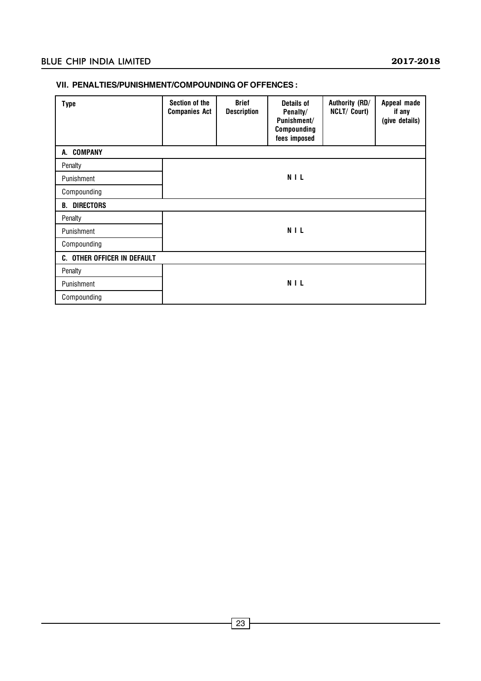#### **VII. PENALTIES/PUNISHMENT/COMPOUNDING OF OFFENCES :**

| <b>Type</b>                 | Section of the<br><b>Companies Act</b> | <b>Brief</b><br><b>Description</b> | <b>Details of</b><br>Penalty/<br>Punishment/<br>Compounding<br>fees imposed | Authority (RD/<br><b>NCLT/ Court)</b> | Appeal made<br>if any<br>(give details) |  |
|-----------------------------|----------------------------------------|------------------------------------|-----------------------------------------------------------------------------|---------------------------------------|-----------------------------------------|--|
| A. COMPANY                  |                                        |                                    |                                                                             |                                       |                                         |  |
| Penalty                     |                                        |                                    |                                                                             |                                       |                                         |  |
| Punishment                  | <b>NIL</b>                             |                                    |                                                                             |                                       |                                         |  |
| Compounding                 |                                        |                                    |                                                                             |                                       |                                         |  |
| <b>B. DIRECTORS</b>         |                                        |                                    |                                                                             |                                       |                                         |  |
| Penalty                     |                                        |                                    |                                                                             |                                       |                                         |  |
| Punishment                  |                                        |                                    | <b>NIL</b>                                                                  |                                       |                                         |  |
| Compounding                 |                                        |                                    |                                                                             |                                       |                                         |  |
| C. OTHER OFFICER IN DEFAULT |                                        |                                    |                                                                             |                                       |                                         |  |
| Penalty                     |                                        |                                    |                                                                             |                                       |                                         |  |
| Punishment                  | <b>NIL</b>                             |                                    |                                                                             |                                       |                                         |  |
| Compounding                 |                                        |                                    |                                                                             |                                       |                                         |  |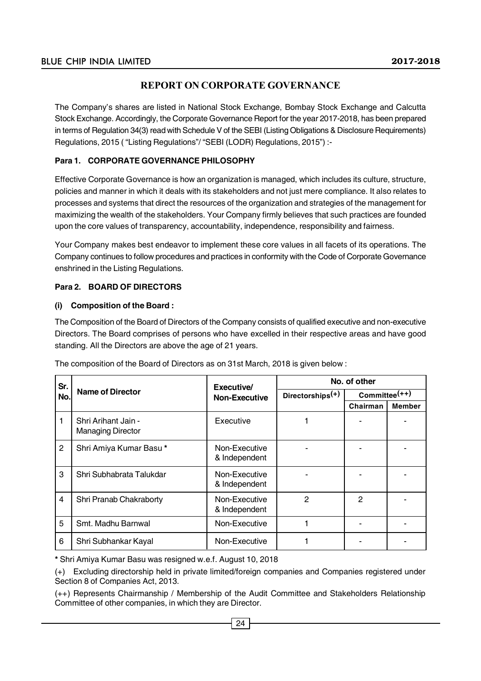#### **REPORT ON CORPORATE GOVERNANCE**

The Company's shares are listed in National Stock Exchange, Bombay Stock Exchange and Calcutta Stock Exchange. Accordingly, the Corporate Governance Report for the year 2017-2018, has been prepared in terms of Regulation 34(3) read with Schedule V of the SEBI (Listing Obligations & Disclosure Requirements) Regulations, 2015 ( "Listing Regulations"/ "SEBI (LODR) Regulations, 2015") :-

#### **Para 1. CORPORATE GOVERNANCE PHILOSOPHY**

Effective Corporate Governance is how an organization is managed, which includes its culture, structure, policies and manner in which it deals with its stakeholders and not just mere compliance. It also relates to processes and systems that direct the resources of the organization and strategies of the management for maximizing the wealth of the stakeholders. Your Company firmly believes that such practices are founded upon the core values of transparency, accountability, independence, responsibility and fairness.

Your Company makes best endeavor to implement these core values in all facets of its operations. The Company continues to follow procedures and practices in conformity with the Code of Corporate Governance enshrined in the Listing Regulations.

#### **Para 2. BOARD OF DIRECTORS**

#### **(i) Composition of the Board :**

The Composition of the Board of Directors of the Company consists of qualified executive and non-executive Directors. The Board comprises of persons who have excelled in their respective areas and have good standing. All the Directors are above the age of 21 years.

| Sr.            |                                                 | Executive/                     | No. of other        |                           |               |  |
|----------------|-------------------------------------------------|--------------------------------|---------------------|---------------------------|---------------|--|
| No.            | <b>Name of Director</b>                         | <b>Non-Executive</b>           | Directorships $(+)$ | Committee <sup>(++)</sup> |               |  |
|                |                                                 |                                |                     | Chairman                  | <b>Member</b> |  |
|                | Shri Arihant Jain -<br><b>Managing Director</b> | Executive                      |                     |                           |               |  |
| $\overline{2}$ | Shri Amiya Kumar Basu*                          | Non-Executive<br>& Independent |                     |                           |               |  |
| 3              | Shri Subhabrata Talukdar                        | Non-Executive<br>& Independent |                     |                           |               |  |
| $\overline{4}$ | Shri Pranab Chakraborty                         | Non-Executive<br>& Independent | 2                   | $\mathfrak{p}$            |               |  |
| 5              | Smt. Madhu Barnwal                              | Non-Executive                  |                     |                           |               |  |
| 6              | Shri Subhankar Kayal                            | Non-Executive                  |                     |                           |               |  |

The composition of the Board of Directors as on 31st March, 2018 is given below :

**\*** Shri Amiya Kumar Basu was resigned w.e.f. August 10, 2018

(+) Excluding directorship held in private limited/foreign companies and Companies registered under Section 8 of Companies Act, 2013.

(++) Represents Chairmanship / Membership of the Audit Committee and Stakeholders Relationship Committee of other companies, in which they are Director.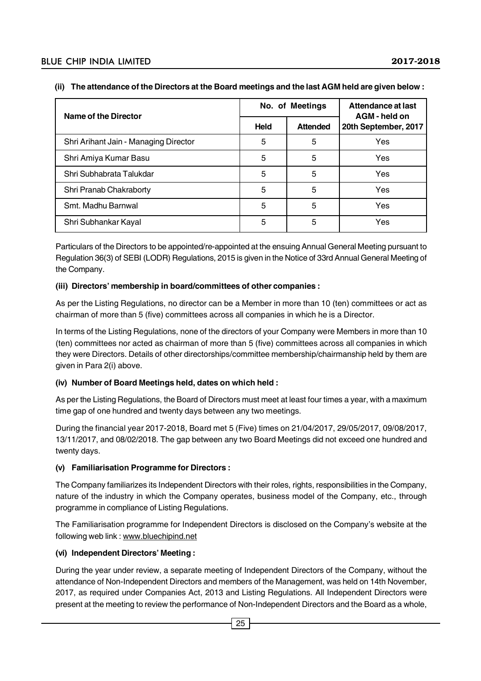| Name of the Director                  |             | No. of Meetings | Attendance at last<br>AGM - held on |
|---------------------------------------|-------------|-----------------|-------------------------------------|
|                                       | <b>Held</b> | <b>Attended</b> | 20th September, 2017                |
| Shri Arihant Jain - Managing Director | 5           | 5               | Yes                                 |
| Shri Amiya Kumar Basu                 | 5           | 5               | Yes                                 |
| Shri Subhabrata Talukdar              | 5           | 5               | Yes                                 |
| Shri Pranab Chakraborty               | 5           | 5               | Yes                                 |
| Smt. Madhu Barnwal                    | 5           | 5               | Yes                                 |
| Shri Subhankar Kayal                  | 5           | 5               | Yes                                 |

#### **(ii) The attendance of the Directors at the Board meetings and the last AGM held are given below :**

Particulars of the Directors to be appointed/re-appointed at the ensuing Annual General Meeting pursuant to Regulation 36(3) of SEBI (LODR) Regulations, 2015 is given in the Notice of 33rd Annual General Meeting of the Company.

#### **(iii) Directors' membership in board/committees of other companies :**

As per the Listing Regulations, no director can be a Member in more than 10 (ten) committees or act as chairman of more than 5 (five) committees across all companies in which he is a Director.

In terms of the Listing Regulations, none of the directors of your Company were Members in more than 10 (ten) committees nor acted as chairman of more than 5 (five) committees across all companies in which they were Directors. Details of other directorships/committee membership/chairmanship held by them are given in Para 2(i) above.

#### **(iv) Number of Board Meetings held, dates on which held :**

As per the Listing Regulations, the Board of Directors must meet at least four times a year, with a maximum time gap of one hundred and twenty days between any two meetings.

During the financial year 2017-2018, Board met 5 (Five) times on 21/04/2017, 29/05/2017, 09/08/2017, 13/11/2017, and 08/02/2018. The gap between any two Board Meetings did not exceed one hundred and twenty days.

#### **(v) Familiarisation Programme for Directors :**

The Company familiarizes its Independent Directors with their roles, rights, responsibilities in the Company, nature of the industry in which the Company operates, business model of the Company, etc., through programme in compliance of Listing Regulations.

The Familiarisation programme for Independent Directors is disclosed on the Company's website at the following web link : www.bluechipind.net

#### **(vi) Independent Directors' Meeting :**

During the year under review, a separate meeting of Independent Directors of the Company, without the attendance of Non-Independent Directors and members of the Management, was held on 14th November, 2017, as required under Companies Act, 2013 and Listing Regulations. All Independent Directors were present at the meeting to review the performance of Non-Independent Directors and the Board as a whole,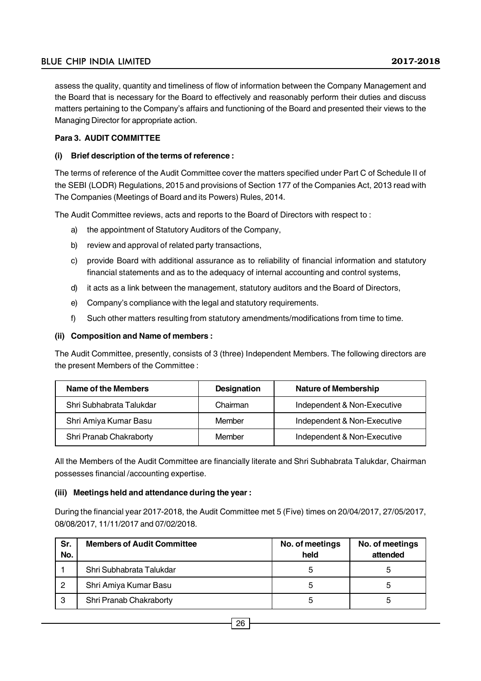assess the quality, quantity and timeliness of flow of information between the Company Management and the Board that is necessary for the Board to effectively and reasonably perform their duties and discuss matters pertaining to the Company's affairs and functioning of the Board and presented their views to the Managing Director for appropriate action.

#### **Para 3. AUDIT COMMITTEE**

#### **(i) Brief description of the terms of reference :**

The terms of reference of the Audit Committee cover the matters specified under Part C of Schedule II of the SEBI (LODR) Regulations, 2015 and provisions of Section 177 of the Companies Act, 2013 read with The Companies (Meetings of Board and its Powers) Rules, 2014.

The Audit Committee reviews, acts and reports to the Board of Directors with respect to :

- a) the appointment of Statutory Auditors of the Company,
- b) review and approval of related party transactions,
- c) provide Board with additional assurance as to reliability of financial information and statutory financial statements and as to the adequacy of internal accounting and control systems,
- d) it acts as a link between the management, statutory auditors and the Board of Directors,
- e) Company's compliance with the legal and statutory requirements.
- f) Such other matters resulting from statutory amendments/modifications from time to time.

#### **(ii) Composition and Name of members :**

The Audit Committee, presently, consists of 3 (three) Independent Members. The following directors are the present Members of the Committee :

| <b>Name of the Members</b> | <b>Designation</b> | <b>Nature of Membership</b> |
|----------------------------|--------------------|-----------------------------|
| Shri Subhabrata Talukdar   | Chairman           | Independent & Non-Executive |
| Shri Amiya Kumar Basu      | Member             | Independent & Non-Executive |
| Shri Pranab Chakraborty    | Member             | Independent & Non-Executive |

All the Members of the Audit Committee are financially literate and Shri Subhabrata Talukdar, Chairman possesses financial /accounting expertise.

#### **(iii) Meetings held and attendance during the year :**

During the financial year 2017-2018, the Audit Committee met 5 (Five) times on 20/04/2017, 27/05/2017, 08/08/2017, 11/11/2017 and 07/02/2018.

| Sr.<br>No. | <b>Members of Audit Committee</b> | No. of meetings<br>held | No. of meetings<br>attended |
|------------|-----------------------------------|-------------------------|-----------------------------|
|            | Shri Subhabrata Talukdar          |                         | 5                           |
| 2          | Shri Amiya Kumar Basu             |                         | 5                           |
| 3          | Shri Pranab Chakraborty           |                         | 5                           |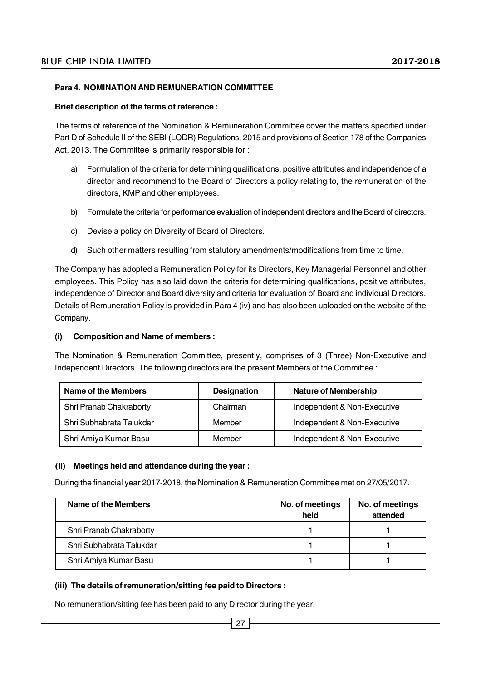#### **Para 4. NOMINATION AND REMUNERATION COMMITTEE**

#### **Brief description of the terms of reference :**

The terms of reference of the Nomination & Remuneration Committee cover the matters specified under Part D of Schedule II of the SEBI (LODR) Regulations, 2015 and provisions of Section 178 of the Companies Act, 2013. The Committee is primarily responsible for :

- a) Formulation of the criteria for determining qualifications, positive attributes and independence of a director and recommend to the Board of Directors a policy relating to, the remuneration of the directors, KMP and other employees.
- b) Formulate the criteria for performance evaluation of independent directors and the Board of directors.
- c) Devise a policy on Diversity of Board of Directors.
- d) Such other matters resulting from statutory amendments/modifications from time to time.

The Company has adopted a Remuneration Policy for its Directors, Key Managerial Personnel and other employees. This Policy has also laid down the criteria for determining qualifications, positive attributes, independence of Director and Board diversity and criteria for evaluation of Board and individual Directors. Details of Remuneration Policy is provided in Para 4 (iv) and has also been uploaded on the website of the Company.

#### **(i) Composition and Name of members :**

The Nomination & Remuneration Committee, presently, comprises of 3 (Three) Non-Executive and Independent Directors. The following directors are the present Members of the Committee :

| Name of the Members      | <b>Designation</b> | <b>Nature of Membership</b> |
|--------------------------|--------------------|-----------------------------|
| Shri Pranab Chakraborty  | Chairman           | Independent & Non-Executive |
| Shri Subhabrata Talukdar | Member             | Independent & Non-Executive |
| Shri Amiya Kumar Basu    | Member             | Independent & Non-Executive |

#### **(ii) Meetings held and attendance during the year :**

During the financial year 2017-2018, the Nomination & Remuneration Committee met on 27/05/2017.

| Name of the Members      | No. of meetings<br>held | No. of meetings<br>attended |
|--------------------------|-------------------------|-----------------------------|
| Shri Pranab Chakraborty  |                         |                             |
| Shri Subhabrata Talukdar |                         |                             |
| Shri Amiya Kumar Basu    |                         |                             |

#### **(iii) The details of remuneration/sitting fee paid to Directors :**

No remuneration/sitting fee has been paid to any Director during the year.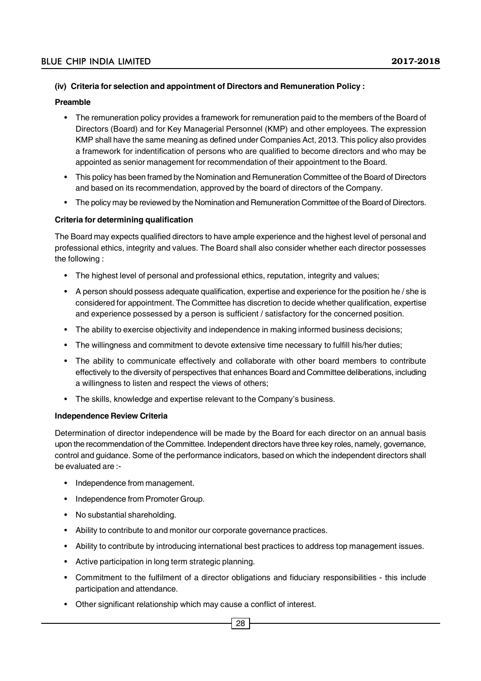#### **(iv) Criteria for selection and appointment of Directors and Remuneration Policy :**

#### **Preamble**

- The remuneration policy provides a framework for remuneration paid to the members of the Board of Directors (Board) and for Key Managerial Personnel (KMP) and other employees. The expression KMP shall have the same meaning as defined under Companies Act, 2013. This policy also provides a framework for indentification of persons who are qualified to become directors and who may be appointed as senior management for recommendation of their appointment to the Board.
- This policy has been framed by the Nomination and Remuneration Committee of the Board of Directors and based on its recommendation, approved by the board of directors of the Company.
- The policy may be reviewed by the Nomination and Remuneration Committee of the Board of Directors.

#### **Criteria for determining qualification**

The Board may expects qualified directors to have ample experience and the highest level of personal and professional ethics, integrity and values. The Board shall also consider whether each director possesses the following :

- The highest level of personal and professional ethics, reputation, integrity and values;
- A person should possess adequate qualification, expertise and experience for the position he / she is considered for appointment. The Committee has discretion to decide whether qualification, expertise and experience possessed by a person is sufficient / satisfactory for the concerned position.
- The ability to exercise objectivity and independence in making informed business decisions;
- The willingness and commitment to devote extensive time necessary to fulfill his/her duties;
- The ability to communicate effectively and collaborate with other board members to contribute effectively to the diversity of perspectives that enhances Board and Committee deliberations, including a willingness to listen and respect the views of others;
- The skills, knowledge and expertise relevant to the Company's business.

#### **Independence Review Criteria**

Determination of director independence will be made by the Board for each director on an annual basis upon the recommendation of the Committee. Independent directors have three key roles, namely, governance, control and guidance. Some of the performance indicators, based on which the independent directors shall be evaluated are :-

- Independence from management.
- Independence from Promoter Group.
- No substantial shareholding.
- Ability to contribute to and monitor our corporate governance practices.
- Ability to contribute by introducing international best practices to address top management issues.
- Active participation in long term strategic planning.
- Commitment to the fulfilment of a director obligations and fiduciary responsibilities this include participation and attendance.
- Other significant relationship which may cause a conflict of interest.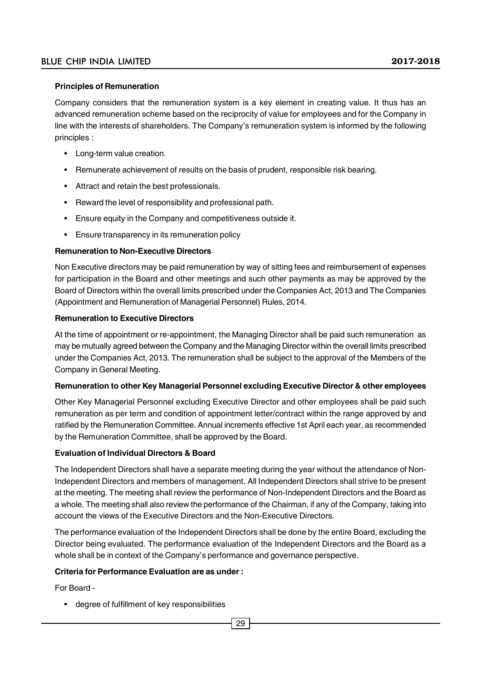#### **Principles of Remuneration**

Company considers that the remuneration system is a key element in creating value. It thus has an advanced remuneration scheme based on the reciprocity of value for employees and for the Company in line with the interests of shareholders. The Company's remuneration system is informed by the following principles :

- Long-term value creation.
- Remunerate achievement of results on the basis of prudent, responsible risk bearing.
- Attract and retain the best professionals.
- Reward the level of responsibility and professional path.
- Ensure equity in the Company and competitiveness outside it.
- Ensure transparency in its remuneration policy

#### **Remuneration to Non-Executive Directors**

Non Executive directors may be paid remuneration by way of sitting fees and reimbursement of expenses for participation in the Board and other meetings and such other payments as may be approved by the Board of Directors within the overall limits prescribed under the Companies Act, 2013 and The Companies (Appointment and Remuneration of Managerial Personnel) Rules, 2014.

#### **Remuneration to Executive Directors**

At the time of appointment or re-appointment, the Managing Director shall be paid such remuneration as may be mutually agreed between the Company and the Managing Director within the overall limits prescribed under the Companies Act, 2013. The remuneration shall be subject to the approval of the Members of the Company in General Meeting.

#### **Remuneration to other Key Managerial Personnel excluding Executive Director & other employees**

Other Key Managerial Personnel excluding Executive Director and other employees shall be paid such remuneration as per term and condition of appointment letter/contract within the range approved by and ratified by the Remuneration Committee. Annual increments effective 1st April each year, as recommended by the Remuneration Committee, shall be approved by the Board.

#### **Evaluation of Individual Directors & Board**

The Independent Directors shall have a separate meeting during the year without the attendance of Non-Independent Directors and members of management. All Independent Directors shall strive to be present at the meeting. The meeting shall review the performance of Non-Independent Directors and the Board as a whole. The meeting shall also review the performance of the Chairman, if any of the Company, taking into account the views of the Executive Directors and the Non-Executive Directors.

The performance evaluation of the Independent Directors shall be done by the entire Board, excluding the Director being evaluated. The performance evaluation of the Independent Directors and the Board as a whole shall be in context of the Company's performance and governance perspective.

#### **Criteria for Performance Evaluation are as under :**

For Board -

• degree of fulfillment of key responsibilities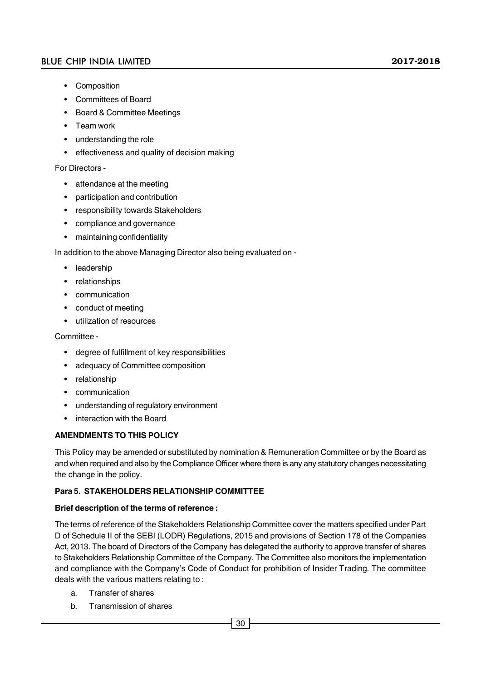- Composition
- Committees of Board
- Board & Committee Meetings
- Team work
- understanding the role
- effectiveness and quality of decision making

#### For Directors -

- attendance at the meeting
- participation and contribution
- responsibility towards Stakeholders
- compliance and governance
- maintaining confidentiality

In addition to the above Managing Director also being evaluated on -

- leadership
- relationships
- communication
- conduct of meeting
- utilization of resources

#### Committee -

- degree of fulfillment of key responsibilities
- adequacy of Committee composition
- relationship
- communication
- understanding of regulatory environment
- interaction with the Board

#### **AMENDMENTS TO THIS POLICY**

This Policy may be amended or substituted by nomination & Remuneration Committee or by the Board as and when required and also by the Compliance Officer where there is any any statutory changes necessitating the change in the policy.

#### **Para 5. STAKEHOLDERS RELATIONSHIP COMMITTEE**

#### **Brief description of the terms of reference :**

The terms of reference of the Stakeholders Relationship Committee cover the matters specified under Part D of Schedule II of the SEBI (LODR) Regulations, 2015 and provisions of Section 178 of the Companies Act, 2013. The board of Directors of the Company has delegated the authority to approve transfer of shares to Stakeholders Relationship Committee of the Company. The Committee also monitors the implementation and compliance with the Company's Code of Conduct for prohibition of Insider Trading. The committee deals with the various matters relating to :

- a. Transfer of shares
- b. Transmission of shares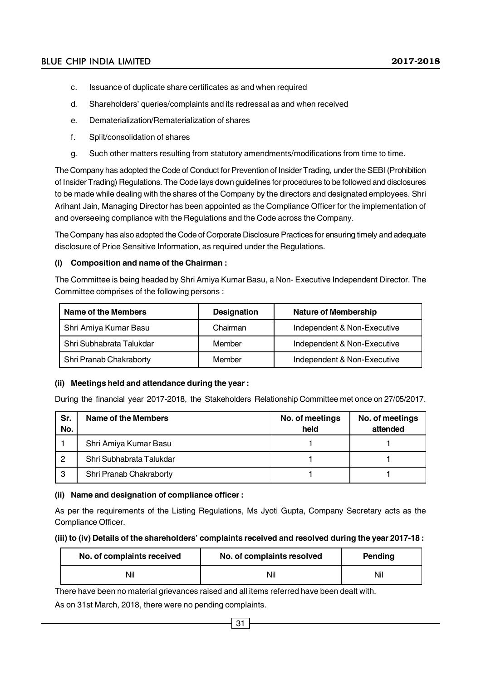- c. Issuance of duplicate share certificates as and when required
- d. Shareholders' queries/complaints and its redressal as and when received
- e. Dematerialization/Rematerialization of shares
- f. Split/consolidation of shares
- g. Such other matters resulting from statutory amendments/modifications from time to time.

The Company has adopted the Code of Conduct for Prevention of Insider Trading, under the SEBI (Prohibition of Insider Trading) Regulations. The Code lays down guidelines for procedures to be followed and disclosures to be made while dealing with the shares of the Company by the directors and designated employees. Shri Arihant Jain, Managing Director has been appointed as the Compliance Officer for the implementation of and overseeing compliance with the Regulations and the Code across the Company.

The Company has also adopted the Code of Corporate Disclosure Practices for ensuring timely and adequate disclosure of Price Sensitive Information, as required under the Regulations.

#### **(i) Composition and name of the Chairman :**

The Committee is being headed by Shri Amiya Kumar Basu, a Non- Executive Independent Director. The Committee comprises of the following persons :

| Name of the Members      | <b>Designation</b> | <b>Nature of Membership</b> |
|--------------------------|--------------------|-----------------------------|
| Shri Amiya Kumar Basu    | Chairman           | Independent & Non-Executive |
| Shri Subhabrata Talukdar | Member             | Independent & Non-Executive |
| Shri Pranab Chakraborty  | Member             | Independent & Non-Executive |

#### **(ii) Meetings held and attendance during the year :**

During the financial year 2017-2018, the Stakeholders Relationship Committee met once on 27/05/2017.

| Sr.<br>No. | Name of the Members      | No. of meetings<br>held | No. of meetings<br>attended |
|------------|--------------------------|-------------------------|-----------------------------|
|            | Shri Amiya Kumar Basu    |                         |                             |
| 2          | Shri Subhabrata Talukdar |                         |                             |
| 3          | Shri Pranab Chakraborty  |                         |                             |

#### **(ii) Name and designation of compliance officer :**

As per the requirements of the Listing Regulations, Ms Jyoti Gupta, Company Secretary acts as the Compliance Officer.

#### **(iii) to (iv) Details of the shareholders' complaints received and resolved during the year 2017-18 :**

| No. of complaints received | No. of complaints resolved | Pendina |
|----------------------------|----------------------------|---------|
| Nil                        | Nil                        | Nil     |

There have been no material grievances raised and all items referred have been dealt with.

As on 31st March, 2018, there were no pending complaints.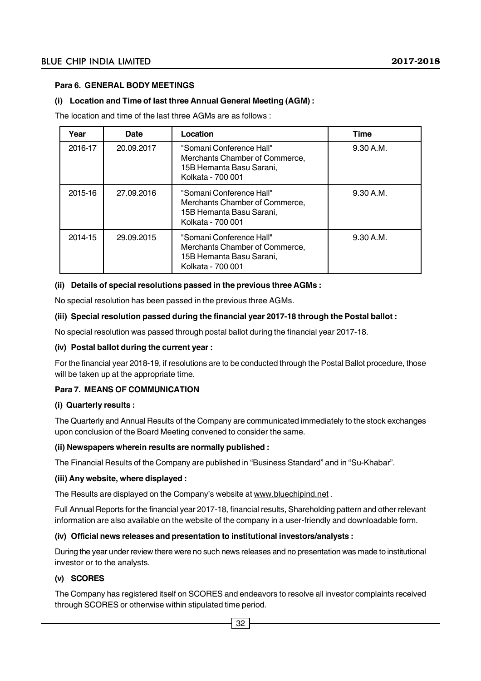#### **Para 6. GENERAL BODY MEETINGS**

#### **(i) Location and Time of last three Annual General Meeting (AGM) :**

The location and time of the last three AGMs are as follows :

| Year    | <b>Date</b> | Location                                                                                                    | <b>Time</b> |
|---------|-------------|-------------------------------------------------------------------------------------------------------------|-------------|
| 2016-17 | 20.09.2017  | "Somani Conference Hall"<br>Merchants Chamber of Commerce,<br>15B Hemanta Basu Sarani,<br>Kolkata - 700 001 | 9.30 A.M.   |
| 2015-16 | 27.09.2016  | "Somani Conference Hall"<br>Merchants Chamber of Commerce,<br>15B Hemanta Basu Sarani,<br>Kolkata - 700 001 | 9.30 A.M.   |
| 2014-15 | 29.09.2015  | "Somani Conference Hall"<br>Merchants Chamber of Commerce,<br>15B Hemanta Basu Sarani,<br>Kolkata - 700 001 | 9.30 A.M.   |

#### **(ii) Details of special resolutions passed in the previous three AGMs :**

No special resolution has been passed in the previous three AGMs.

#### **(iii) Special resolution passed during the financial year 2017-18 through the Postal ballot :**

No special resolution was passed through postal ballot during the financial year 2017-18.

#### **(iv) Postal ballot during the current year :**

For the financial year 2018-19, if resolutions are to be conducted through the Postal Ballot procedure, those will be taken up at the appropriate time.

#### **Para 7. MEANS OF COMMUNICATION**

#### **(i) Quarterly results :**

The Quarterly and Annual Results of the Company are communicated immediately to the stock exchanges upon conclusion of the Board Meeting convened to consider the same.

#### **(ii) Newspapers wherein results are normally published :**

The Financial Results of the Company are published in "Business Standard" and in "Su-Khabar".

#### **(iii) Any website, where displayed :**

The Results are displayed on the Company's website at www.bluechipind.net .

Full Annual Reports for the financial year 2017-18, financial results, Shareholding pattern and other relevant information are also available on the website of the company in a user-friendly and downloadable form.

#### **(iv) Official news releases and presentation to institutional investors/analysts :**

During the year under review there were no such news releases and no presentation was made to institutional investor or to the analysts.

#### **(v) SCORES**

The Company has registered itself on SCORES and endeavors to resolve all investor complaints received through SCORES or otherwise within stipulated time period.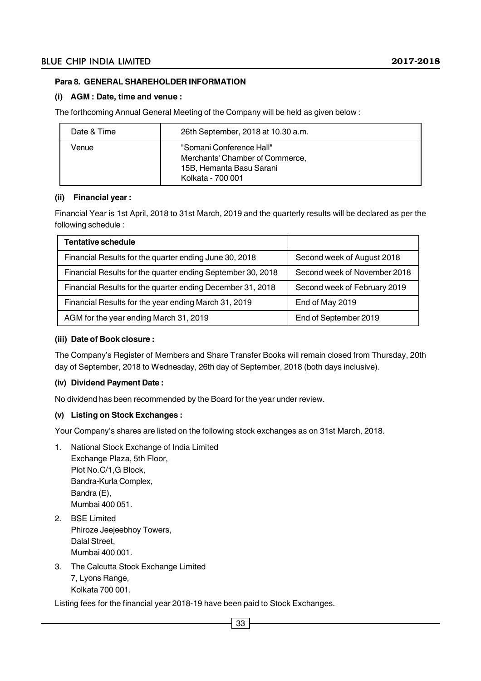#### **Para 8. GENERAL SHAREHOLDER INFORMATION**

#### **(i) AGM : Date, time and venue :**

The forthcoming Annual General Meeting of the Company will be held as given below :

| Date & Time | 26th September, 2018 at 10.30 a.m.                                                                           |
|-------------|--------------------------------------------------------------------------------------------------------------|
| Venue       | "Somani Conference Hall"<br>Merchants' Chamber of Commerce,<br>15B, Hemanta Basu Sarani<br>Kolkata - 700 001 |

#### **(ii) Financial year :**

Financial Year is 1st April, 2018 to 31st March, 2019 and the quarterly results will be declared as per the following schedule :

| Tentative schedule                                          |                              |
|-------------------------------------------------------------|------------------------------|
| Financial Results for the quarter ending June 30, 2018      | Second week of August 2018   |
| Financial Results for the quarter ending September 30, 2018 | Second week of November 2018 |
| Financial Results for the quarter ending December 31, 2018  | Second week of February 2019 |
| Financial Results for the year ending March 31, 2019        | End of May 2019              |
| AGM for the year ending March 31, 2019                      | End of September 2019        |

#### **(iii) Date of Book closure :**

The Company's Register of Members and Share Transfer Books will remain closed from Thursday, 20th day of September, 2018 to Wednesday, 26th day of September, 2018 (both days inclusive).

#### **(iv) Dividend Payment Date :**

No dividend has been recommended by the Board for the year under review.

#### **(v) Listing on Stock Exchanges :**

Your Company's shares are listed on the following stock exchanges as on 31st March, 2018.

- 1. National Stock Exchange of India Limited Exchange Plaza, 5th Floor, Plot No.C/1,G Block, Bandra-Kurla Complex, Bandra (E), Mumbai 400 051.
- 2. BSE Limited Phiroze Jeejeebhoy Towers, Dalal Street, Mumbai 400 001.
- 3. The Calcutta Stock Exchange Limited 7, Lyons Range, Kolkata 700 001.

Listing fees for the financial year 2018-19 have been paid to Stock Exchanges.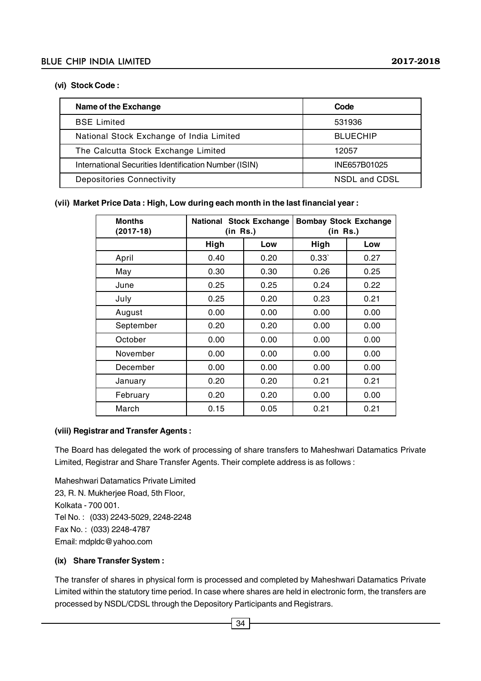#### **(vi) Stock Code :**

| Name of the Exchange                                  | Code            |
|-------------------------------------------------------|-----------------|
| <b>BSE</b> Limited                                    | 531936          |
| National Stock Exchange of India Limited              | <b>BLUECHIP</b> |
| The Calcutta Stock Exchange Limited                   | 12057           |
| International Securities Identification Number (ISIN) | INE657B01025    |
| <b>Depositories Connectivity</b>                      | NSDL and CDSL   |

**(vii) Market Price Data : High, Low during each month in the last financial year :**

| <b>Months</b><br>$(2017-18)$ |      | <b>National Stock Exchange</b><br>(in Rs.) |      | <b>Bombay Stock Exchange</b><br>$(in$ Rs. $)$ |  |
|------------------------------|------|--------------------------------------------|------|-----------------------------------------------|--|
|                              | High | Low                                        | High | Low                                           |  |
| April                        | 0.40 | 0.20                                       | 0.33 | 0.27                                          |  |
| May                          | 0.30 | 0.30                                       | 0.26 | 0.25                                          |  |
| June                         | 0.25 | 0.25                                       | 0.24 | 0.22                                          |  |
| July                         | 0.25 | 0.20                                       | 0.23 | 0.21                                          |  |
| August                       | 0.00 | 0.00                                       | 0.00 | 0.00                                          |  |
| September                    | 0.20 | 0.20                                       | 0.00 | 0.00                                          |  |
| October                      | 0.00 | 0.00                                       | 0.00 | 0.00                                          |  |
| November                     | 0.00 | 0.00                                       | 0.00 | 0.00                                          |  |
| December                     | 0.00 | 0.00                                       | 0.00 | 0.00                                          |  |
| January                      | 0.20 | 0.20                                       | 0.21 | 0.21                                          |  |
| February                     | 0.20 | 0.20                                       | 0.00 | 0.00                                          |  |
| March                        | 0.15 | 0.05                                       | 0.21 | 0.21                                          |  |

#### **(viii) Registrar and Transfer Agents :**

The Board has delegated the work of processing of share transfers to Maheshwari Datamatics Private Limited, Registrar and Share Transfer Agents. Their complete address is as follows :

Maheshwari Datamatics Private Limited 23, R. N. Mukherjee Road, 5th Floor, Kolkata - 700 001. Tel No. : (033) 2243-5029, 2248-2248 Fax No. : (033) 2248-4787 Email: mdpldc@yahoo.com

#### **(ix) Share Transfer System :**

The transfer of shares in physical form is processed and completed by Maheshwari Datamatics Private Limited within the statutory time period. In case where shares are held in electronic form, the transfers are processed by NSDL/CDSL through the Depository Participants and Registrars.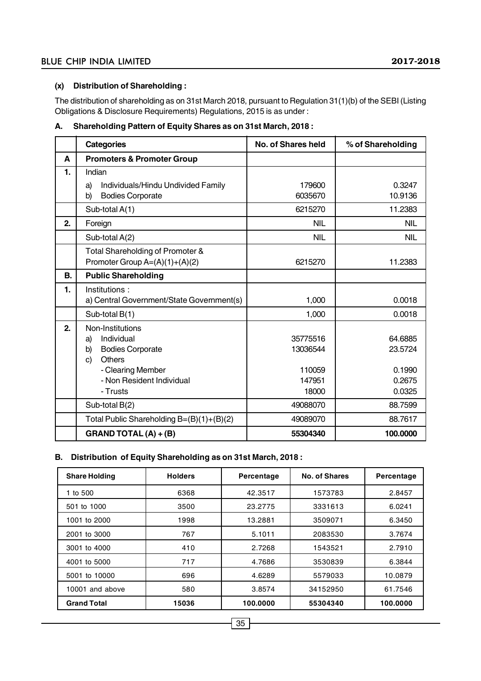#### **(x) Distribution of Shareholding :**

The distribution of shareholding as on 31st March 2018, pursuant to Regulation 31(1)(b) of the SEBI (Listing Obligations & Disclosure Requirements) Regulations, 2015 is as under :

|  | A. Shareholding Pattern of Equity Shares as on 31st March, 2018: |  |
|--|------------------------------------------------------------------|--|
|--|------------------------------------------------------------------|--|

|    | <b>Categories</b>                                                                                                                                          | No. of Shares held                                | % of Shareholding                                |
|----|------------------------------------------------------------------------------------------------------------------------------------------------------------|---------------------------------------------------|--------------------------------------------------|
| A  | <b>Promoters &amp; Promoter Group</b>                                                                                                                      |                                                   |                                                  |
| 1. | Indian                                                                                                                                                     |                                                   |                                                  |
|    | Individuals/Hindu Undivided Family<br>a)<br><b>Bodies Corporate</b><br>b)                                                                                  | 179600<br>6035670                                 | 0.3247<br>10.9136                                |
|    | Sub-total A(1)                                                                                                                                             | 6215270                                           | 11.2383                                          |
| 2. | Foreign                                                                                                                                                    | <b>NIL</b>                                        | <b>NIL</b>                                       |
|    | Sub-total A(2)                                                                                                                                             | <b>NIL</b>                                        | <b>NIL</b>                                       |
|    | Total Shareholding of Promoter &<br>Promoter Group A=(A)(1)+(A)(2)                                                                                         | 6215270                                           | 11.2383                                          |
| В. | <b>Public Shareholding</b>                                                                                                                                 |                                                   |                                                  |
| 1. | Institutions:<br>a) Central Government/State Government(s)                                                                                                 | 1,000                                             | 0.0018                                           |
|    | Sub-total B(1)                                                                                                                                             | 1,000                                             | 0.0018                                           |
| 2. | Non-Institutions<br>Individual<br>a)<br><b>Bodies Corporate</b><br>b)<br><b>Others</b><br>c)<br>- Clearing Member<br>- Non Resident Individual<br>- Trusts | 35775516<br>13036544<br>110059<br>147951<br>18000 | 64.6885<br>23.5724<br>0.1990<br>0.2675<br>0.0325 |
|    | Sub-total B(2)                                                                                                                                             | 49088070                                          | 88.7599                                          |
|    | Total Public Shareholding $B=(B)(1)+(B)(2)$                                                                                                                | 49089070                                          | 88.7617                                          |
|    | <b>GRAND TOTAL (A) + (B)</b>                                                                                                                               | 55304340                                          | 100.0000                                         |

#### **B. Distribution of Equity Shareholding as on 31st March, 2018 :**

| <b>Share Holding</b> | <b>Holders</b> | Percentage | No. of Shares | Percentage |
|----------------------|----------------|------------|---------------|------------|
| to 500               | 6368           | 42.3517    | 1573783       | 2.8457     |
| 501 to 1000          | 3500           | 23.2775    | 3331613       | 6.0241     |
| 1001 to 2000         | 1998           | 13.2881    | 3509071       | 6.3450     |
| 2001 to 3000         | 767            | 5.1011     | 2083530       | 3.7674     |
| 3001 to 4000         | 410            | 2.7268     | 1543521       | 2.7910     |
| 4001 to 5000         | 717            | 4.7686     | 3530839       | 6.3844     |
| 5001 to 10000        | 696            | 4.6289     | 5579033       | 10.0879    |
| 10001 and above      | 580            | 3.8574     | 34152950      | 61.7546    |
| <b>Grand Total</b>   | 15036          | 100.0000   | 55304340      | 100.0000   |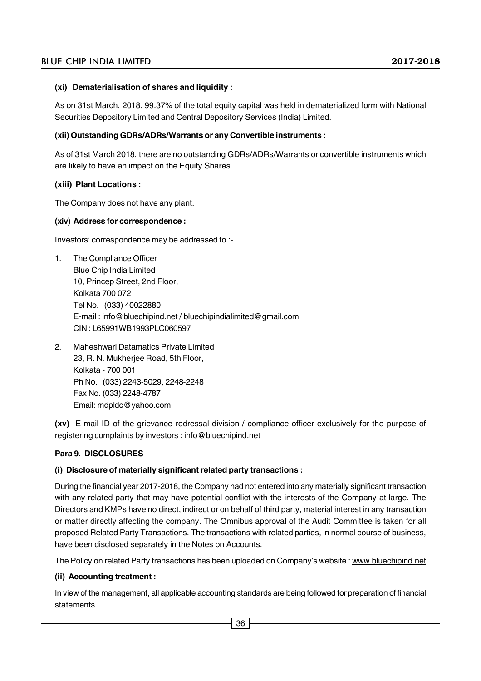#### **(xi) Dematerialisation of shares and liquidity :**

As on 31st March, 2018, 99.37% of the total equity capital was held in dematerialized form with National Securities Depository Limited and Central Depository Services (India) Limited.

#### **(xii) Outstanding GDRs/ADRs/Warrants or any Convertible instruments :**

As of 31st March 2018, there are no outstanding GDRs/ADRs/Warrants or convertible instruments which are likely to have an impact on the Equity Shares.

#### **(xiii) Plant Locations :**

The Company does not have any plant.

#### **(xiv) Address for correspondence :**

Investors' correspondence may be addressed to :-

- 1. The Compliance Officer Blue Chip India Limited 10, Princep Street, 2nd Floor, Kolkata 700 072 Tel No. (033) 40022880 E-mail : info@bluechipind.net / bluechipindialimited@gmail.com CIN : L65991WB1993PLC060597
- 2. Maheshwari Datamatics Private Limited 23, R. N. Mukherjee Road, 5th Floor, Kolkata - 700 001 Ph No. (033) 2243-5029, 2248-2248 Fax No. (033) 2248-4787 Email: mdpldc@yahoo.com

**(xv)** E-mail ID of the grievance redressal division / compliance officer exclusively for the purpose of registering complaints by investors : info@bluechipind.net

#### **Para 9. DISCLOSURES**

#### **(i) Disclosure of materially significant related party transactions :**

During the financial year 2017-2018, the Company had not entered into any materially significant transaction with any related party that may have potential conflict with the interests of the Company at large. The Directors and KMPs have no direct, indirect or on behalf of third party, material interest in any transaction or matter directly affecting the company. The Omnibus approval of the Audit Committee is taken for all proposed Related Party Transactions. The transactions with related parties, in normal course of business, have been disclosed separately in the Notes on Accounts.

The Policy on related Party transactions has been uploaded on Company's website : www.bluechipind.net

#### **(ii) Accounting treatment :**

In view of the management, all applicable accounting standards are being followed for preparation of financial statements.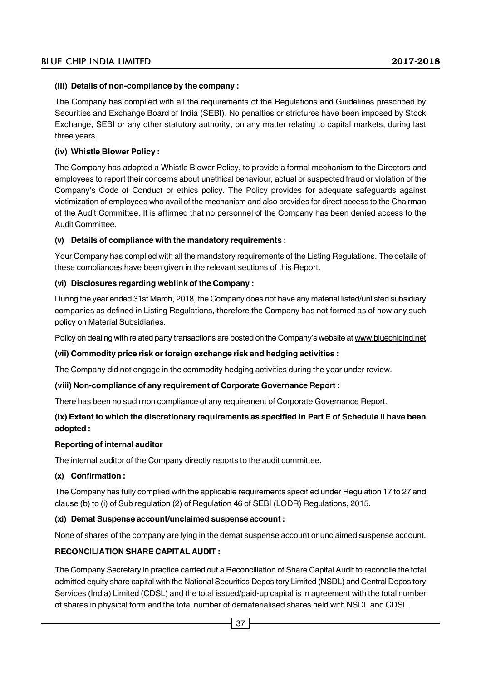#### **(iii) Details of non-compliance by the company :**

The Company has complied with all the requirements of the Regulations and Guidelines prescribed by Securities and Exchange Board of India (SEBI). No penalties or strictures have been imposed by Stock Exchange, SEBI or any other statutory authority, on any matter relating to capital markets, during last three years.

#### **(iv) Whistle Blower Policy :**

The Company has adopted a Whistle Blower Policy, to provide a formal mechanism to the Directors and employees to report their concerns about unethical behaviour, actual or suspected fraud or violation of the Company's Code of Conduct or ethics policy. The Policy provides for adequate safeguards against victimization of employees who avail of the mechanism and also provides for direct access to the Chairman of the Audit Committee. It is affirmed that no personnel of the Company has been denied access to the Audit Committee.

#### **(v) Details of compliance with the mandatory requirements :**

Your Company has complied with all the mandatory requirements of the Listing Regulations. The details of these compliances have been given in the relevant sections of this Report.

#### **(vi) Disclosures regarding weblink of the Company :**

During the year ended 31st March, 2018, the Company does not have any material listed/unlisted subsidiary companies as defined in Listing Regulations, therefore the Company has not formed as of now any such policy on Material Subsidiaries.

Policy on dealing with related party transactions are posted on the Company's website at www.bluechipind.net

#### **(vii) Commodity price risk or foreign exchange risk and hedging activities :**

The Company did not engage in the commodity hedging activities during the year under review.

#### **(viii) Non-compliance of any requirement of Corporate Governance Report :**

There has been no such non compliance of any requirement of Corporate Governance Report.

#### **(ix) Extent to which the discretionary requirements as specified in Part E of Schedule II have been adopted :**

#### **Reporting of internal auditor**

The internal auditor of the Company directly reports to the audit committee.

#### **(x) Confirmation :**

The Company has fully complied with the applicable requirements specified under Regulation 17 to 27 and clause (b) to (i) of Sub regulation (2) of Regulation 46 of SEBI (LODR) Regulations, 2015.

#### **(xi) Demat Suspense account/unclaimed suspense account :**

None of shares of the company are lying in the demat suspense account or unclaimed suspense account.

#### **RECONCILIATION SHARE CAPITAL AUDIT :**

The Company Secretary in practice carried out a Reconciliation of Share Capital Audit to reconcile the total admitted equity share capital with the National Securities Depository Limited (NSDL) and Central Depository Services (India) Limited (CDSL) and the total issued/paid-up capital is in agreement with the total number of shares in physical form and the total number of dematerialised shares held with NSDL and CDSL.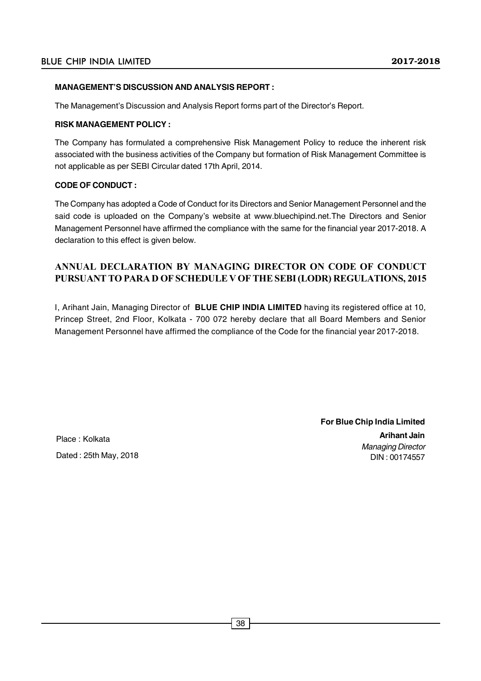#### **MANAGEMENT'S DISCUSSION AND ANALYSIS REPORT :**

The Management's Discussion and Analysis Report forms part of the Director's Report.

#### **RISK MANAGEMENT POLICY :**

The Company has formulated a comprehensive Risk Management Policy to reduce the inherent risk associated with the business activities of the Company but formation of Risk Management Committee is not applicable as per SEBI Circular dated 17th April, 2014.

#### **CODE OF CONDUCT :**

The Company has adopted a Code of Conduct for its Directors and Senior Management Personnel and the said code is uploaded on the Company's website at www.bluechipind.net.The Directors and Senior Management Personnel have affirmed the compliance with the same for the financial year 2017-2018. A declaration to this effect is given below.

#### **ANNUAL DECLARATION BY MANAGING DIRECTOR ON CODE OF CONDUCT PURSUANT TO PARA D OF SCHEDULE V OF THE SEBI (LODR) REGULATIONS, 2015**

I, Arihant Jain, Managing Director of **BLUE CHIP INDIA LIMITED** having its registered office at 10, Princep Street, 2nd Floor, Kolkata - 700 072 hereby declare that all Board Members and Senior Management Personnel have affirmed the compliance of the Code for the financial year 2017-2018.

Place : Kolkata Dated : 25th May, 2018 **For Blue Chip India Limited Arihant Jain** *Managing Director* DIN : 00174557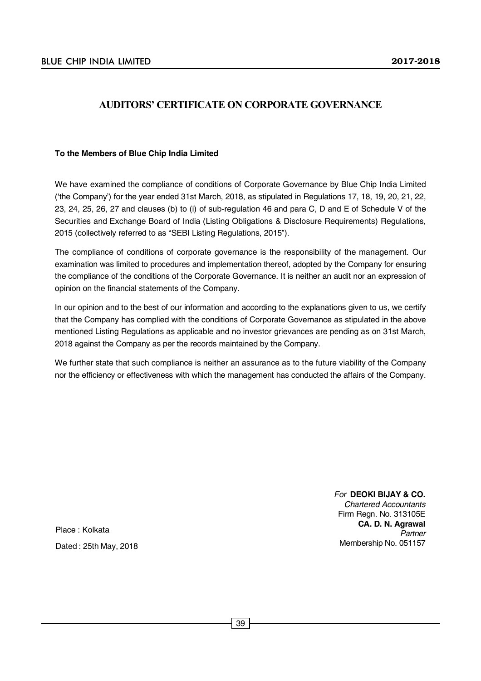#### **AUDITORS' CERTIFICATE ON CORPORATE GOVERNANCE**

#### **To the Members of Blue Chip India Limited**

We have examined the compliance of conditions of Corporate Governance by Blue Chip India Limited ('the Company') for the year ended 31st March, 2018, as stipulated in Regulations 17, 18, 19, 20, 21, 22, 23, 24, 25, 26, 27 and clauses (b) to (i) of sub-regulation 46 and para C, D and E of Schedule V of the Securities and Exchange Board of India (Listing Obligations & Disclosure Requirements) Regulations, 2015 (collectively referred to as "SEBI Listing Regulations, 2015").

The compliance of conditions of corporate governance is the responsibility of the management. Our examination was limited to procedures and implementation thereof, adopted by the Company for ensuring the compliance of the conditions of the Corporate Governance. It is neither an audit nor an expression of opinion on the financial statements of the Company.

In our opinion and to the best of our information and according to the explanations given to us, we certify that the Company has complied with the conditions of Corporate Governance as stipulated in the above mentioned Listing Regulations as applicable and no investor grievances are pending as on 31st March, 2018 against the Company as per the records maintained by the Company.

We further state that such compliance is neither an assurance as to the future viability of the Company nor the efficiency or effectiveness with which the management has conducted the affairs of the Company.

> *For* **DEOKI BIJAY & CO.** *Chartered Accountants* Firm Regn. No. 313105E **CA. D. N. Agrawal** *Partner* Membership No. 051157

Place : Kolkata Dated : 25th May, 2018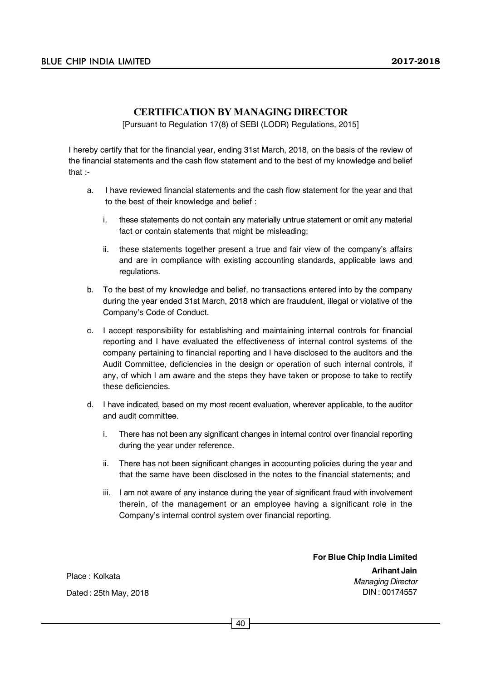#### **CERTIFICATION BY MANAGING DIRECTOR**

[Pursuant to Regulation 17(8) of SEBI (LODR) Regulations, 2015]

I hereby certify that for the financial year, ending 31st March, 2018, on the basis of the review of the financial statements and the cash flow statement and to the best of my knowledge and belief that :-

- a. I have reviewed financial statements and the cash flow statement for the year and that to the best of their knowledge and belief :
	- i. these statements do not contain any materially untrue statement or omit any material fact or contain statements that might be misleading;
	- ii. these statements together present a true and fair view of the company's affairs and are in compliance with existing accounting standards, applicable laws and regulations.
- b. To the best of my knowledge and belief, no transactions entered into by the company during the year ended 31st March, 2018 which are fraudulent, illegal or violative of the Company's Code of Conduct.
- c. I accept responsibility for establishing and maintaining internal controls for financial reporting and I have evaluated the effectiveness of internal control systems of the company pertaining to financial reporting and I have disclosed to the auditors and the Audit Committee, deficiencies in the design or operation of such internal controls, if any, of which I am aware and the steps they have taken or propose to take to rectify these deficiencies.
- d. I have indicated, based on my most recent evaluation, wherever applicable, to the auditor and audit committee.
	- i. There has not been any significant changes in internal control over financial reporting during the year under reference.
	- ii. There has not been significant changes in accounting policies during the year and that the same have been disclosed in the notes to the financial statements; and
	- iii. I am not aware of any instance during the year of significant fraud with involvement therein, of the management or an employee having a significant role in the Company's internal control system over financial reporting.

**For Blue Chip India Limited**

**Arihant Jain** *Managing Director* DIN : 00174557

Place : Kolkata Dated : 25th May, 2018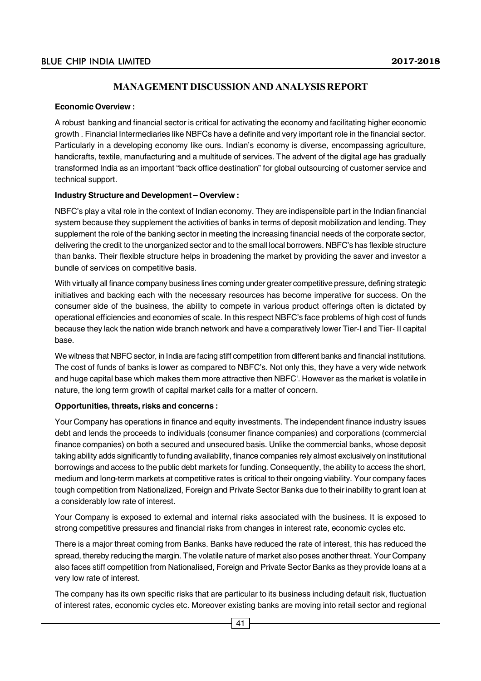#### **MANAGEMENT DISCUSSION AND ANALYSIS REPORT**

#### **Economic Overview :**

A robust banking and financial sector is critical for activating the economy and facilitating higher economic growth . Financial Intermediaries like NBFCs have a definite and very important role in the financial sector. Particularly in a developing economy like ours. Indian's economy is diverse, encompassing agriculture, handicrafts, textile, manufacturing and a multitude of services. The advent of the digital age has gradually transformed India as an important "back office destination" for global outsourcing of customer service and technical support.

#### **Industry Structure and Development – Overview :**

NBFC's play a vital role in the context of Indian economy. They are indispensible part in the Indian financial system because they supplement the activities of banks in terms of deposit mobilization and lending. They supplement the role of the banking sector in meeting the increasing financial needs of the corporate sector, delivering the credit to the unorganized sector and to the small local borrowers. NBFC's has flexible structure than banks. Their flexible structure helps in broadening the market by providing the saver and investor a bundle of services on competitive basis.

With virtually all finance company business lines coming under greater competitive pressure, defining strategic initiatives and backing each with the necessary resources has become imperative for success. On the consumer side of the business, the ability to compete in various product offerings often is dictated by operational efficiencies and economies of scale. In this respect NBFC's face problems of high cost of funds because they lack the nation wide branch network and have a comparatively lower Tier-I and Tier- II capital base.

We witness that NBFC sector, in India are facing stiff competition from different banks and financial institutions. The cost of funds of banks is lower as compared to NBFC's. Not only this, they have a very wide network and huge capital base which makes them more attractive then NBFC'. However as the market is volatile in nature, the long term growth of capital market calls for a matter of concern.

#### **Opportunities, threats, risks and concerns :**

Your Company has operations in finance and equity investments. The independent finance industry issues debt and lends the proceeds to individuals (consumer finance companies) and corporations (commercial finance companies) on both a secured and unsecured basis. Unlike the commercial banks, whose deposit taking ability adds significantly to funding availability, finance companies rely almost exclusively on institutional borrowings and access to the public debt markets for funding. Consequently, the ability to access the short, medium and long-term markets at competitive rates is critical to their ongoing viability. Your company faces tough competition from Nationalized, Foreign and Private Sector Banks due to their inability to grant loan at a considerably low rate of interest.

Your Company is exposed to external and internal risks associated with the business. It is exposed to strong competitive pressures and financial risks from changes in interest rate, economic cycles etc.

There is a major threat coming from Banks. Banks have reduced the rate of interest, this has reduced the spread, thereby reducing the margin. The volatile nature of market also poses another threat. Your Company also faces stiff competition from Nationalised, Foreign and Private Sector Banks as they provide loans at a very low rate of interest.

The company has its own specific risks that are particular to its business including default risk, fluctuation of interest rates, economic cycles etc. Moreover existing banks are moving into retail sector and regional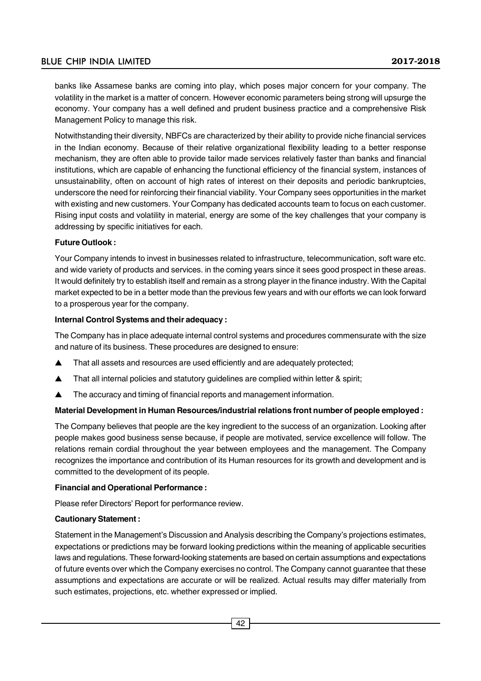banks like Assamese banks are coming into play, which poses major concern for your company. The volatility in the market is a matter of concern. However economic parameters being strong will upsurge the economy. Your company has a well defined and prudent business practice and a comprehensive Risk Management Policy to manage this risk.

Notwithstanding their diversity, NBFCs are characterized by their ability to provide niche financial services in the Indian economy. Because of their relative organizational flexibility leading to a better response mechanism, they are often able to provide tailor made services relatively faster than banks and financial institutions, which are capable of enhancing the functional efficiency of the financial system, instances of unsustainability, often on account of high rates of interest on their deposits and periodic bankruptcies, underscore the need for reinforcing their financial viability. Your Company sees opportunities in the market with existing and new customers. Your Company has dedicated accounts team to focus on each customer. Rising input costs and volatility in material, energy are some of the key challenges that your company is addressing by specific initiatives for each.

#### **Future Outlook :**

Your Company intends to invest in businesses related to infrastructure, telecommunication, soft ware etc. and wide variety of products and services. in the coming years since it sees good prospect in these areas. It would definitely try to establish itself and remain as a strong player in the finance industry. With the Capital market expected to be in a better mode than the previous few years and with our efforts we can look forward to a prosperous year for the company.

#### **Internal Control Systems and their adequacy :**

The Company has in place adequate internal control systems and procedures commensurate with the size and nature of its business. These procedures are designed to ensure:

- That all assets and resources are used efficiently and are adequately protected;
- That all internal policies and statutory guidelines are complied within letter & spirit;
- The accuracy and timing of financial reports and management information.

#### **Material Development in Human Resources/industrial relations front number of people employed :**

The Company believes that people are the key ingredient to the success of an organization. Looking after people makes good business sense because, if people are motivated, service excellence will follow. The relations remain cordial throughout the year between employees and the management. The Company recognizes the importance and contribution of its Human resources for its growth and development and is committed to the development of its people.

#### **Financial and Operational Performance :**

Please refer Directors' Report for performance review.

#### **Cautionary Statement :**

Statement in the Management's Discussion and Analysis describing the Company's projections estimates, expectations or predictions may be forward looking predictions within the meaning of applicable securities laws and regulations. These forward-looking statements are based on certain assumptions and expectations of future events over which the Company exercises no control. The Company cannot guarantee that these assumptions and expectations are accurate or will be realized. Actual results may differ materially from such estimates, projections, etc. whether expressed or implied.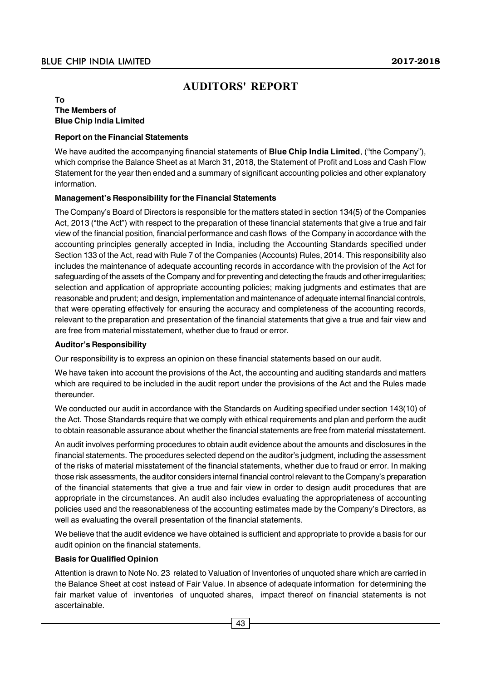#### **AUDITORS' REPORT**

#### **To The Members of Blue Chip India Limited**

#### **Report on the Financial Statements**

We have audited the accompanying financial statements of **Blue Chip India Limited**, ("the Company"), which comprise the Balance Sheet as at March 31, 2018, the Statement of Profit and Loss and Cash Flow Statement for the year then ended and a summary of significant accounting policies and other explanatory information.

#### **Management's Responsibility for the Financial Statements**

The Company's Board of Directors is responsible for the matters stated in section 134(5) of the Companies Act, 2013 ("the Act") with respect to the preparation of these financial statements that give a true and fair view of the financial position, financial performance and cash flows of the Company in accordance with the accounting principles generally accepted in India, including the Accounting Standards specified under Section 133 of the Act, read with Rule 7 of the Companies (Accounts) Rules, 2014. This responsibility also includes the maintenance of adequate accounting records in accordance with the provision of the Act for safeguarding of the assets of the Company and for preventing and detecting the frauds and other irregularities; selection and application of appropriate accounting policies; making judgments and estimates that are reasonable and prudent; and design, implementation and maintenance of adequate internal financial controls, that were operating effectively for ensuring the accuracy and completeness of the accounting records, relevant to the preparation and presentation of the financial statements that give a true and fair view and are free from material misstatement, whether due to fraud or error.

#### **Auditor's Responsibility**

Our responsibility is to express an opinion on these financial statements based on our audit.

We have taken into account the provisions of the Act, the accounting and auditing standards and matters which are required to be included in the audit report under the provisions of the Act and the Rules made thereunder.

We conducted our audit in accordance with the Standards on Auditing specified under section 143(10) of the Act. Those Standards require that we comply with ethical requirements and plan and perform the audit to obtain reasonable assurance about whether the financial statements are free from material misstatement.

An audit involves performing procedures to obtain audit evidence about the amounts and disclosures in the financial statements. The procedures selected depend on the auditor's judgment, including the assessment of the risks of material misstatement of the financial statements, whether due to fraud or error. In making those risk assessments, the auditor considers internal financial control relevant to the Company's preparation of the financial statements that give a true and fair view in order to design audit procedures that are appropriate in the circumstances. An audit also includes evaluating the appropriateness of accounting policies used and the reasonableness of the accounting estimates made by the Company's Directors, as well as evaluating the overall presentation of the financial statements.

We believe that the audit evidence we have obtained is sufficient and appropriate to provide a basis for our audit opinion on the financial statements.

#### **Basis for Qualified Opinion**

Attention is drawn to Note No. 23 related to Valuation of Inventories of unquoted share which are carried in the Balance Sheet at cost instead of Fair Value. In absence of adequate information for determining the fair market value of inventories of unquoted shares, impact thereof on financial statements is not ascertainable.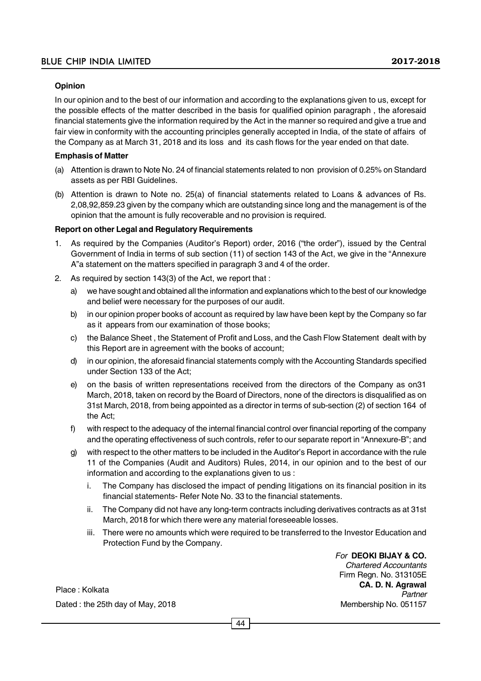#### **Opinion**

In our opinion and to the best of our information and according to the explanations given to us, except for the possible effects of the matter described in the basis for qualified opinion paragraph , the aforesaid financial statements give the information required by the Act in the manner so required and give a true and fair view in conformity with the accounting principles generally accepted in India, of the state of affairs of the Company as at March 31, 2018 and its loss and its cash flows for the year ended on that date.

#### **Emphasis of Matter**

- (a) Attention is drawn to Note No. 24 of financial statements related to non provision of 0.25% on Standard assets as per RBI Guidelines.
- (b) Attention is drawn to Note no. 25(a) of financial statements related to Loans & advances of Rs. 2,08,92,859.23 given by the company which are outstanding since long and the management is of the opinion that the amount is fully recoverable and no provision is required.

#### **Report on other Legal and Regulatory Requirements**

- 1. As required by the Companies (Auditor's Report) order, 2016 ("the order"), issued by the Central Government of India in terms of sub section (11) of section 143 of the Act, we give in the "Annexure A"a statement on the matters specified in paragraph 3 and 4 of the order.
- 2. As required by section 143(3) of the Act, we report that :
	- a) we have sought and obtained all the information and explanations which to the best of our knowledge and belief were necessary for the purposes of our audit.
	- b) in our opinion proper books of account as required by law have been kept by the Company so far as it appears from our examination of those books;
	- c) the Balance Sheet , the Statement of Profit and Loss, and the Cash Flow Statement dealt with by this Report are in agreement with the books of account;
	- d) in our opinion, the aforesaid financial statements comply with the Accounting Standards specified under Section 133 of the Act;
	- e) on the basis of written representations received from the directors of the Company as on31 March, 2018, taken on record by the Board of Directors, none of the directors is disqualified as on 31st March, 2018, from being appointed as a director in terms of sub-section (2) of section 164 of the Act;
	- f) with respect to the adequacy of the internal financial control over financial reporting of the company and the operating effectiveness of such controls, refer to our separate report in "Annexure-B"; and
	- g) with respect to the other matters to be included in the Auditor's Report in accordance with the rule 11 of the Companies (Audit and Auditors) Rules, 2014, in our opinion and to the best of our information and according to the explanations given to us :
		- i. The Company has disclosed the impact of pending litigations on its financial position in its financial statements- Refer Note No. 33 to the financial statements.
		- ii. The Company did not have any long-term contracts including derivatives contracts as at 31st March, 2018 for which there were any material foreseeable losses.
		- iii. There were no amounts which were required to be transferred to the Investor Education and Protection Fund by the Company.

*For* **DEOKI BIJAY & CO.** *Chartered Accountants* Firm Regn. No. 313105E **CA. D. N. Agrawal** *Partner* Membership No. 051157

Place : Kolkata Dated : the 25th day of May, 2018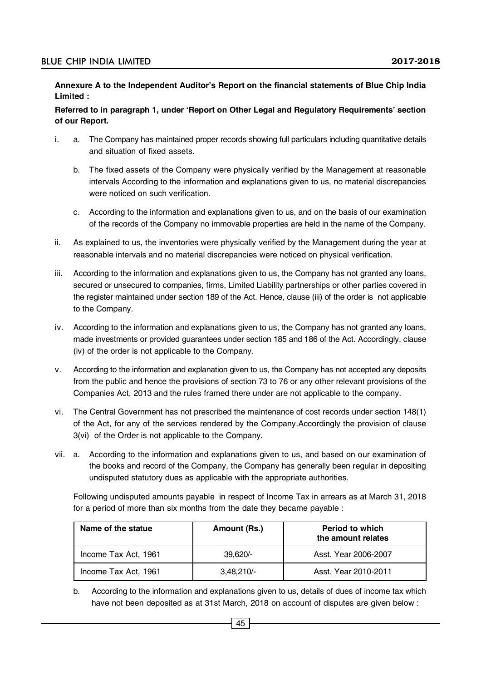#### **Annexure A to the Independent Auditor's Report on the financial statements of Blue Chip India Limited :**

#### **Referred to in paragraph 1, under 'Report on Other Legal and Regulatory Requirements' section of our Report.**

- i. a. The Company has maintained proper records showing full particulars including quantitative details and situation of fixed assets.
	- b. The fixed assets of the Company were physically verified by the Management at reasonable intervals According to the information and explanations given to us, no material discrepancies were noticed on such verification.
	- c. According to the information and explanations given to us, and on the basis of our examination of the records of the Company no immovable properties are held in the name of the Company.
- ii. As explained to us, the inventories were physically verified by the Management during the year at reasonable intervals and no material discrepancies were noticed on physical verification.
- iii. According to the information and explanations given to us, the Company has not granted any loans, secured or unsecured to companies, firms, Limited Liability partnerships or other parties covered in the register maintained under section 189 of the Act. Hence, clause (iii) of the order is not applicable to the Company.
- iv. According to the information and explanations given to us, the Company has not granted any loans, made investments or provided guarantees under section 185 and 186 of the Act. Accordingly, clause (iv) of the order is not applicable to the Company.
- v. According to the information and explanation given to us, the Company has not accepted any deposits from the public and hence the provisions of section 73 to 76 or any other relevant provisions of the Companies Act, 2013 and the rules framed there under are not applicable to the company.
- vi. The Central Government has not prescribed the maintenance of cost records under section 148(1) of the Act, for any of the services rendered by the Company.Accordingly the provision of clause 3(vi) of the Order is not applicable to the Company.
- vii. a. According to the information and explanations given to us, and based on our examination of the books and record of the Company, the Company has generally been regular in depositing undisputed statutory dues as applicable with the appropriate authorities.

Following undisputed amounts payable in respect of Income Tax in arrears as at March 31, 2018 for a period of more than six months from the date they became payable :

| Name of the statue   | Amount (Rs.) | <b>Period to which</b><br>the amount relates |
|----------------------|--------------|----------------------------------------------|
| Income Tax Act, 1961 | $39.620/-$   | Asst. Year 2006-2007                         |
| Income Tax Act, 1961 | $3.48.210/-$ | Asst. Year 2010-2011                         |

b. According to the information and explanations given to us, details of dues of income tax which have not been deposited as at 31st March, 2018 on account of disputes are given below :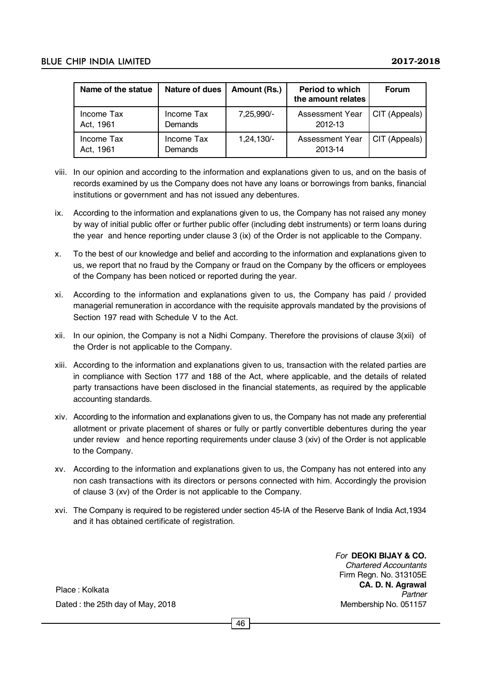| Name of the statue      | <b>Nature of dues</b> | Amount (Rs.) | <b>Period to which</b><br>the amount relates | <b>Forum</b>  |
|-------------------------|-----------------------|--------------|----------------------------------------------|---------------|
| Income Tax<br>Act, 1961 | Income Tax<br>Demands | 7,25,990/-   | <b>Assessment Year</b><br>2012-13            | CIT (Appeals) |
| Income Tax<br>Act, 1961 | Income Tax<br>Demands | $1,24,130/-$ | <b>Assessment Year</b><br>2013-14            | CIT (Appeals) |

- viii. In our opinion and according to the information and explanations given to us, and on the basis of records examined by us the Company does not have any loans or borrowings from banks, financial institutions or government and has not issued any debentures.
- ix. According to the information and explanations given to us, the Company has not raised any money by way of initial public offer or further public offer (including debt instruments) or term loans during the year and hence reporting under clause 3 (ix) of the Order is not applicable to the Company.
- x. To the best of our knowledge and belief and according to the information and explanations given to us, we report that no fraud by the Company or fraud on the Company by the officers or employees of the Company has been noticed or reported during the year.
- xi. According to the information and explanations given to us, the Company has paid / provided managerial remuneration in accordance with the requisite approvals mandated by the provisions of Section 197 read with Schedule V to the Act.
- xii. In our opinion, the Company is not a Nidhi Company. Therefore the provisions of clause 3(xii) of the Order is not applicable to the Company.
- xiii. According to the information and explanations given to us, transaction with the related parties are in compliance with Section 177 and 188 of the Act, where applicable, and the details of related party transactions have been disclosed in the financial statements, as required by the applicable accounting standards.
- xiv. According to the information and explanations given to us, the Company has not made any preferential allotment or private placement of shares or fully or partly convertible debentures during the year under review and hence reporting requirements under clause 3 (xiv) of the Order is not applicable to the Company.
- xv. According to the information and explanations given to us, the Company has not entered into any non cash transactions with its directors or persons connected with him. Accordingly the provision of clause 3 (xv) of the Order is not applicable to the Company.
- xvi. The Company is required to be registered under section 45-IA of the Reserve Bank of India Act,1934 and it has obtained certificate of registration.

*For* **DEOKI BIJAY & CO.** *Chartered Accountants* Firm Regn. No. 313105E **CA. D. N. Agrawal** *Partner* Membership No. 051157

Place : Kolkata Dated : the 25th day of May, 2018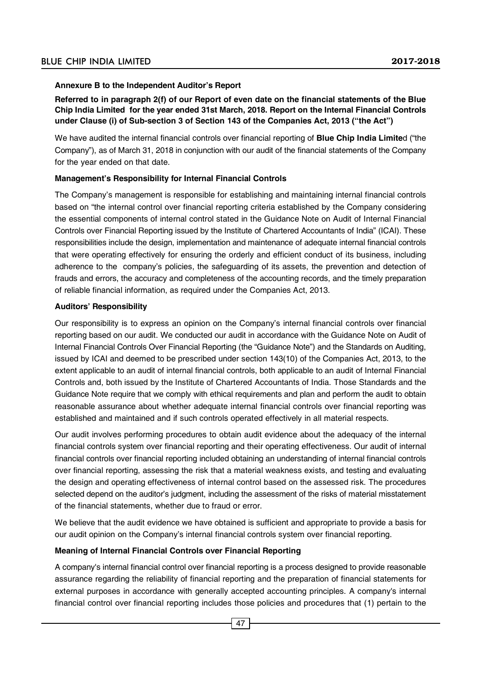#### **Annexure B to the Independent Auditor's Report**

**Referred to in paragraph 2(f) of our Report of even date on the financial statements of the Blue Chip India Limited for the year ended 31st March, 2018. Report on the Internal Financial Controls under Clause (i) of Sub-section 3 of Section 143 of the Companies Act, 2013 ("the Act")**

We have audited the internal financial controls over financial reporting of **Blue Chip India Limite**d ("the Company"), as of March 31, 2018 in conjunction with our audit of the financial statements of the Company for the year ended on that date.

#### **Management's Responsibility for Internal Financial Controls**

The Company's management is responsible for establishing and maintaining internal financial controls based on "the internal control over financial reporting criteria established by the Company considering the essential components of internal control stated in the Guidance Note on Audit of Internal Financial Controls over Financial Reporting issued by the Institute of Chartered Accountants of India" (ICAI). These responsibilities include the design, implementation and maintenance of adequate internal financial controls that were operating effectively for ensuring the orderly and efficient conduct of its business, including adherence to the company's policies, the safeguarding of its assets, the prevention and detection of frauds and errors, the accuracy and completeness of the accounting records, and the timely preparation of reliable financial information, as required under the Companies Act, 2013.

#### **Auditors' Responsibility**

Our responsibility is to express an opinion on the Company's internal financial controls over financial reporting based on our audit. We conducted our audit in accordance with the Guidance Note on Audit of Internal Financial Controls Over Financial Reporting (the "Guidance Note") and the Standards on Auditing, issued by ICAI and deemed to be prescribed under section 143(10) of the Companies Act, 2013, to the extent applicable to an audit of internal financial controls, both applicable to an audit of Internal Financial Controls and, both issued by the Institute of Chartered Accountants of India. Those Standards and the Guidance Note require that we comply with ethical requirements and plan and perform the audit to obtain reasonable assurance about whether adequate internal financial controls over financial reporting was established and maintained and if such controls operated effectively in all material respects.

Our audit involves performing procedures to obtain audit evidence about the adequacy of the internal financial controls system over financial reporting and their operating effectiveness. Our audit of internal financial controls over financial reporting included obtaining an understanding of internal financial controls over financial reporting, assessing the risk that a material weakness exists, and testing and evaluating the design and operating effectiveness of internal control based on the assessed risk. The procedures selected depend on the auditor's judgment, including the assessment of the risks of material misstatement of the financial statements, whether due to fraud or error.

We believe that the audit evidence we have obtained is sufficient and appropriate to provide a basis for our audit opinion on the Company's internal financial controls system over financial reporting.

#### **Meaning of Internal Financial Controls over Financial Reporting**

A company's internal financial control over financial reporting is a process designed to provide reasonable assurance regarding the reliability of financial reporting and the preparation of financial statements for external purposes in accordance with generally accepted accounting principles. A company's internal financial control over financial reporting includes those policies and procedures that (1) pertain to the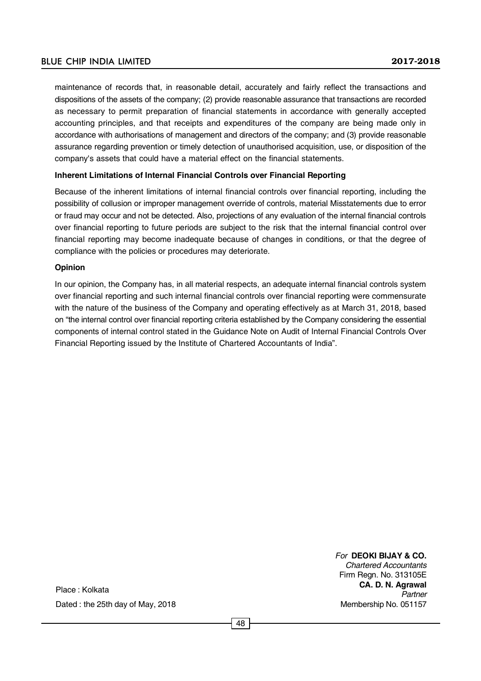maintenance of records that, in reasonable detail, accurately and fairly reflect the transactions and dispositions of the assets of the company; (2) provide reasonable assurance that transactions are recorded as necessary to permit preparation of financial statements in accordance with generally accepted accounting principles, and that receipts and expenditures of the company are being made only in accordance with authorisations of management and directors of the company; and (3) provide reasonable assurance regarding prevention or timely detection of unauthorised acquisition, use, or disposition of the company's assets that could have a material effect on the financial statements.

#### **Inherent Limitations of Internal Financial Controls over Financial Reporting**

Because of the inherent limitations of internal financial controls over financial reporting, including the possibility of collusion or improper management override of controls, material Misstatements due to error or fraud may occur and not be detected. Also, projections of any evaluation of the internal financial controls over financial reporting to future periods are subject to the risk that the internal financial control over financial reporting may become inadequate because of changes in conditions, or that the degree of compliance with the policies or procedures may deteriorate.

#### **Opinion**

In our opinion, the Company has, in all material respects, an adequate internal financial controls system over financial reporting and such internal financial controls over financial reporting were commensurate with the nature of the business of the Company and operating effectively as at March 31, 2018, based on "the internal control over financial reporting criteria established by the Company considering the essential components of internal control stated in the Guidance Note on Audit of Internal Financial Controls Over Financial Reporting issued by the Institute of Chartered Accountants of India".

> *For* **DEOKI BIJAY & CO.** *Chartered Accountants* Firm Regn. No. 313105E **CA. D. N. Agrawal** *Partner* Membership No. 051157

Place : Kolkata Dated : the 25th day of May, 2018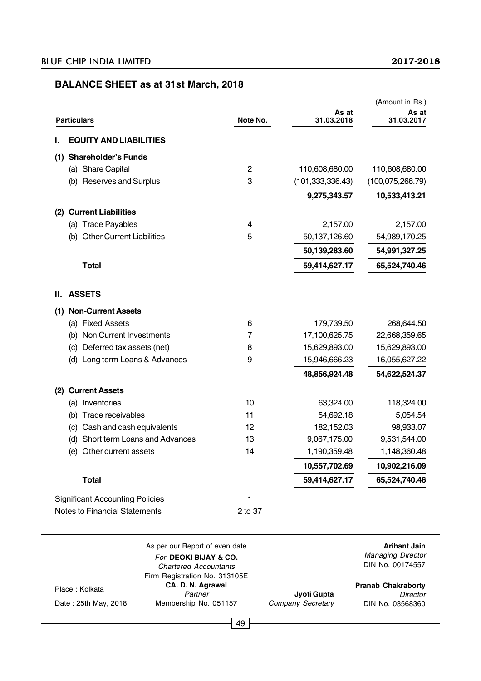#### **BALANCE SHEET as at 31st March, 2018**

|      |                                        |                         |                     | (Amount in Rs.)     |
|------|----------------------------------------|-------------------------|---------------------|---------------------|
|      | <b>Particulars</b>                     | Note No.                | As at<br>31.03.2018 | As at<br>31.03.2017 |
| L    | <b>EQUITY AND LIABILITIES</b>          |                         |                     |                     |
|      | (1) Shareholder's Funds                |                         |                     |                     |
|      | (a) Share Capital                      | 2                       | 110,608,680.00      | 110,608,680.00      |
|      | (b) Reserves and Surplus               | 3                       | (101, 333, 336.43)  | (100, 075, 266.79)  |
|      |                                        |                         | 9,275,343.57        | 10,533,413.21       |
|      | (2) Current Liabilities                |                         |                     |                     |
|      | (a) Trade Payables                     | $\overline{\mathbf{4}}$ | 2,157.00            | 2,157.00            |
|      | (b) Other Current Liabilities          | 5                       | 50, 137, 126.60     | 54,989,170.25       |
|      |                                        |                         | 50,139,283.60       | 54,991,327.25       |
|      | <b>Total</b>                           |                         | 59,414,627.17       | 65,524,740.46       |
| н. - | <b>ASSETS</b>                          |                         |                     |                     |
|      | (1) Non-Current Assets                 |                         |                     |                     |
|      | (a) Fixed Assets                       | 6                       | 179,739.50          | 268,644.50          |
|      | (b) Non Current Investments            | 7                       | 17,100,625.75       | 22,668,359.65       |
|      | (c) Deferred tax assets (net)          | 8                       | 15,629,893.00       | 15,629,893.00       |
|      | (d) Long term Loans & Advances         | 9                       | 15,946,666.23       | 16,055,627.22       |
|      |                                        |                         | 48,856,924.48       | 54,622,524.37       |
| (2)  | <b>Current Assets</b>                  |                         |                     |                     |
|      | (a) Inventories                        | 10                      | 63,324.00           | 118,324.00          |
|      | (b) Trade receivables                  | 11                      | 54,692.18           | 5,054.54            |
|      | (c) Cash and cash equivalents          | 12                      | 182,152.03          | 98,933.07           |
|      | (d) Short term Loans and Advances      | 13                      | 9,067,175.00        | 9,531,544.00        |
|      | (e) Other current assets               | 14                      | 1,190,359.48        | 1,148,360.48        |
|      |                                        |                         | 10,557,702.69       | 10,902,216.09       |
|      | <b>Total</b>                           |                         | 59,414,627.17       | 65,524,740.46       |
|      | <b>Significant Accounting Policies</b> | 1                       |                     |                     |
|      | <b>Notes to Financial Statements</b>   | 2 to 37                 |                     |                     |

|                      | As per our Report of even date |                   | <b>Arihant Jain</b>       |
|----------------------|--------------------------------|-------------------|---------------------------|
|                      | For DEOKI BIJAY & CO.          |                   | <b>Managing Director</b>  |
|                      | <b>Chartered Accountants</b>   |                   | DIN No. 00174557          |
|                      | Firm Registration No. 313105E  |                   |                           |
| Place: Kolkata       | CA. D. N. Agrawal              |                   | <b>Pranab Chakraborty</b> |
|                      | Partner                        | Jyoti Gupta       | Director                  |
| Date: 25th May, 2018 | Membership No. 051157          | Company Secretary | DIN No. 03568360          |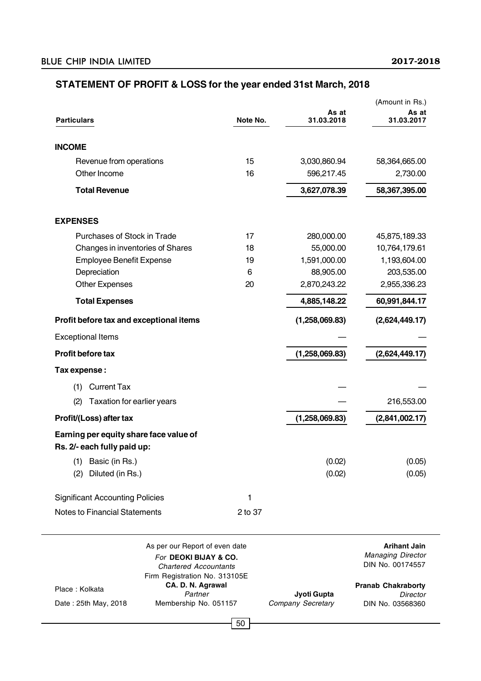### **STATEMENT OF PROFIT & LOSS for the year ended 31st March, 2018**

|                                                                       |          |                     | (Amount in Rs.)     |
|-----------------------------------------------------------------------|----------|---------------------|---------------------|
| <b>Particulars</b>                                                    | Note No. | As at<br>31.03.2018 | As at<br>31.03.2017 |
| <b>INCOME</b>                                                         |          |                     |                     |
| Revenue from operations                                               | 15       | 3,030,860.94        | 58,364,665.00       |
| Other Income                                                          | 16       | 596,217.45          | 2,730.00            |
| <b>Total Revenue</b>                                                  |          | 3,627,078.39        | 58,367,395.00       |
| <b>EXPENSES</b>                                                       |          |                     |                     |
| Purchases of Stock in Trade                                           | 17       | 280,000.00          | 45,875,189.33       |
| Changes in inventories of Shares                                      | 18       | 55,000.00           | 10,764,179.61       |
| <b>Employee Benefit Expense</b>                                       | 19       | 1,591,000.00        | 1,193,604.00        |
| Depreciation                                                          | 6        | 88,905.00           | 203,535.00          |
| <b>Other Expenses</b>                                                 | 20       | 2,870,243.22        | 2,955,336.23        |
| <b>Total Expenses</b>                                                 |          | 4,885,148.22        | 60,991,844.17       |
| Profit before tax and exceptional items                               |          | (1,258,069.83)      | (2,624,449.17)      |
| <b>Exceptional Items</b>                                              |          |                     |                     |
| Profit before tax                                                     |          | (1, 258, 069.83)    | (2,624,449.17)      |
| Tax expense:                                                          |          |                     |                     |
| <b>Current Tax</b><br>(1)                                             |          |                     |                     |
| Taxation for earlier years<br>(2)                                     |          |                     | 216,553.00          |
| Profit/(Loss) after tax                                               |          | (1, 258, 069.83)    | (2,841,002.17)      |
| Earning per equity share face value of<br>Rs. 2/- each fully paid up: |          |                     |                     |
| $(1)$ Basic (in Rs.)                                                  |          | (0.02)              | (0.05)              |
| (2) Diluted (in Rs.)                                                  |          | (0.02)              | (0.05)              |
| <b>Significant Accounting Policies</b>                                | 1        |                     |                     |
| Notes to Financial Statements                                         | 2 to 37  |                     |                     |
|                                                                       |          |                     |                     |

|                      | As per our Report of even date<br>For DEOKI BIJAY & CO.<br><b>Chartered Accountants</b> |                   | <b>Arihant Jain</b><br><b>Managing Director</b><br>DIN No. 00174557 |
|----------------------|-----------------------------------------------------------------------------------------|-------------------|---------------------------------------------------------------------|
| Place: Kolkata       | Firm Registration No. 313105E<br>CA. D. N. Agrawal<br>Partner                           | Jyoti Gupta       | <b>Pranab Chakraborty</b><br>Director                               |
| Date: 25th May, 2018 | Membership No. 051157                                                                   | Company Secretary | DIN No. 03568360                                                    |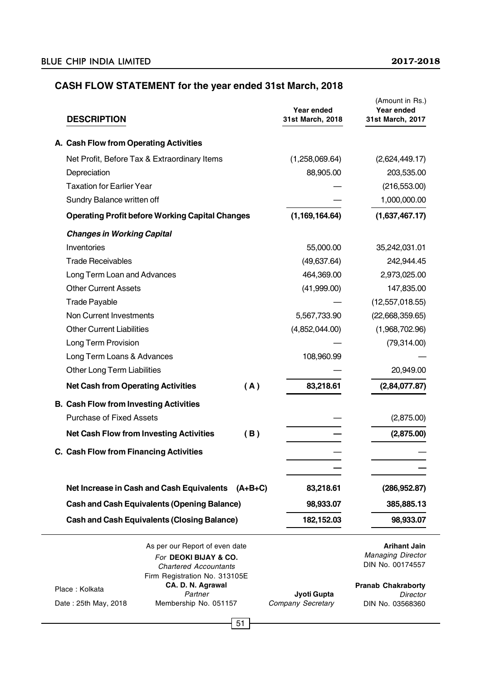#### **CASH FLOW STATEMENT for the year ended 31st March, 2018**

| <b>DESCRIPTION</b>                             |                                                        |           | Year ended<br>31st March, 2018 | (Amount in Rs.)<br><b>Year ended</b><br>31st March, 2017 |
|------------------------------------------------|--------------------------------------------------------|-----------|--------------------------------|----------------------------------------------------------|
| A. Cash Flow from Operating Activities         |                                                        |           |                                |                                                          |
|                                                | Net Profit, Before Tax & Extraordinary Items           |           | (1,258,069.64)                 | (2,624,449.17)                                           |
| Depreciation                                   |                                                        |           | 88,905.00                      | 203,535.00                                               |
| <b>Taxation for Earlier Year</b>               |                                                        |           |                                | (216, 553.00)                                            |
| Sundry Balance written off                     |                                                        |           |                                | 1,000,000.00                                             |
|                                                | <b>Operating Profit before Working Capital Changes</b> |           | (1, 169, 164.64)               | (1,637,467.17)                                           |
| <b>Changes in Working Capital</b>              |                                                        |           |                                |                                                          |
| Inventories                                    |                                                        |           | 55,000.00                      | 35,242,031.01                                            |
| <b>Trade Receivables</b>                       |                                                        |           | (49, 637.64)                   | 242,944.45                                               |
| Long Term Loan and Advances                    |                                                        |           | 464,369.00                     | 2,973,025.00                                             |
| <b>Other Current Assets</b>                    |                                                        |           | (41,999.00)                    | 147,835.00                                               |
| <b>Trade Payable</b>                           |                                                        |           |                                | (12,557,018.55)                                          |
| Non Current Investments                        |                                                        |           | 5,567,733.90                   | (22,668,359.65)                                          |
| <b>Other Current Liabilities</b>               |                                                        |           | (4,852,044.00)                 | (1,968,702.96)                                           |
| Long Term Provision                            |                                                        |           |                                | (79, 314.00)                                             |
| Long Term Loans & Advances                     |                                                        |           | 108,960.99                     |                                                          |
| Other Long Term Liabilities                    |                                                        |           |                                | 20,949.00                                                |
| <b>Net Cash from Operating Activities</b>      |                                                        | (A)       | 83,218.61                      | (2,84,077.87)                                            |
| <b>B. Cash Flow from Investing Activities</b>  |                                                        |           |                                |                                                          |
| <b>Purchase of Fixed Assets</b>                |                                                        |           |                                | (2,875.00)                                               |
| <b>Net Cash Flow from Investing Activities</b> |                                                        | (B)       |                                | (2,875.00)                                               |
| C. Cash Flow from Financing Activities         |                                                        |           |                                |                                                          |
|                                                |                                                        |           |                                |                                                          |
|                                                | Net Increase in Cash and Cash Equivalents              | $(A+B+C)$ | 83,218.61                      | (286, 952.87)                                            |
|                                                | <b>Cash and Cash Equivalents (Opening Balance)</b>     |           | 98,933.07                      | 385,885.13                                               |
|                                                | <b>Cash and Cash Equivalents (Closing Balance)</b>     |           | 182,152.03                     | 98,933.07                                                |
|                                                |                                                        |           |                                |                                                          |

As per our Report of even date *For* **DEOKI BIJAY & CO.** *Chartered Accountants* Firm Registration No. 313105E **CA. D. N. Agrawal** *Partner* Membership No. 051157

Place : Kolkata

Date : 25th May, 2018

*Managing Director* DIN No. 00174557

**Pranab Chakraborty Jyoti Gupta** *Company Secretary*

*Director* DIN No. 03568360

**Arihant Jain**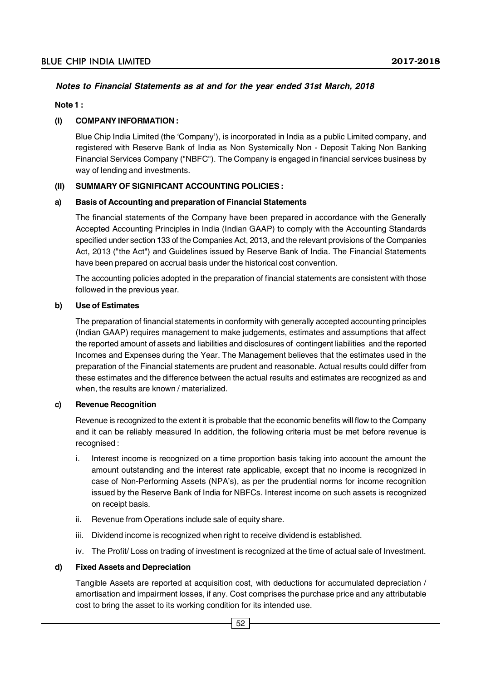#### **Note 1 :**

#### **(I) COMPANY INFORMATION :**

Blue Chip India Limited (the 'Company'), is incorporated in India as a public Limited company, and registered with Reserve Bank of India as Non Systemically Non - Deposit Taking Non Banking Financial Services Company ("NBFC"). The Company is engaged in financial services business by way of lending and investments.

#### **(II) SUMMARY OF SIGNIFICANT ACCOUNTING POLICIES :**

#### **a) Basis of Accounting and preparation of Financial Statements**

The financial statements of the Company have been prepared in accordance with the Generally Accepted Accounting Principles in India (Indian GAAP) to comply with the Accounting Standards specified under section 133 of the Companies Act, 2013, and the relevant provisions of the Companies Act, 2013 ("the Act") and Guidelines issued by Reserve Bank of India. The Financial Statements have been prepared on accrual basis under the historical cost convention.

The accounting policies adopted in the preparation of financial statements are consistent with those followed in the previous year.

#### **b) Use of Estimates**

The preparation of financial statements in conformity with generally accepted accounting principles (Indian GAAP) requires management to make judgements, estimates and assumptions that affect the reported amount of assets and liabilities and disclosures of contingent liabilities and the reported Incomes and Expenses during the Year. The Management believes that the estimates used in the preparation of the Financial statements are prudent and reasonable. Actual results could differ from these estimates and the difference between the actual results and estimates are recognized as and when, the results are known / materialized.

#### **c) Revenue Recognition**

Revenue is recognized to the extent it is probable that the economic benefits will flow to the Company and it can be reliably measured In addition, the following criteria must be met before revenue is recognised:

- i. Interest income is recognized on a time proportion basis taking into account the amount the amount outstanding and the interest rate applicable, except that no income is recognized in case of Non-Performing Assets (NPA's), as per the prudential norms for income recognition issued by the Reserve Bank of India for NBFCs. Interest income on such assets is recognized on receipt basis.
- ii. Revenue from Operations include sale of equity share.
- iii. Dividend income is recognized when right to receive dividend is established.
- iv. The Profit/ Loss on trading of investment is recognized at the time of actual sale of Investment.

#### **d) Fixed Assets and Depreciation**

Tangible Assets are reported at acquisition cost, with deductions for accumulated depreciation / amortisation and impairment losses, if any. Cost comprises the purchase price and any attributable cost to bring the asset to its working condition for its intended use.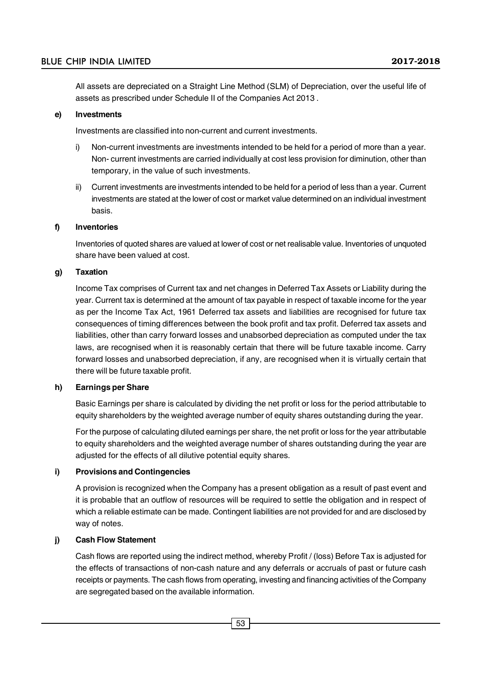All assets are depreciated on a Straight Line Method (SLM) of Depreciation, over the useful life of assets as prescribed under Schedule II of the Companies Act 2013 .

#### **e) Investments**

Investments are classified into non-current and current investments.

- i) Non-current investments are investments intended to be held for a period of more than a year. Non- current investments are carried individually at cost less provision for diminution, other than temporary, in the value of such investments.
- ii) Current investments are investments intended to be held for a period of less than a year. Current investments are stated at the lower of cost or market value determined on an individual investment basis.

#### **f) Inventories**

Inventories of quoted shares are valued at lower of cost or net realisable value. Inventories of unquoted share have been valued at cost.

#### **g) Taxation**

Income Tax comprises of Current tax and net changes in Deferred Tax Assets or Liability during the year. Current tax is determined at the amount of tax payable in respect of taxable income for the year as per the Income Tax Act, 1961 Deferred tax assets and liabilities are recognised for future tax consequences of timing differences between the book profit and tax profit. Deferred tax assets and liabilities, other than carry forward losses and unabsorbed depreciation as computed under the tax laws, are recognised when it is reasonably certain that there will be future taxable income. Carry forward losses and unabsorbed depreciation, if any, are recognised when it is virtually certain that there will be future taxable profit.

#### **h) Earnings per Share**

Basic Earnings per share is calculated by dividing the net profit or loss for the period attributable to equity shareholders by the weighted average number of equity shares outstanding during the year.

For the purpose of calculating diluted earnings per share, the net profit or loss for the year attributable to equity shareholders and the weighted average number of shares outstanding during the year are adjusted for the effects of all dilutive potential equity shares.

#### **i) Provisions and Contingencies**

A provision is recognized when the Company has a present obligation as a result of past event and it is probable that an outflow of resources will be required to settle the obligation and in respect of which a reliable estimate can be made. Contingent liabilities are not provided for and are disclosed by way of notes.

#### **j) Cash Flow Statement**

Cash flows are reported using the indirect method, whereby Profit / (loss) Before Tax is adjusted for the effects of transactions of non-cash nature and any deferrals or accruals of past or future cash receipts or payments. The cash flows from operating, investing and financing activities of the Company are segregated based on the available information.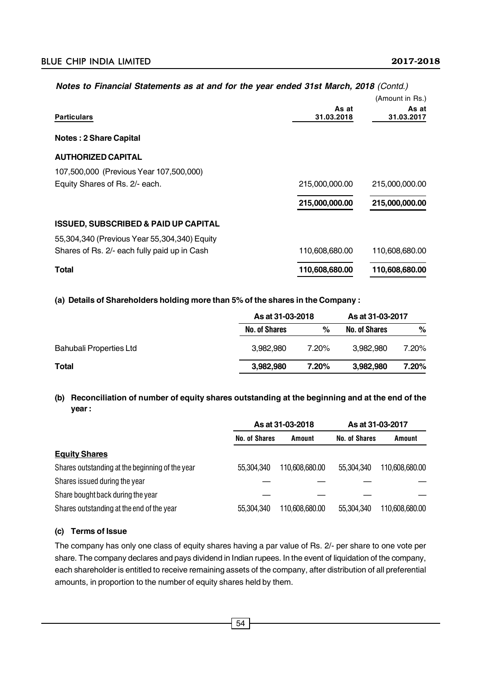|                                                 |                     | (Amount in Rs.)     |
|-------------------------------------------------|---------------------|---------------------|
| <b>Particulars</b>                              | As at<br>31.03.2018 | As at<br>31.03.2017 |
| <b>Notes: 2 Share Capital</b>                   |                     |                     |
| <b>AUTHORIZED CAPITAL</b>                       |                     |                     |
| 107,500,000 (Previous Year 107,500,000)         |                     |                     |
| Equity Shares of Rs. 2/- each.                  | 215,000,000.00      | 215,000,000.00      |
|                                                 | 215,000,000.00      | 215,000,000.00      |
| <b>ISSUED, SUBSCRIBED &amp; PAID UP CAPITAL</b> |                     |                     |
| 55,304,340 (Previous Year 55,304,340) Equity    |                     |                     |
| Shares of Rs. 2/- each fully paid up in Cash    | 110,608,680.00      | 110,608,680.00      |
| <b>Total</b>                                    | 110,608,680.00      | 110,608,680.00      |
|                                                 |                     |                     |

#### **(a) Details of Shareholders holding more than 5% of the shares in the Company :**

|                                | As at 31-03-2018 |       | As at 31-03-2017     |       |
|--------------------------------|------------------|-------|----------------------|-------|
|                                | No. of Shares    | %     | <b>No. of Shares</b> | %     |
| <b>Bahubali Properties Ltd</b> | 3.982.980        | 7.20% | 3.982.980            | 7.20% |
| <b>Total</b>                   | 3,982,980        | 7.20% | 3,982,980            | 7.20% |

#### **(b) Reconciliation of number of equity shares outstanding at the beginning and at the end of the year :**

|                                                 | As at 31-03-2018     |                | As at 31-03-2017     |                |
|-------------------------------------------------|----------------------|----------------|----------------------|----------------|
|                                                 | <b>No. of Shares</b> | Amount         | <b>No. of Shares</b> | <b>Amount</b>  |
| <b>Equity Shares</b>                            |                      |                |                      |                |
| Shares outstanding at the beginning of the year | 55,304,340           | 110,608,680.00 | 55,304,340           | 110,608,680.00 |
| Shares issued during the year                   |                      |                |                      |                |
| Share bought back during the year               |                      |                |                      |                |
| Shares outstanding at the end of the year       | 55,304,340           | 110,608,680.00 | 55,304,340           | 110,608,680.00 |

#### **(c) Terms of Issue**

The company has only one class of equity shares having a par value of Rs. 2/- per share to one vote per share. The company declares and pays dividend in Indian rupees. In the event of liquidation of the company, each shareholder is entitled to receive remaining assets of the company, after distribution of all preferential amounts, in proportion to the number of equity shares held by them.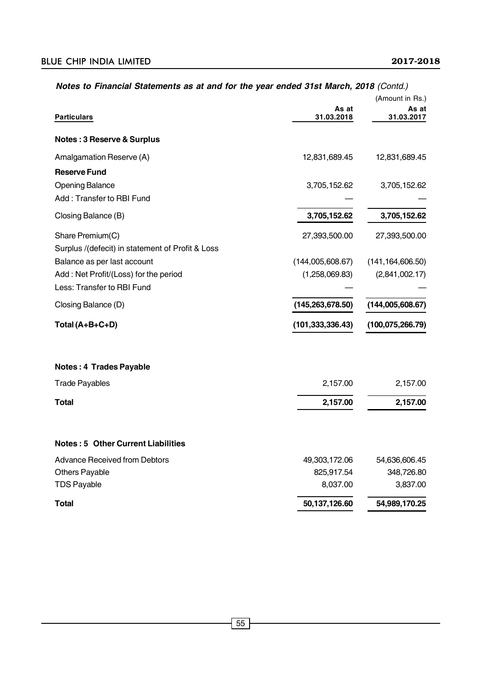|                                                  |                     | (Amount in Rs.)     |
|--------------------------------------------------|---------------------|---------------------|
| <b>Particulars</b>                               | As at<br>31.03.2018 | As at<br>31.03.2017 |
| <b>Notes: 3 Reserve &amp; Surplus</b>            |                     |                     |
| Amalgamation Reserve (A)                         | 12,831,689.45       | 12,831,689.45       |
| <b>Reserve Fund</b>                              |                     |                     |
| <b>Opening Balance</b>                           | 3,705,152.62        | 3,705,152.62        |
| Add: Transfer to RBI Fund                        |                     |                     |
| Closing Balance (B)                              | 3,705,152.62        | 3,705,152.62        |
| Share Premium(C)                                 | 27,393,500.00       | 27,393,500.00       |
| Surplus /(defecit) in statement of Profit & Loss |                     |                     |
| Balance as per last account                      | (144,005,608.67)    | (141, 164, 606.50)  |
| Add: Net Profit/(Loss) for the period            | (1,258,069.83)      | (2,841,002.17)      |
| Less: Transfer to RBI Fund                       |                     |                     |
| Closing Balance (D)                              | (145, 263, 678.50)  | (144,005,608.67)    |
| Total (A+B+C+D)                                  | (101, 333, 336.43)  | (100, 075, 266.79)  |
| <b>Notes: 4 Trades Payable</b>                   |                     |                     |
| <b>Trade Payables</b>                            | 2,157.00            | 2,157.00            |
| <b>Total</b>                                     | 2,157.00            | 2,157.00            |
| <b>Notes: 5 Other Current Liabilities</b>        |                     |                     |
| <b>Advance Received from Debtors</b>             | 49,303,172.06       | 54,636,606.45       |
| Others Payable                                   | 825,917.54          | 348,726.80          |
| <b>TDS Payable</b>                               | 8,037.00            | 3,837.00            |
| Total                                            | 50,137,126.60       | 54,989,170.25       |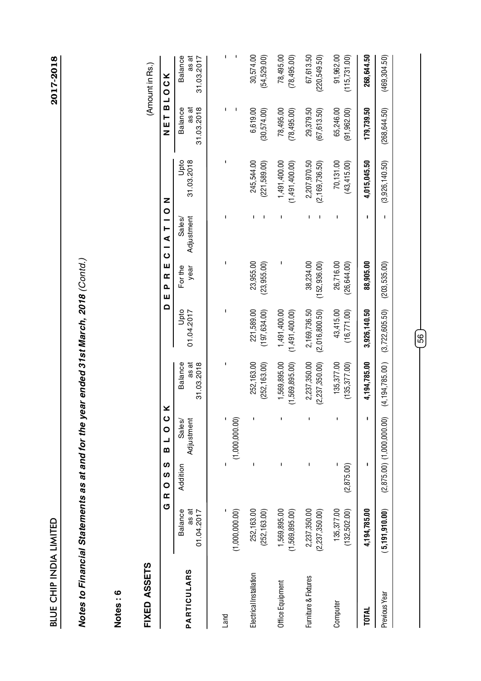| ۔<br>آ |  |
|--------|--|
|        |  |
|        |  |
|        |  |
|        |  |
|        |  |
| i      |  |
|        |  |
|        |  |
|        |  |
|        |  |
|        |  |

**2017-2018**

Notes to Financial Statements as at and for the year ended 31st March, 2018 (Contd.) *Notes to Financial Statements as at and for the year ended 31st March, 2018 (Contd.)*

**Notes : 6**

# FIXED ASSETS **FIXED ASSETS**

Balance as at<br>31.03.2017 30,574.00 78,495.00 67,613.50 220,549.50) 91,962.00 268,644.50 54,529.00) 78,495.00)  $(115, 731.00)$ 31.03.2017Land -- -- -- -- -- -- -- -- -- -- (1,000,000.00) (1,000,000.00) -- -- Electrical Installation 252,163.00 -- -- 252,163.00 221,589.00 23,955.00 -- 245,544.00 6,619.00 30,574.00 (252,1630,1631,520) (252,163.00) -- (221,589.00) (30,163.00,000,000,000,000,000,000,000) (54,529.00) (54,529.00) (54,529.00) -- (220,163.000) -- (220,163.000) -- (221,574.02) -- (221,589.00) -- (220,163.000) -- (220,163.00 Office Equipment 1,569,895.00 -- -- 1,569,895.00 1,491,400.00 -- -- 1,491,400.00 78,495.00 78,495.00 (1,569,895.00) (1,569,895.00) (1,491,400.00) (1,491,400.00) (78,495.00) (78,495.00) Furniture & Fixtures 2,237,350.00 -- 2,237,350.00 2,169,736.50 2,169,736.50 -- 2,204.00 -- 2,207,970.50 29,379.50 67,613.50 (2,237,350.00) (2,237,350.00) (2,016,800.50) (152,936.00) -- (2,169,736.50) (67,613.50) (220,549.50) Computer 135,377.00 -- 135,377.00 -- 135,377.00 43,415.00 -- 135,377.00 -- - - - 135,3716.00 -- 91,962.00 91,962.00 (132,502,000) (2,875.00) (2,875.00) (2,875.00) (16,877.00) (16,777.00) (16,777.00) (16,877.00) (15,795.00) (15,795.00) (15,795.00) **TOTAL 4,194,785.00 -- -- 4,194,785.00 3,926,140.50 88,905.00 -- 4,015,045.50 179,739.50 268,644.50**  $(469, 304.50)$ Previous Year ( **5,191,910.00**) (2,875.00) (1,000,000.00) (4,194,785.00 ) (3,722,605.50) (203,535.00) -- (3,926,140.50) (268,644.50) (469,304.50) (Amount in Rs.) (Amount in Rs.) NETBLOCK **G R O S S B L O C K D E P R E C I A T I O N N E T B L O C K** as at Balance 31.03.2018 ł 78,495.00  $(67, 613.50)$ 6,619.00 30,574.00)  $(78, 495.00)$ 29,379.50 65,246.00  $91,962.00$ 179,739.50  $(268, 644.50)$ Upto 31.03.2018  $\overline{1}$ 245,544.00 1,491,400.00 4,015,045.50 221,589.00)  $(1,491,400.00)$ 2,207,970.50  $(2, 169, 736.50)$ 70,131.00  $(43, 415.00)$  $(3,926,140.50)$  $\overline{z}$ C | A T | O  $\ddot{\phantom{1}}$ Sales/<br>Adjustment  $\overline{\phantom{a}}$  $\mathbf{I}$  $\overline{\phantom{a}}$  $\overline{\phantom{a}}$  $\mathbf{I}$  $\overline{1}$  $\overline{\phantom{a}}$ Adjustment  $\ddot{\phantom{0}}$ 23,955.00 38,234.00 26,716.00 88,905.00 23,955.00)  $(152, 936.00)$ 26,644.00) **PRE**  $(203, 535.00)$ year For the ш  $\Omega$ 2,169,736.50  $(2,016,800.50)$ 3,926,140.50 221,589.00  $(197, 634.00)$ 1,491,400.00 43,415.00  $(3,722,605.50)$ Upto 01.04.2017  $(1,491,400.00)$  $(16, 771.00)$ 1,569,895.00 2,237,350.00 Balance 252, 163.00 252, 163.00)  $(1,569,895.00)$ 135,377.00 4,194,785.00  $(4, 194, 785.00)$ as at 31.03.2018  $(2,237,350.00)$ 135, 377.00) BLOCK  $\mathbf{I}$  $\overline{1}$  $\overline{1}$ Ï  $(2,875.00)$   $(1,000,000.00)$  $(1,000,000.00)$ Sales/ Addition Sales/ Adjustment Adjustment (၈  $\overline{1}$  $\overline{1}$ Ï  $\overline{1}$  $(2,875.00)$ Addition ROS ල<br> Balance 252,163.00 1,569,895.00 2,237,350.00 135,377.00  $(1,000,000.00)$  $(252, 163.00)$  $(1,569,895.00)$  $(2,237,350.00)$  $(132, 502.00)$ 4,194,785.00  $(5, 191, 910.00)$ as at 01.04.2017 **PARTICULARS PARTICULARS** Electrical Installation Furniture & Fixtures Office Equipment Previous Year Computer **TOTAL** Land

56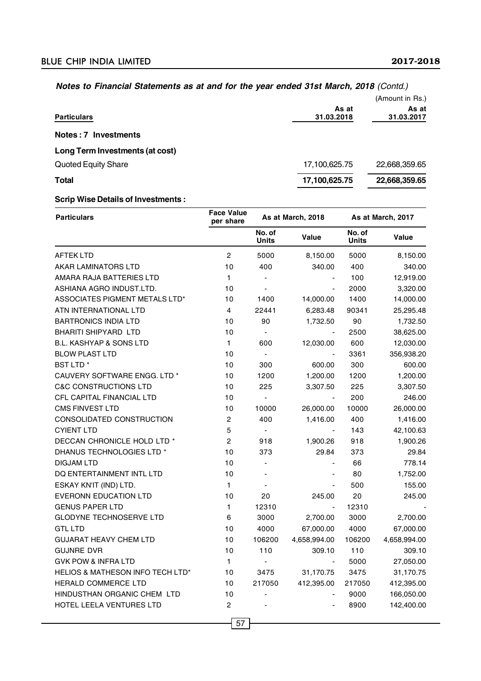|                                 |                     | (Amount in Rs.)     |
|---------------------------------|---------------------|---------------------|
| <b>Particulars</b>              | As at<br>31.03.2018 | As at<br>31.03.2017 |
| Notes: 7 Investments            |                     |                     |
| Long Term Investments (at cost) |                     |                     |
| Quoted Equity Share             | 17,100,625.75       | 22,668,359.65       |
| <b>Total</b>                    | 17,100,625.75       | 22,668,359.65       |

#### **Scrip Wise Details of Investments :**

| <b>Particulars</b>                 | <b>Face Value</b><br>per share |                        | As at March, 2018 |                        | As at March, 2017 |
|------------------------------------|--------------------------------|------------------------|-------------------|------------------------|-------------------|
|                                    |                                | No. of<br><b>Units</b> | Value             | No. of<br><b>Units</b> | Value             |
| <b>AFTEK LTD</b>                   | $\overline{2}$                 | 5000                   | 8,150.00          | 5000                   | 8,150.00          |
| AKAR LAMINATORS LTD                | 10                             | 400                    | 340.00            | 400                    | 340.00            |
| AMARA RAJA BATTERIES LTD           | 1                              | $\blacksquare$         |                   | 100                    | 12,919.00         |
| ASHIANA AGRO INDUST.LTD.           | 10                             |                        |                   | 2000                   | 3,320.00          |
| ASSOCIATES PIGMENT METALS LTD*     | 10                             | 1400                   | 14,000.00         | 1400                   | 14,000.00         |
| ATN INTERNATIONAL LTD              | $\overline{\mathbf{4}}$        | 22441                  | 6,283.48          | 90341                  | 25,295.48         |
| <b>BARTRONICS INDIA LTD</b>        | 10                             | 90                     | 1,732.50          | 90                     | 1,732.50          |
| <b>BHARITI SHIPYARD LTD</b>        | 10                             | $\blacksquare$         |                   | 2500                   | 38,625.00         |
| <b>B.L. KASHYAP &amp; SONS LTD</b> | $\mathbf{1}$                   | 600                    | 12,030.00         | 600                    | 12,030.00         |
| <b>BLOW PLAST LTD</b>              | 10                             | ÷.                     |                   | 3361                   | 356,938.20        |
| BST LTD <sup>*</sup>               | 10                             | 300                    | 600.00            | 300                    | 600.00            |
| CAUVERY SOFTWARE ENGG. LTD *       | 10                             | 1200                   | 1,200.00          | 1200                   | 1,200.00          |
| <b>C&amp;C CONSTRUCTIONS LTD</b>   | 10                             | 225                    | 3,307.50          | 225                    | 3,307.50          |
| CFL CAPITAL FINANCIAL LTD          | 10                             | ä,                     |                   | 200                    | 246.00            |
| <b>CMS FINVEST LTD</b>             | 10                             | 10000                  | 26,000.00         | 10000                  | 26,000.00         |
| CONSOLIDATED CONSTRUCTION          | $\overline{c}$                 | 400                    | 1,416.00          | 400                    | 1,416.00          |
| <b>CYIENT LTD</b>                  | 5                              | $\blacksquare$         |                   | 143                    | 42,100.63         |
| DECCAN CHRONICLE HOLD LTD *        | $\overline{2}$                 | 918                    | 1,900.26          | 918                    | 1,900.26          |
| DHANUS TECHNOLOGIES LTD *          | 10                             | 373                    | 29.84             | 373                    | 29.84             |
| <b>DIGJAM LTD</b>                  | 10                             |                        |                   | 66                     | 778.14            |
| DO ENTERTAINMENT INTL LTD          | 10                             |                        |                   | 80                     | 1,752.00          |
| ESKAY KN'IT (IND) LTD.             | $\mathbf{1}$                   |                        |                   | 500                    | 155.00            |
| <b>EVERONN EDUCATION LTD</b>       | 10                             | 20                     | 245.00            | 20                     | 245.00            |
| <b>GENUS PAPER LTD</b>             | 1                              | 12310                  |                   | 12310                  |                   |
| <b>GLODYNE TECHNOSERVE LTD</b>     | 6                              | 3000                   | 2,700.00          | 3000                   | 2,700.00          |
| <b>GTL LTD</b>                     | 10                             | 4000                   | 67,000.00         | 4000                   | 67,000.00         |
| <b>GUJARAT HEAVY CHEM LTD</b>      | 10                             | 106200                 | 4,658,994.00      | 106200                 | 4,658,994.00      |
| <b>GUJNRE DVR</b>                  | 10                             | 110                    | 309.10            | 110                    | 309.10            |
| <b>GVK POW &amp; INFRA LTD</b>     | 1                              |                        |                   | 5000                   | 27,050.00         |
| HELIOS & MATHESON INFO TECH LTD*   | 10                             | 3475                   | 31,170.75         | 3475                   | 31,170.75         |
| <b>HERALD COMMERCE LTD</b>         | 10                             | 217050                 | 412,395.00        | 217050                 | 412,395.00        |
| HINDUSTHAN ORGANIC CHEM LTD        | 10                             |                        |                   | 9000                   | 166,050.00        |
| HOTEL LEELA VENTURES LTD           | 2                              |                        |                   | 8900                   | 142,400.00        |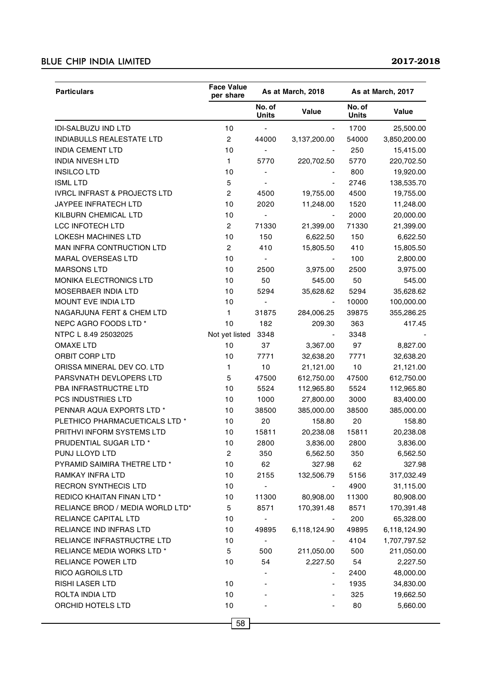| <b>Particulars</b>                      | <b>Face Value</b><br>per share |                          | As at March, 2018 |                        | As at March, 2017 |
|-----------------------------------------|--------------------------------|--------------------------|-------------------|------------------------|-------------------|
|                                         |                                | No. of<br><b>Units</b>   | Value             | No. of<br><b>Units</b> | Value             |
| <b>IDI-SALBUZU IND LTD</b>              | 10                             | $\overline{\phantom{a}}$ |                   | 1700                   | 25,500.00         |
| INDIABULLS REALESTATE LTD               | $\overline{c}$                 | 44000                    | 3,137,200.00      | 54000                  | 3,850,200.00      |
| <b>INDIA CEMENT LTD</b>                 | 10                             |                          |                   | 250                    | 15,415.00         |
| <b>INDIA NIVESH LTD</b>                 | $\mathbf{1}$                   | 5770                     | 220,702.50        | 5770                   | 220,702.50        |
| <b>INSILCO LTD</b>                      | 10                             |                          |                   | 800                    | 19,920.00         |
| <b>ISML LTD</b>                         | 5                              |                          |                   | 2746                   | 138,535.70        |
| <b>IVRCL INFRAST &amp; PROJECTS LTD</b> | $\overline{c}$                 | 4500                     | 19,755.00         | 4500                   | 19,755.00         |
| JAYPEE INFRATECH LTD                    | 10                             | 2020                     | 11,248.00         | 1520                   | 11,248.00         |
| KILBURN CHEMICAL LTD                    | 10                             | $\blacksquare$           |                   | 2000                   | 20,000.00         |
| <b>LCC INFOTECH LTD</b>                 | $\overline{c}$                 | 71330                    | 21,399.00         | 71330                  | 21,399.00         |
| <b>LOKESH MACHINES LTD</b>              | 10                             | 150                      | 6,622.50          | 150                    | 6,622.50          |
| MAN INFRA CONTRUCTION LTD               | $\overline{c}$                 | 410                      | 15,805.50         | 410                    | 15,805.50         |
| <b>MARAL OVERSEAS LTD</b>               | 10                             | $\frac{1}{2}$            |                   | 100                    | 2,800.00          |
| <b>MARSONS LTD</b>                      | 10                             | 2500                     | 3,975.00          | 2500                   | 3,975.00          |
| <b>MONIKA ELECTRONICS LTD</b>           | 10                             | 50                       | 545.00            | 50                     | 545.00            |
| MOSERBAER INDIA LTD                     | 10                             | 5294                     | 35,628.62         | 5294                   | 35,628.62         |
| MOUNT EVE INDIA LTD                     | 10                             | $\blacksquare$           |                   | 10000                  | 100,000.00        |
| NAGARJUNA FERT & CHEM LTD               | $\mathbf{1}$                   | 31875                    | 284,006.25        | 39875                  | 355,286.25        |
| NEPC AGRO FOODS LTD *                   | 10                             | 182                      | 209.30            | 363                    | 417.45            |
| NTPC L 8.49 25032025                    | Not yet listed                 | 3348                     |                   | 3348                   |                   |
| <b>OMAXE LTD</b>                        | 10                             | 37                       | 3,367.00          | 97                     | 8,827.00          |
| ORBIT CORP LTD                          | 10                             | 7771                     | 32,638.20         | 7771                   | 32,638.20         |
| ORISSA MINERAL DEV CO. LTD              | 1                              | 10                       | 21,121.00         | 10                     | 21,121.00         |
| PARSVNATH DEVLOPERS LTD                 | 5                              | 47500                    | 612,750.00        | 47500                  | 612,750.00        |
| PBA INFRASTRUCTRE LTD                   | 10                             | 5524                     | 112,965.80        | 5524                   | 112,965.80        |
| PCS INDUSTRIES LTD                      | 10                             | 1000                     | 27,800.00         | 3000                   | 83,400.00         |
| PENNAR AQUA EXPORTS LTD *               | 10                             | 38500                    | 385,000.00        | 38500                  | 385,000.00        |
| PLETHICO PHARMACUETICALS LTD *          | 10                             | 20                       | 158.80            | 20                     | 158.80            |
| PRITHVI INFORM SYSTEMS LTD              | 10                             | 15811                    | 20,238.08         | 15811                  | 20,238.08         |
| PRUDENTIAL SUGAR LTD *                  | 10                             | 2800                     | 3,836.00          | 2800                   | 3,836.00          |
| PUNJ LLOYD LTD                          | 2                              | 350                      | 6,562.50          | 350                    | 6,562.50          |
| PYRAMID SAIMIRA THETRE LTD *            | 10                             | 62                       | 327.98            | 62                     | 327.98            |
| RAMKAY INFRA LTD                        | 10                             | 2155                     | 132,506.79        | 5156                   | 317,032.49        |
| <b>RECRON SYNTHECIS LTD</b>             | 10                             | ۰                        |                   | 4900                   | 31,115.00         |
| REDICO KHAITAN FINAN LTD *              | 10                             | 11300                    | 80,908.00         | 11300                  | 80,908.00         |
| RELIANCE BROD / MEDIA WORLD LTD*        | 5                              | 8571                     | 170,391.48        | 8571                   | 170,391.48        |
| RELIANCE CAPITAL LTD                    | 10                             | ۰                        |                   | 200                    | 65,328.00         |
| RELIANCE IND INFRAS LTD                 | 10                             | 49895                    | 6,118,124.90      | 49895                  | 6,118,124.90      |
| RELIANCE INFRASTRUCTRE LTD              | 10                             | $\sim$                   |                   | 4104                   | 1,707,797.52      |
| RELIANCE MEDIA WORKS LTD *              | 5                              | 500                      | 211,050.00        | 500                    | 211,050.00        |
| RELIANCE POWER LTD                      | 10                             | 54                       | 2,227.50          | 54                     | 2,227.50          |
| <b>RICO AGROILS LTD</b>                 |                                | -                        |                   | 2400                   | 48,000.00         |
| RISHI LASER LTD                         | 10                             |                          |                   | 1935                   | 34,830.00         |
| ROLTA INDIA LTD                         | 10                             |                          |                   | 325                    | 19,662.50         |
| ORCHID HOTELS LTD                       | 10                             |                          |                   | 80                     | 5,660.00          |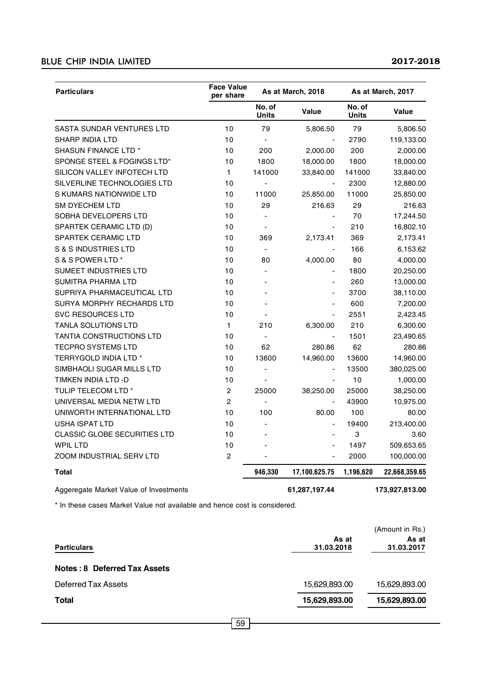| <b>Particulars</b>                     | <b>Face Value</b><br>per share |                              | As at March, 2018 |                        | As at March, 2017 |
|----------------------------------------|--------------------------------|------------------------------|-------------------|------------------------|-------------------|
|                                        |                                | No. of<br><b>Units</b>       | Value             | No. of<br><b>Units</b> | Value             |
| SASTA SUNDAR VENTURES LTD              | 10                             | 79                           | 5,806.50          | 79                     | 5,806.50          |
| <b>SHARP INDIA LTD</b>                 | 10                             | $\blacksquare$               |                   | 2790                   | 119,133.00        |
| <b>SHASUN FINANCE LTD *</b>            | 10                             | 200                          | 2,000.00          | 200                    | 2,000.00          |
| <b>SPONGE STEEL &amp; FOGINGS LTD*</b> | 10                             | 1800                         | 18,000.00         | 1800                   | 18,000.00         |
| SILICON VALLEY INFOTECH LTD            | $\mathbf{1}$                   | 141000                       | 33,840.00         | 141000                 | 33,840.00         |
| SILVERLINE TECHNOLOGIES LTD            | 10                             | $\qquad \qquad \blacksquare$ |                   | 2300                   | 12,880.00         |
| S KUMARS NATIONWIDE LTD                | 10                             | 11000                        | 25,850.00         | 11000                  | 25,850.00         |
| SM DYECHEM LTD                         | 10                             | 29                           | 216.63            | 29                     | 216.63            |
| SOBHA DEVELOPERS LTD                   | 10                             |                              |                   | 70                     | 17,244.50         |
| SPARTEK CERAMIC LTD (D)                | 10                             | $\blacksquare$               |                   | 210                    | 16,802.10         |
| SPARTEK CERAMIC LTD                    | 10                             | 369                          | 2,173.41          | 369                    | 2,173.41          |
| <b>S &amp; S INDUSTRIES LTD</b>        | 10                             | $\blacksquare$               |                   | 166                    | 6,153.62          |
| S & S POWER LTD *                      | 10                             | 80                           | 4,000.00          | 80                     | 4,000.00          |
| SUMEET INDUSTRIES LTD                  | 10                             | $\overline{\phantom{a}}$     | $\blacksquare$    | 1800                   | 20,250.00         |
| SUMITRA PHARMA LTD                     | 10                             | $\overline{a}$               | $\blacksquare$    | 260                    | 13,000.00         |
| SUPRIYA PHARMACEUTICAL LTD             | 10                             | $\overline{\phantom{a}}$     | $\blacksquare$    | 3700                   | 38,110.00         |
| SURYA MORPHY RECHARDS LTD              | 10                             | $\overline{a}$               | $\overline{a}$    | 600                    | 7,200.00          |
| <b>SVC RESOURCES LTD</b>               | 10                             | $\overline{\phantom{a}}$     |                   | 2551                   | 2,423.45          |
| <b>TANLA SOLUTIONS LTD</b>             | $\mathbf{1}$                   | 210                          | 6,300.00          | 210                    | 6,300.00          |
| TANTIA CONSTRUCTIONS LTD               | 10                             | $\overline{\phantom{a}}$     |                   | 1501                   | 23,490.65         |
| <b>TECPRO SYSTEMS LTD</b>              | 10                             | 62                           | 280.86            | 62                     | 280.86            |
| TERRYGOLD INDIA LTD *                  | 10                             | 13600                        | 14,960.00         | 13600                  | 14,960.00         |
| SIMBHAOLI SUGAR MILLS LTD              | 10                             | ۰                            |                   | 13500                  | 380,025.00        |
| TIMKEN INDIA LTD -D                    | 10                             | $\overline{\phantom{a}}$     |                   | 10                     | 1,000.00          |
| TULIP TELECOM LTD <sup>*</sup>         | $\overline{c}$                 | 25000                        | 38,250.00         | 25000                  | 38,250.00         |
| UNIVERSAL MEDIA NETW LTD               | 2                              | $\blacksquare$               |                   | 43900                  | 10,975.00         |
| UNIWORTH INTERNATIONAL LTD             | 10                             | 100                          | 80.00             | 100                    | 80.00             |
| USHA ISPAT LTD                         | 10                             | ÷,                           | $\blacksquare$    | 19400                  | 213,400.00        |
| CLASSIC GLOBE SECURITIES LTD           | 10                             |                              | $\blacksquare$    | 3                      | 3.60              |
| <b>WPIL LTD</b>                        | 10                             |                              |                   | 1497                   | 509,653.65        |
| ZOOM INDUSTRIAL SERV LTD               | $\overline{c}$                 |                              |                   | 2000                   | 100,000.00        |
| Total                                  |                                | 946,330                      | 17,100,625.75     | 1,196,620              | 22,668,359.65     |
| Aggeregate Market Value of Investments |                                |                              | 61,287,197.44     |                        | 173,927,813.00    |

\* In these cases Market Value not available and hence cost is considered.

|                              |                     | (Amount in Rs.)     |
|------------------------------|---------------------|---------------------|
| <b>Particulars</b>           | As at<br>31.03.2018 | As at<br>31.03.2017 |
| Notes: 8 Deferred Tax Assets |                     |                     |
| Deferred Tax Assets          | 15,629,893.00       | 15,629,893.00       |
| <b>Total</b>                 | 15,629,893.00       | 15,629,893.00       |
|                              |                     |                     |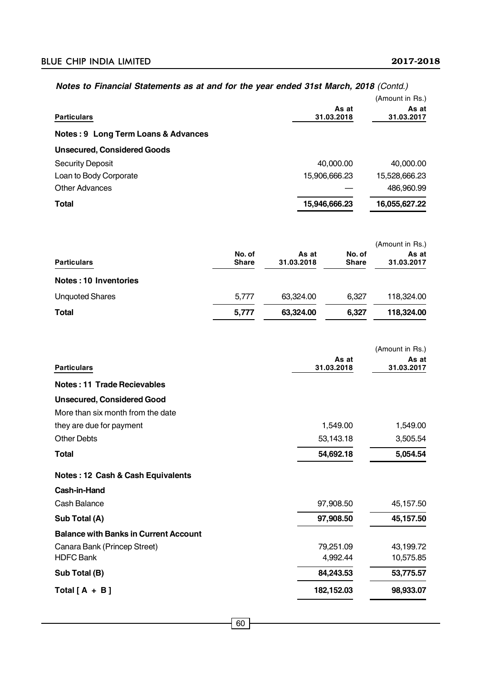|                                     |                     | (Amount in Rs.)     |
|-------------------------------------|---------------------|---------------------|
| <b>Particulars</b>                  | As at<br>31.03.2018 | As at<br>31.03.2017 |
| Notes: 9 Long Term Loans & Advances |                     |                     |
| <b>Unsecured, Considered Goods</b>  |                     |                     |
| <b>Security Deposit</b>             | 40,000.00           | 40,000.00           |
| Loan to Body Corporate              | 15,906,666.23       | 15,528,666.23       |
| <b>Other Advances</b>               |                     | 486,960.99          |
| <b>Total</b>                        | 15,946,666.23       | 16,055,627.22       |

|                        |                     |                        | (Amount in Rs.)     |
|------------------------|---------------------|------------------------|---------------------|
| No. of<br><b>Share</b> | As at<br>31.03.2018 | No. of<br><b>Share</b> | As at<br>31.03.2017 |
|                        |                     |                        |                     |
| 5.777                  | 63.324.00           | 6.327                  | 118,324.00          |
| 5.777                  | 63,324.00           | 6.327                  | 118,324.00          |
|                        |                     |                        |                     |

|                                              |                     | (Amount in Rs.)     |
|----------------------------------------------|---------------------|---------------------|
| <b>Particulars</b>                           | As at<br>31.03.2018 | As at<br>31.03.2017 |
| <b>Notes: 11 Trade Recievables</b>           |                     |                     |
| <b>Unsecured, Considered Good</b>            |                     |                     |
| More than six month from the date            |                     |                     |
| they are due for payment                     | 1,549.00            | 1,549.00            |
| <b>Other Debts</b>                           | 53,143.18           | 3,505.54            |
| <b>Total</b>                                 | 54,692.18           | 5,054.54            |
| Notes: 12 Cash & Cash Equivalents            |                     |                     |
| <b>Cash-in-Hand</b>                          |                     |                     |
| Cash Balance                                 | 97,908.50           | 45,157.50           |
| Sub Total (A)                                | 97,908.50           | 45,157.50           |
| <b>Balance with Banks in Current Account</b> |                     |                     |
| Canara Bank (Princep Street)                 | 79,251.09           | 43,199.72           |
| <b>HDFC Bank</b>                             | 4,992.44            | 10,575.85           |
| Sub Total (B)                                | 84,243.53           | 53,775.57           |
| Total $[A + B]$                              | 182,152.03          | 98,933.07           |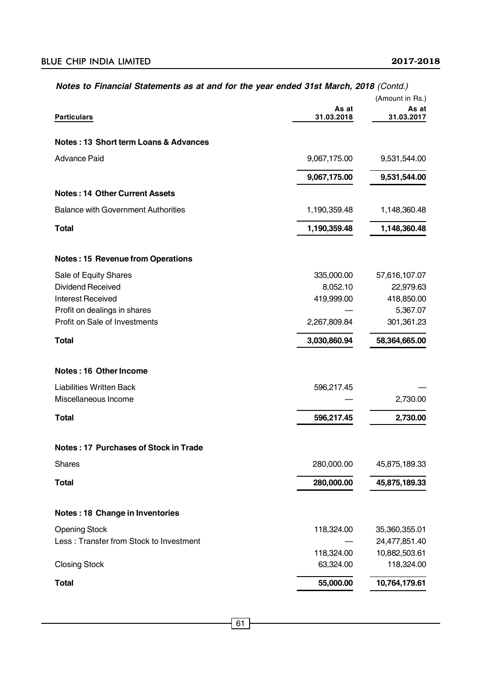|                                              |                     | (Amount in Rs.)     |
|----------------------------------------------|---------------------|---------------------|
| <b>Particulars</b>                           | As at<br>31.03.2018 | As at<br>31.03.2017 |
| Notes: 13 Short term Loans & Advances        |                     |                     |
| <b>Advance Paid</b>                          | 9,067,175.00        | 9,531,544.00        |
|                                              | 9,067,175.00        | 9,531,544.00        |
| <b>Notes: 14 Other Current Assets</b>        |                     |                     |
| <b>Balance with Government Authorities</b>   | 1,190,359.48        | 1,148,360.48        |
| <b>Total</b>                                 | 1,190,359.48        | 1,148,360.48        |
| <b>Notes: 15 Revenue from Operations</b>     |                     |                     |
| Sale of Equity Shares                        | 335,000.00          | 57,616,107.07       |
| <b>Dividend Received</b>                     | 8,052.10            | 22,979.63           |
| <b>Interest Received</b>                     | 419,999.00          | 418,850.00          |
| Profit on dealings in shares                 |                     | 5,367.07            |
| Profit on Sale of Investments                | 2,267,809.84        | 301,361.23          |
| <b>Total</b>                                 | 3,030,860.94        | 58,364,665.00       |
| Notes: 16 Other Income                       |                     |                     |
| <b>Liabilities Written Back</b>              | 596,217.45          |                     |
| Miscellaneous Income                         |                     | 2,730.00            |
| <b>Total</b>                                 | 596,217.45          | 2,730.00            |
|                                              |                     |                     |
| <b>Notes: 17 Purchases of Stock in Trade</b> |                     |                     |
| <b>Shares</b>                                | 280,000.00          | 45,875,189.33       |
| <b>Total</b>                                 | 280,000.00          | 45,875,189.33       |
| Notes: 18 Change in Inventories              |                     |                     |
| <b>Opening Stock</b>                         | 118,324.00          | 35,360,355.01       |
| Less: Transfer from Stock to Investment      |                     | 24,477,851.40       |
|                                              | 118,324.00          | 10,882,503.61       |
| <b>Closing Stock</b>                         | 63,324.00           | 118,324.00          |
| <b>Total</b>                                 | 55,000.00           | 10,764,179.61       |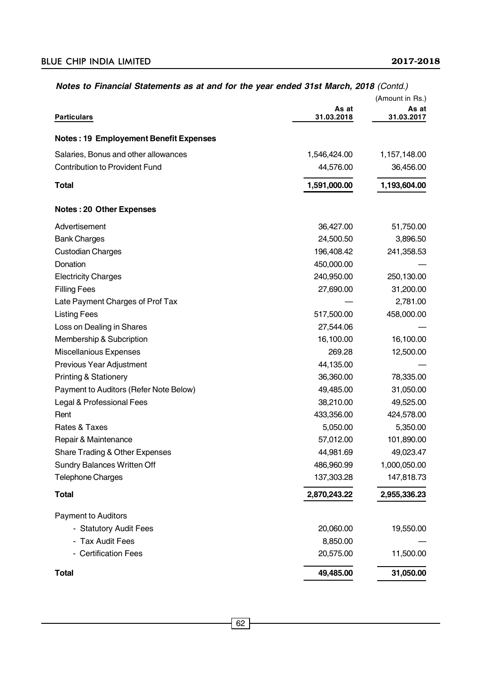|                                               |                     | (Amount in Rs.)     |
|-----------------------------------------------|---------------------|---------------------|
| <b>Particulars</b>                            | As at<br>31.03.2018 | As at<br>31.03.2017 |
| <b>Notes: 19 Employement Benefit Expenses</b> |                     |                     |
| Salaries, Bonus and other allowances          | 1,546,424.00        | 1,157,148.00        |
| <b>Contribution to Provident Fund</b>         | 44,576.00           | 36,456.00           |
| <b>Total</b>                                  | 1,591,000.00        | 1,193,604.00        |
| <b>Notes: 20 Other Expenses</b>               |                     |                     |
| Advertisement                                 | 36,427.00           | 51,750.00           |
| <b>Bank Charges</b>                           | 24,500.50           | 3,896.50            |
| <b>Custodian Charges</b>                      | 196,408.42          | 241,358.53          |
| Donation                                      | 450,000.00          |                     |
| <b>Electricity Charges</b>                    | 240,950.00          | 250,130.00          |
| <b>Filling Fees</b>                           | 27,690.00           | 31,200.00           |
| Late Payment Charges of Prof Tax              |                     | 2,781.00            |
| <b>Listing Fees</b>                           | 517,500.00          | 458,000.00          |
| Loss on Dealing in Shares                     | 27,544.06           |                     |
| Membership & Subcription                      | 16,100.00           | 16,100.00           |
| Miscellanious Expenses                        | 269.28              | 12,500.00           |
| Previous Year Adjustment                      | 44,135.00           |                     |
| <b>Printing &amp; Stationery</b>              | 36,360.00           | 78,335.00           |
| Payment to Auditors (Refer Note Below)        | 49,485.00           | 31,050.00           |
| Legal & Professional Fees                     | 38,210.00           | 49,525.00           |
| Rent                                          | 433,356.00          | 424,578.00          |
| Rates & Taxes                                 | 5,050.00            | 5,350.00            |
| Repair & Maintenance                          | 57,012.00           | 101,890.00          |
| <b>Share Trading &amp; Other Expenses</b>     | 44,981.69           | 49,023.47           |
| <b>Sundry Balances Written Off</b>            | 486,960.99          | 1,000,050.00        |
| <b>Telephone Charges</b>                      | 137,303.28          | 147,818.73          |
| <b>Total</b>                                  | 2,870,243.22        | 2,955,336.23        |
| <b>Payment to Auditors</b>                    |                     |                     |
| - Statutory Audit Fees                        | 20,060.00           | 19,550.00           |
| - Tax Audit Fees                              | 8,850.00            |                     |
| - Certification Fees                          | 20,575.00           | 11,500.00           |
| <b>Total</b>                                  | 49,485.00           | 31,050.00           |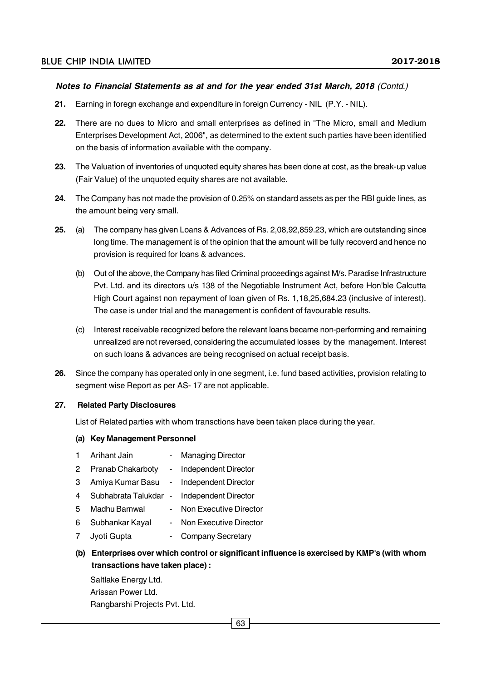- **21.** Earning in foregn exchange and expenditure in foreign Currency NIL (P.Y. NIL).
- **22.** There are no dues to Micro and small enterprises as defined in "The Micro, small and Medium Enterprises Development Act, 2006", as determined to the extent such parties have been identified on the basis of information available with the company.
- **23.** The Valuation of inventories of unquoted equity shares has been done at cost, as the break-up value (Fair Value) of the unquoted equity shares are not available.
- **24.** The Company has not made the provision of 0.25% on standard assets as per the RBI guide lines, as the amount being very small.
- **25.** (a) The company has given Loans & Advances of Rs. 2,08,92,859.23, which are outstanding since long time. The management is of the opinion that the amount will be fully recoverd and hence no provision is required for loans & advances.
	- (b) Out of the above, the Company has filed Criminal proceedings against M/s. Paradise Infrastructure Pvt. Ltd. and its directors u/s 138 of the Negotiable Instrument Act, before Hon'ble Calcutta High Court against non repayment of loan given of Rs. 1,18,25,684.23 (inclusive of interest). The case is under trial and the management is confident of favourable results.
	- (c) Interest receivable recognized before the relevant loans became non-performing and remaining unrealized are not reversed, considering the accumulated losses by the management. Interest on such loans & advances are being recognised on actual receipt basis.
- **26.** Since the company has operated only in one segment, i.e. fund based activities, provision relating to segment wise Report as per AS- 17 are not applicable.

#### **27. Related Party Disclosures**

List of Related parties with whom transctions have been taken place during the year.

#### **(a) Key Management Personnel**

- 1 Arihant Jain Managing Director
- 2 Pranab Chakarboty Independent Director
- 3 Amiya Kumar Basu Independent Director
- 4 Subhabrata Talukdar Independent Director
- 5 Madhu Barnwal Non Executive Director
- 6 Subhankar Kayal Non Executive Director
- 7 Jyoti Gupta Company Secretary
- **(b) Enterprises over which control or significant influence is exercised by KMP's (with whom transactions have taken place) :**

Saltlake Energy Ltd. Arissan Power Ltd. Rangbarshi Projects Pvt. Ltd.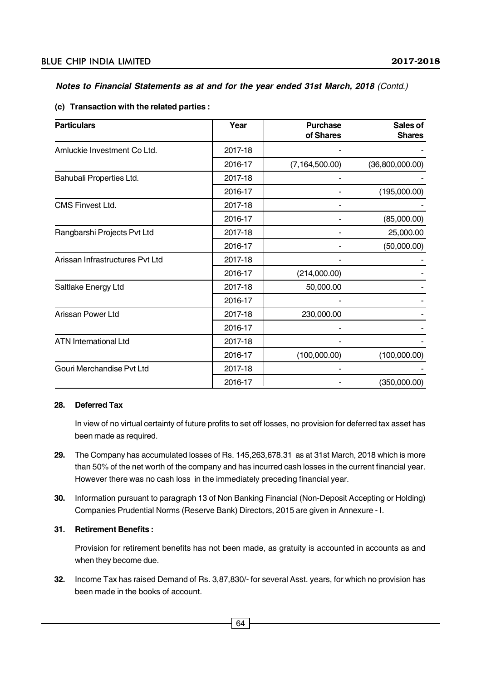| <b>Particulars</b>              | Year    | <b>Purchase</b><br>of Shares | Sales of<br><b>Shares</b> |
|---------------------------------|---------|------------------------------|---------------------------|
| Amluckie Investment Co Ltd.     | 2017-18 |                              |                           |
|                                 | 2016-17 | (7, 164, 500.00)             | (36,800,000.00)           |
| Bahubali Properties Ltd.        | 2017-18 |                              |                           |
|                                 | 2016-17 |                              | (195,000.00)              |
| <b>CMS Finvest Ltd.</b>         | 2017-18 |                              |                           |
|                                 | 2016-17 |                              | (85,000.00)               |
| Rangbarshi Projects Pvt Ltd     | 2017-18 |                              | 25,000.00                 |
|                                 | 2016-17 |                              | (50,000.00)               |
| Arissan Infrastructures Pvt Ltd | 2017-18 |                              |                           |
|                                 | 2016-17 | (214,000.00)                 |                           |
| Saltlake Energy Ltd             | 2017-18 | 50,000.00                    |                           |
|                                 | 2016-17 |                              |                           |
| <b>Arissan Power Ltd</b>        | 2017-18 | 230,000.00                   |                           |
|                                 | 2016-17 |                              |                           |
| <b>ATN International Ltd</b>    | 2017-18 |                              |                           |
|                                 | 2016-17 | (100,000.00)                 | (100,000.00)              |
| Gouri Merchandise Pvt Ltd       | 2017-18 |                              |                           |
|                                 | 2016-17 |                              | (350,000.00)              |

#### **(c) Transaction with the related parties :**

#### **28. Deferred Tax**

In view of no virtual certainty of future profits to set off losses, no provision for deferred tax asset has been made as required.

- **29.** The Company has accumulated losses of Rs. 145,263,678.31 as at 31st March, 2018 which is more than 50% of the net worth of the company and has incurred cash losses in the current financial year. However there was no cash loss in the immediately preceding financial year.
- **30.** Information pursuant to paragraph 13 of Non Banking Financial (Non-Deposit Accepting or Holding) Companies Prudential Norms (Reserve Bank) Directors, 2015 are given in Annexure - I.

#### **31. Retirement Benefits :**

Provision for retirement benefits has not been made, as gratuity is accounted in accounts as and when they become due.

**32.** Income Tax has raised Demand of Rs. 3,87,830/- for several Asst. years, for which no provision has been made in the books of account.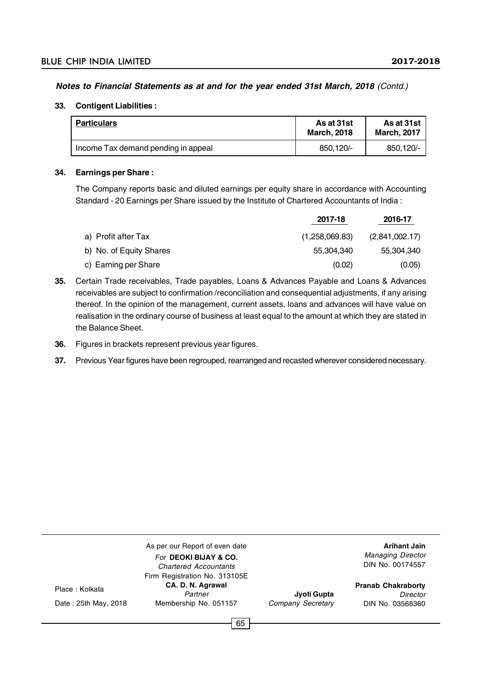#### **33. Contigent Liabilities :**

| <b>Particulars</b>                  | As at 31st<br><b>March, 2018</b> | As at 31st<br><b>March, 2017</b> |
|-------------------------------------|----------------------------------|----------------------------------|
| Income Tax demand pending in appeal | 850, 120/-                       | 850.120/-                        |

#### **34. Earnings per Share :**

The Company reports basic and diluted earnings per equity share in accordance with Accounting Standard - 20 Earnings per Share issued by the Institute of Chartered Accountants of India :

|                         | 2017-18        | 2016-17        |
|-------------------------|----------------|----------------|
| a) Profit after Tax     | (1,258,069.83) | (2,841,002.17) |
| b) No. of Equity Shares | 55.304.340     | 55.304.340     |
| c) Earning per Share    | (0.02)         | (0.05)         |

- **35.** Certain Trade receivables, Trade payables, Loans & Advances Payable and Loans & Advances receivables are subject to confirmation /reconciliation and consequential adjustments, if any arising thereof. In the opinion of the management, current assets, loans and advances will have value on realisation in the ordinary course of business at least equal to the amount at which they are stated in the Balance Sheet.
- **36.** Figures in brackets represent previous year figures.
- **37.** Previous Year figures have been regrouped, rearranged and recasted wherever considered necessary.

|                      | As per our Report of even date                        |                   | Arihant Jain                                 |
|----------------------|-------------------------------------------------------|-------------------|----------------------------------------------|
|                      | For DEOKI BIJAY & CO.<br><b>Chartered Accountants</b> |                   | <b>Managing Director</b><br>DIN No. 00174557 |
|                      | Firm Registration No. 313105E<br>CA. D. N. Agrawal    |                   | <b>Pranab Chakraborty</b>                    |
| Place: Kolkata       | Partner                                               | Jyoti Gupta       | Director                                     |
| Date: 25th May, 2018 | Membership No. 051157                                 | Company Secretary | DIN No. 03568360                             |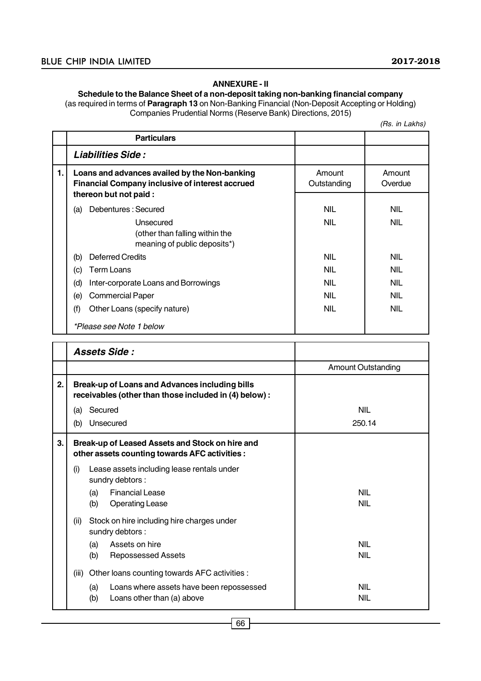#### **ANNEXURE - II**

#### **Schedule to the Balance Sheet of a non-deposit taking non-banking financial company**

(as required in terms of **Paragraph 13** on Non-Banking Financial (Non-Deposit Accepting or Holding) Companies Prudential Norms (Reserve Bank) Directions, 2015)

*(Rs. in Lakhs)*

|    | <b>Particulars</b>                                                                                                                              |                          |                          |
|----|-------------------------------------------------------------------------------------------------------------------------------------------------|--------------------------|--------------------------|
|    | Liabilities Side:                                                                                                                               |                          |                          |
| 1. | Loans and advances availed by the Non-banking<br><b>Financial Company inclusive of interest accrued</b>                                         | Amount<br>Outstanding    | Amount<br>Overdue        |
|    | thereon but not paid:<br>Debentures: Secured<br>(a)<br>Unsecured<br>(other than falling within the<br>meaning of public deposits <sup>*</sup> ) | <b>NIL</b><br><b>NIL</b> | <b>NIL</b><br><b>NIL</b> |
|    | <b>Deferred Credits</b><br>(b)                                                                                                                  | <b>NIL</b>               | <b>NIL</b>               |
|    | Term Loans<br>(c)                                                                                                                               | <b>NIL</b>               | <b>NIL</b>               |
|    | (d)<br>Inter-corporate Loans and Borrowings                                                                                                     | <b>NIL</b>               | <b>NIL</b>               |
|    | <b>Commercial Paper</b><br>(e)                                                                                                                  | <b>NIL</b>               | <b>NIL</b>               |
|    | (f)<br>Other Loans (specify nature)                                                                                                             | <b>NIL</b>               | <b>NIL</b>               |
|    | *Please see Note 1 below                                                                                                                        |                          |                          |

|    |                                                                       | Assets Side :                                                                                            |                           |
|----|-----------------------------------------------------------------------|----------------------------------------------------------------------------------------------------------|---------------------------|
|    |                                                                       |                                                                                                          | <b>Amount Outstanding</b> |
| 2. |                                                                       | Break-up of Loans and Advances including bills<br>receivables (other than those included in (4) below) : |                           |
|    | (a)                                                                   | Secured                                                                                                  | <b>NIL</b>                |
|    | (b)                                                                   | Unsecured                                                                                                | 250.14                    |
| 3. |                                                                       | Break-up of Leased Assets and Stock on hire and<br>other assets counting towards AFC activities :        |                           |
|    | (i)                                                                   | Lease assets including lease rentals under<br>sundry debtors:                                            |                           |
|    |                                                                       | <b>Financial Lease</b><br>(a)                                                                            | <b>NIL</b>                |
|    |                                                                       | <b>Operating Lease</b><br>(b)                                                                            | <b>NIL</b>                |
|    | Stock on hire including hire charges under<br>(ii)<br>sundry debtors: |                                                                                                          |                           |
|    |                                                                       | Assets on hire<br>(a)                                                                                    | <b>NIL</b>                |
|    |                                                                       | (b)<br><b>Repossessed Assets</b>                                                                         | <b>NIL</b>                |
|    | (iii)                                                                 | Other loans counting towards AFC activities :                                                            |                           |
|    |                                                                       | Loans where assets have been repossessed<br>(a)                                                          | <b>NIL</b>                |
|    |                                                                       | Loans other than (a) above<br>(b)                                                                        | <b>NIL</b>                |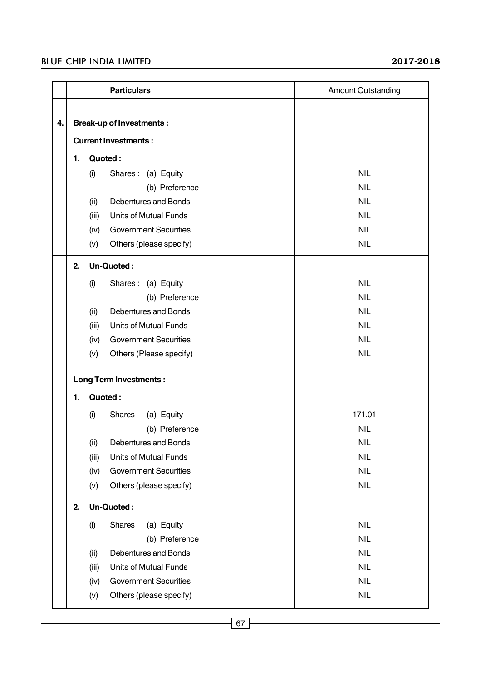|    |    |       | <b>Particulars</b>              | <b>Amount Outstanding</b> |
|----|----|-------|---------------------------------|---------------------------|
|    |    |       |                                 |                           |
| 4. |    |       | <b>Break-up of Investments:</b> |                           |
|    |    |       | <b>Current Investments:</b>     |                           |
|    | 1. |       | Quoted:                         |                           |
|    |    | (i)   | Shares: (a) Equity              | <b>NIL</b>                |
|    |    |       | (b) Preference                  | <b>NIL</b>                |
|    |    | (ii)  | Debentures and Bonds            | <b>NIL</b>                |
|    |    | (iii) | Units of Mutual Funds           | <b>NIL</b>                |
|    |    | (iv)  | <b>Government Securities</b>    | <b>NIL</b>                |
|    |    | (v)   | Others (please specify)         | <b>NIL</b>                |
|    | 2. |       | Un-Quoted:                      |                           |
|    |    | (i)   | Shares:<br>(a) Equity           | <b>NIL</b>                |
|    |    |       | (b) Preference                  | <b>NIL</b>                |
|    |    | (ii)  | Debentures and Bonds            | <b>NIL</b>                |
|    |    | (iii) | Units of Mutual Funds           | <b>NIL</b>                |
|    |    | (iv)  | <b>Government Securities</b>    | <b>NIL</b>                |
|    |    | (v)   | Others (Please specify)         | <b>NIL</b>                |
|    |    |       | <b>Long Term Investments:</b>   |                           |
|    | 1. |       | Quoted:                         |                           |
|    |    | (i)   | <b>Shares</b><br>(a) Equity     | 171.01                    |
|    |    |       | (b) Preference                  | <b>NIL</b>                |
|    |    | (ii)  | Debentures and Bonds            | <b>NIL</b>                |
|    |    | (iii) | Units of Mutual Funds           | <b>NIL</b>                |
|    |    | (iv)  | <b>Government Securities</b>    | <b>NIL</b>                |
|    |    | (v)   | Others (please specify)         | <b>NIL</b>                |
|    | 2. |       | Un-Quoted:                      |                           |
|    |    | (i)   | <b>Shares</b><br>(a) Equity     | <b>NIL</b>                |
|    |    |       | (b) Preference                  | <b>NIL</b>                |
|    |    | (ii)  | <b>Debentures and Bonds</b>     | <b>NIL</b>                |
|    |    | (iii) | <b>Units of Mutual Funds</b>    | <b>NIL</b>                |
|    |    | (iv)  | <b>Government Securities</b>    | <b>NIL</b>                |
|    |    | (v)   | Others (please specify)         | <b>NIL</b>                |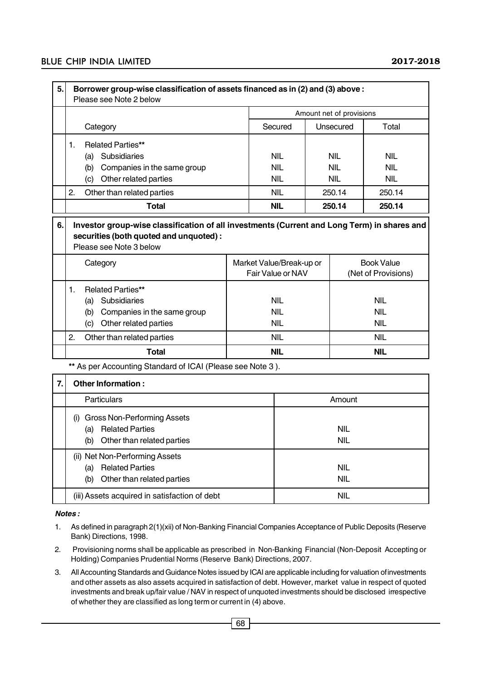| 5. | Borrower group-wise classification of assets financed as in (2) and (3) above :<br>Please see Note 2 below                                                       |  |                                               |            |            |                                          |  |
|----|------------------------------------------------------------------------------------------------------------------------------------------------------------------|--|-----------------------------------------------|------------|------------|------------------------------------------|--|
|    | Amount net of provisions                                                                                                                                         |  |                                               |            |            |                                          |  |
|    | Category                                                                                                                                                         |  | Secured                                       |            | Unsecured  | Total                                    |  |
|    | <b>Related Parties**</b><br>1.                                                                                                                                   |  |                                               |            |            |                                          |  |
|    | (a) Subsidiaries                                                                                                                                                 |  | <b>NIL</b>                                    |            | <b>NIL</b> | <b>NIL</b>                               |  |
|    | Companies in the same group<br>(b)                                                                                                                               |  | <b>NIL</b>                                    | <b>NIL</b> |            | <b>NIL</b>                               |  |
|    | Other related parties<br>(c)                                                                                                                                     |  | <b>NIL</b>                                    |            | <b>NIL</b> | <b>NIL</b>                               |  |
|    | 2.<br>Other than related parties                                                                                                                                 |  | <b>NIL</b>                                    |            | 250.14     | 250.14                                   |  |
|    | <b>Total</b>                                                                                                                                                     |  | <b>NIL</b>                                    |            | 250.14     | 250.14                                   |  |
| 6. | Investor group-wise classification of all investments (Current and Long Term) in shares and<br>securities (both quoted and unquoted):<br>Please see Note 3 below |  |                                               |            |            |                                          |  |
|    | Category                                                                                                                                                         |  | Market Value/Break-up or<br>Fair Value or NAV |            |            | <b>Book Value</b><br>(Net of Provisions) |  |
|    | <b>Related Parties**</b><br>1.<br>Subsidiaries<br>(a)<br>Companies in the same group<br>(b)<br>Other related parties<br>(c)                                      |  | <b>NIL</b><br><b>NIL</b><br><b>NIL</b>        |            |            | <b>NIL</b><br><b>NIL</b><br><b>NIL</b>   |  |
|    | 2.<br>Other than related parties                                                                                                                                 |  | <b>NIL</b>                                    |            | <b>NIL</b> |                                          |  |
|    | <b>Total</b>                                                                                                                                                     |  | <b>NIL</b>                                    |            | <b>NIL</b> |                                          |  |
|    | ** As per Accounting Standard of ICAI (Please see Note 3).                                                                                                       |  |                                               |            |            |                                          |  |
| 7. | Other Information:                                                                                                                                               |  |                                               |            |            |                                          |  |
|    | Particulars                                                                                                                                                      |  |                                               |            | Amount     |                                          |  |
|    | <b>Gross Non-Performing Assets</b><br>(i)<br><b>Related Parties</b><br><b>NIL</b><br>(a)<br><b>NIL</b><br>Other than related parties<br>(b)                      |  |                                               |            |            |                                          |  |

| Other than related parties<br>(b)                                                                 | NIL                      |
|---------------------------------------------------------------------------------------------------|--------------------------|
| (ii) Net Non-Performing Assets<br><b>Related Parties</b><br>(a)<br>(b) Other than related parties | <b>NIL</b><br><b>NIL</b> |
| (iii) Assets acquired in satisfaction of debt                                                     | <b>NIL</b>               |

#### *Notes :*

- 1. As defined in paragraph 2(1)(xii) of Non-Banking Financial Companies Acceptance of Public Deposits (Reserve Bank) Directions, 1998.
- 2. Provisioning norms shall be applicable as prescribed in Non-Banking Financial (Non-Deposit Accepting or Holding) Companies Prudential Norms (Reserve Bank) Directions, 2007.
- 3. All Accounting Standards and Guidance Notes issued by ICAI are applicable including for valuation of investments and other assets as also assets acquired in satisfaction of debt. However, market value in respect of quoted investments and break up/fair value / NAV in respect of unquoted investments should be disclosed irrespective of whether they are classified as long term or current in (4) above.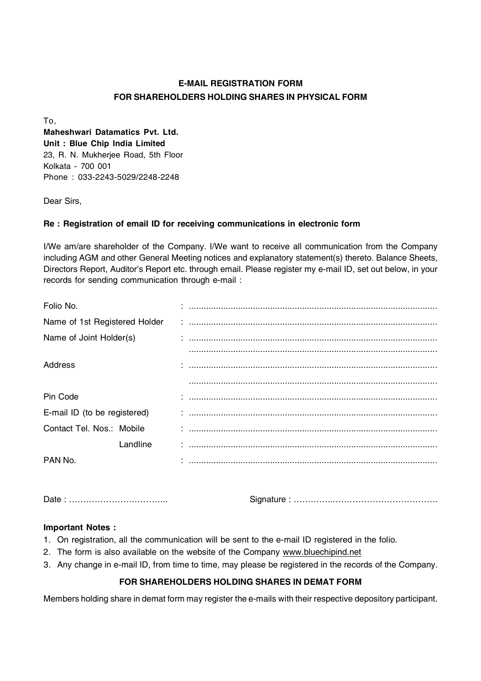#### **E-MAIL REGISTRATION FORM FOR SHAREHOLDERS HOLDING SHARES IN PHYSICAL FORM**

To, **Maheshwari Datamatics Pvt. Ltd. Unit : Blue Chip India Limited** 23, R. N. Mukherjee Road, 5th Floor Kolkata - 700 001 Phone : 033-2243-5029/2248-2248

Dear Sirs,

#### **Re : Registration of email ID for receiving communications in electronic form**

I/We am/are shareholder of the Company. I/We want to receive all communication from the Company including AGM and other General Meeting notices and explanatory statement(s) thereto. Balance Sheets, Directors Report, Auditor's Report etc. through email. Please register my e-mail ID, set out below, in your records for sending communication through e-mail :

| Folio No.                     |          |                                                                                                                                                                                                                                  |
|-------------------------------|----------|----------------------------------------------------------------------------------------------------------------------------------------------------------------------------------------------------------------------------------|
| Name of 1st Registered Holder |          | $\ddotsc$ . The communication of the communication of the communication of the communication of the communication of the communication of the communication of the communication of the communication of the communication of th |
| Name of Joint Holder(s)       |          |                                                                                                                                                                                                                                  |
|                               |          |                                                                                                                                                                                                                                  |
| Address                       |          |                                                                                                                                                                                                                                  |
|                               |          |                                                                                                                                                                                                                                  |
| Pin Code                      |          |                                                                                                                                                                                                                                  |
| E-mail ID (to be registered)  |          |                                                                                                                                                                                                                                  |
| Contact Tel. Nos.: Mobile     |          |                                                                                                                                                                                                                                  |
|                               | Landline |                                                                                                                                                                                                                                  |
| PAN No.                       |          |                                                                                                                                                                                                                                  |
|                               |          |                                                                                                                                                                                                                                  |

Date : …………………………….. Signature : …………..……………………………….

#### **Important Notes :**

- 1. On registration, all the communication will be sent to the e-mail ID registered in the folio.
- 2. The form is also available on the website of the Company www.bluechipind.net
- 3. Any change in e-mail ID, from time to time, may please be registered in the records of the Company.

#### **FOR SHAREHOLDERS HOLDING SHARES IN DEMAT FORM**

Members holding share in demat form may register the e-mails with their respective depository participant.